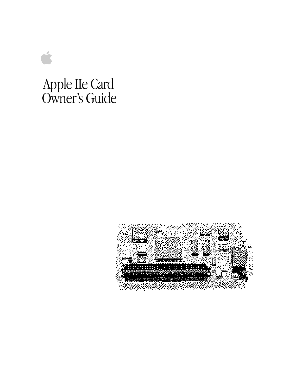# Apple IIe Card Owner's Guide

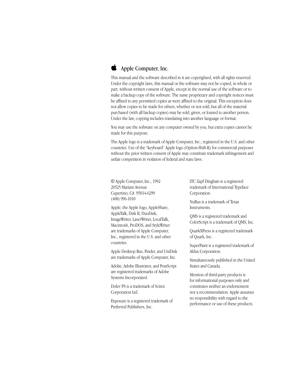

## $\bullet$  Apple Computer, Inc.

This manual and the software described in it are copyrighted, with all rights reserved. Under the copyright laws, this manual or the software may not be copied, in whole or part, without written consent of Apple, except in the normal use of the software or to make a backup copy of the software. The same proprietary and copyright notices must be affixed to any permitted copies as were affixed to the original. This exception does not allow copies to be made for others, whether or not sold, but all of the material purchased (with all backup copies) may be sold, given, or loaned to another person. Under the law, copying includes translating into another language or format.

You may use the software on any computer owned by you, but extra copies cannot be made for this purpose.

The Apple logo is a trademark of Apple Computer, Inc., registered in the U.S. and other countries. Use of the "keyboard" Apple logo (Option-Shift-K) for commercial purposes without the prior written consent of Apple may constitute trademark infringement and unfair competition in violation of federal and state laws.

© Apple Computer, Inc., 1992 20525 Mariani Avenue Cupertino, CA 95014-6299 (408) 996-1010

Apple, the Apple logo, AppleShare, AppleTalk, Disk II, DuoDisk, ImageWriter, LaserWriter, LocalTalk, Macintosh, ProDOS, and StyleWriter are trademarks of Apple Computer, Inc., registered in the U.S. and other countries.

Apple Desktop Bus, Finder, and UniDisk are trademarks of Apple Computer, Inc.

Adobe, Adobe Illustrator, and PostScript are registered trademarks of Adobe Systems Incorporated.

Dolev PS is a trademark of Scitex Corporation Ltd.

Exposure is a registered trademark of Preferred Publishers, Inc.

ITC Zapf Dingbats is a registered trademark of International Typeface Corporation.

NuBus is a trademark of Texas Instruments.

QMS is a registered trademark and ColorScript is a trademark of QMS, Inc.

QuarkXPress is a registered trademark of Quark, Inc.

SuperPaint is a registered trademark of Aldus Corporation.

Simultaneously published in the United States and Canada.

Mention of third-party products is for informational purposes only and constitutes neither an endorsement nor a recommendation. Apple assumes no responsibility with regard to the performance or use of these products.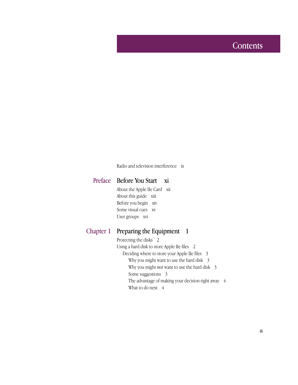# **Contents**

Radio and television interference ix

#### Before You Start xi Preface

About the Apple IIe Card xii About this guide xiii Before you begin xiv Some visual cues xv User groups xvi

#### Preparing the Equipment 1 Chapter 1

Protecting the disks 2 Using a hard disk to store Apple IIe files 2 Deciding where to store your Apple IIe files 3 Why you might want to use the hard disk 3 Why you might *not* want to use the hard disk 3 Some suggestions 3 The advantage of making your decision right away 4 What to do next  $4$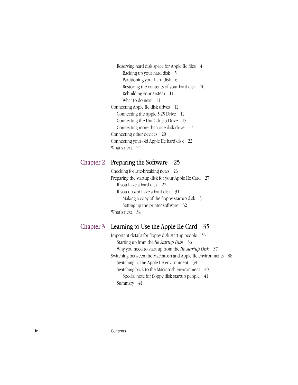Reserving hard disk space for Apple IIe files 4 Backing up your hard disk 5 Partitioning your hard disk 6 Restoring the contents of your hard disk 10 Rebuilding your system 11 What to do next 11 Connecting Apple IIe disk drives 12 Connecting the Apple 5.25 Drive 12 Connecting the UniDisk 3.5 Drive 15 Connecting more than one disk drive 17 Connecting other devices 20 Connecting your old Apple IIe hard disk 22 What's next 24

#### Preparing the Software 25 Chapter 2

Checking for late-breaking news 26 Preparing the startup disk for your Apple IIe Card 27 If you have a hard disk 27 If you do *not* have a hard disk 31 Making a copy of the floppy startup disk 31 Setting up the printer software 32 What's next 34

#### Learning to Use the Apple IIe Card 35 Chapter 3

Important details for floppy disk startup people 36 Starting up from the *IIe Startup Disk* 36 Why you need to start up from the *IIe Startup Disk* 37 Switching between the Macintosh and Apple IIe environments 38 Switching to the Apple IIe environment 38 Switching back to the Macintosh environment 40 Special note for floppy disk startup people 41 Summary 41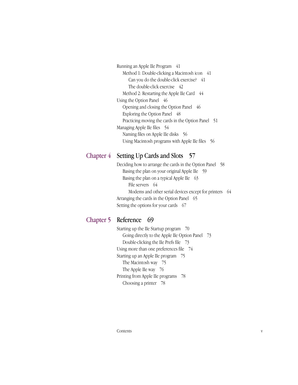Running an Apple IIe Program 41 Method 1: Double-clicking a Macintosh icon 41 Can you do the double-click exercise? 41 The double-click exercise 42 Method 2: Restarting the Apple IIe Card 44 Using the Option Panel 46 Opening and closing the Option Panel 46 Exploring the Option Panel 48 Practicing moving the cards in the Option Panel 51 Managing Apple IIe files 54 Naming files on Apple IIe disks 56 Using Macintosh programs with Apple IIe files 56

#### Setting Up Cards and Slots 57 Chapter 4

Deciding how to arrange the cards in the Option Panel 58 Basing the plan on your original Apple IIe 59 Basing the plan on a typical Apple IIe 63 File servers 64 Modems and other serial devices except for printers 64 Arranging the cards in the Option Panel 65 Setting the options for your cards 67

### Chapter 5 Reference 69

Starting up the IIe Startup program 70 Going directly to the Apple IIe Option Panel 73 Double-clicking the IIe Prefs file 73 Using more than one preferences file 74 Starting up an Apple IIe program 75 The Macintosh way 75 The Apple IIe way 76 Printing from Apple IIe programs 78 Choosing a printer 78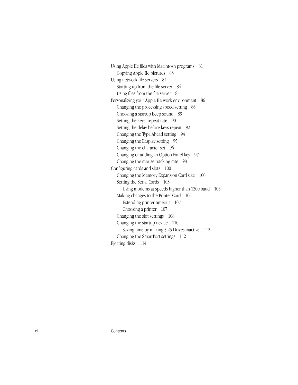Using Apple IIe files with Macintosh programs 81 Copying Apple IIe pictures 83 Using network file servers 84 Starting up from the file server 84 Using files from the file server 85 Personalizing your Apple IIe work environment 86 Changing the processing speed setting 86 Choosing a startup beep sound 89 Setting the keys' repeat rate 90 Setting the delay before keys repeat 92 Changing the Type Ahead setting 94 Changing the Display setting 95 Changing the character set 96 Changing or adding an Option Panel key 97 Changing the mouse tracking rate 98 Configuring cards and slots 100 Changing the Memory Expansion Card size 100 Setting the Serial Cards 103 Using modems at speeds higher than 1200 baud 106 Making changes to the Printer Card 106 Extending printer timeout 107 Choosing a printer 107 Changing the slot settings 108 Changing the startup device 110 Saving time by making 5.25 Drives inactive 112 Changing the SmartPort settings 112 Ejecting disks 114

vi Contents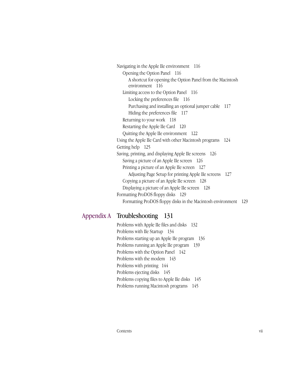Navigating in the Apple IIe environment 116 Opening the Option Panel 116 A shortcut for opening the Option Panel from the Macintosh environment 116 Limiting access to the Option Panel 116 Locking the preferences file 116 Purchasing and installing an optional jumper cable 117 Hiding the preferences file 117 Returning to your work 118 Restarting the Apple IIe Card 120 Quitting the Apple IIe environment 122 Using the Apple IIe Card with other Macintosh programs 124 Getting help 125 Saving, printing, and displaying Apple IIe screens 126 Saving a picture of an Apple IIe screen 126 Printing a picture of an Apple IIe screen 127 Adjusting Page Setup for printing Apple IIe screens 127 Copying a picture of an Apple IIe screen 128 Displaying a picture of an Apple IIe screen 128 Formatting ProDOS floppy disks 129 Formatting ProDOS floppy disks in the Macintosh environment 129

### Appendix A Troubleshooting 131

Problems with Apple IIe files and disks 132 Problems with IIe Startup 134 Problems starting up an Apple IIe program 136 Problems running an Apple IIe program 139 Problems with the Option Panel 142 Problems with the modem 143 Problems with printing 144 Problems ejecting disks 145 Problems copying files to Apple IIe disks 145 Problems running Macintosh programs 145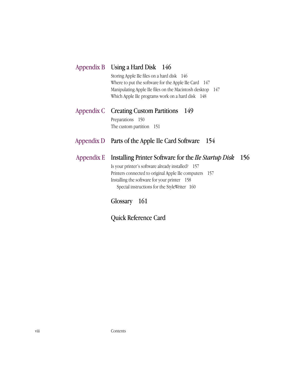| Appendix B Using a Hard Disk 146                                                                                                                                                                                      |
|-----------------------------------------------------------------------------------------------------------------------------------------------------------------------------------------------------------------------|
| Storing Apple IIe files on a hard disk 146<br>Where to put the software for the Apple IIe Card $147$<br>Manipulating Apple IIe files on the Macintosh desktop 147<br>Which Apple IIe programs work on a hard disk 148 |
| Appendix C Creating Custom Partitions<br>149                                                                                                                                                                          |
| Preparations 150                                                                                                                                                                                                      |
| The custom partition 151                                                                                                                                                                                              |
|                                                                                                                                                                                                                       |
| Appendix D Parts of the Apple IIe Card Software 154                                                                                                                                                                   |
| 156<br>Appendix E Installing Printer Software for the IIe Startup Disk                                                                                                                                                |
| Is your printer's software already installed? 157                                                                                                                                                                     |
| Printers connected to original Apple IIe computers 157                                                                                                                                                                |
| Installing the software for your printer 158<br>Special instructions for the StyleWriter 160                                                                                                                          |

Quick Reference Card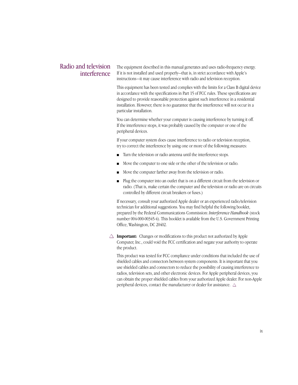#### Radio and television interference

The equipment described in this manual generates and uses radio-frequency energy. If it is not installed and used properly—that is, in strict accordance with Apple's instructions—it may cause interference with radio and television reception.

This equipment has been tested and complies with the limits for a Class B digital device in accordance with the specifications in Part 15 of FCC rules. These specifications are designed to provide reasonable protection against such interference in a residential installation. However, there is no guarantee that the interference will not occur in a particular installation.

You can determine whether your computer is causing interference by turning it off. If the interference stops, it was probably caused by the computer or one of the peripheral devices.

If your computer system does cause interference to radio or television reception, try to correct the interference by using one or more of the following measures:

- Turn the television or radio antenna until the interference stops.
- Move the computer to one side or the other of the television or radio.
- Move the computer farther away from the television or radio.
- Plug the computer into an outlet that is on a different circuit from the television or radio. (That is, make certain the computer and the television or radio are on circuits controlled by different circuit breakers or fuses.)

If necessary, consult your authorized Apple dealer or an experienced radio/television technician for additional suggestions. You may find helpful the following booklet, prepared by the Federal Communications Commission: *Interference Handbook* (stock number 004-000-00345-4). This booklet is available from the U.S. Government Printing Office, Washington, DC 20402.

 $\triangle$  **Important:** Changes or modifications to this product not authorized by Apple Computer, Inc., could void the FCC certification and negate your authority to operate the product.

This product was tested for FCC compliance under conditions that included the use of shielded cables and connectors between system components. It is important that you use shielded cables and connectors to reduce the possibility of causing interference to radios, television sets, and other electronic devices. For Apple peripheral devices, you can obtain the proper shielded cables from your authorized Apple dealer. For non-Apple peripheral devices, contact the manufacturer or dealer for assistance.  $\triangle$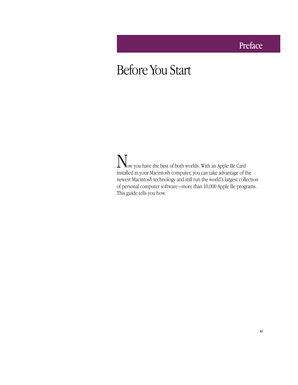# Preface

# Before You Start

Now you have the best of both worlds. With an Apple IIe Card installed in your Macintosh computer, you can take advantage of the newest Macintosh technology and still run the world's largest collection of personal computer software—more than 10,000 Apple IIe programs. This guide tells you how.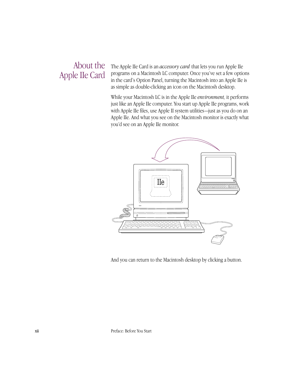# About the Apple IIe Card

The Apple IIe Card is an *accessory card* that lets you run Apple IIe programs on a Macintosh LC computer. Once you've set a few options in the card's Option Panel, turning the Macintosh into an Apple IIe is as simple as double-clicking an icon on the Macintosh desktop.

While your Macintosh LC is in the Apple IIe *environment,* it performs just like an Apple IIe computer. You start up Apple IIe programs, work with Apple IIe files, use Apple II system utilities—just as you do on an Apple IIe. And what you see on the Macintosh monitor is exactly what you'd see on an Apple IIe monitor.



And you can return to the Macintosh desktop by clicking a button.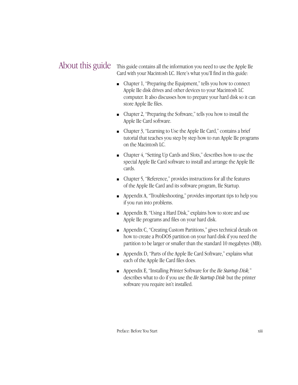#### This guide contains all the information you need to use the Apple IIe Card with your Macintosh LC. Here's what you'll find in this guide: About this guide

- Chapter 1, "Preparing the Equipment," tells you how to connect Apple IIe disk drives and other devices to your Macintosh LC computer. It also discusses how to prepare your hard disk so it can store Apple IIe files.
- Chapter 2, "Preparing the Software," tells you how to install the Apple IIe Card software.
- Chapter 3, "Learning to Use the Apple IIe Card," contains a brief tutorial that teaches you step by step how to run Apple IIe programs on the Macintosh LC.
- Chapter 4, "Setting Up Cards and Slots," describes how to use the special Apple IIe Card software to install and arrange the Apple IIe cards.
- Chapter 5, "Reference," provides instructions for all the features of the Apple IIe Card and its software program, IIe Startup.
- Appendix A, "Troubleshooting," provides important tips to help you if you run into problems.
- Appendix B, "Using a Hard Disk," explains how to store and use Apple IIe programs and files on your hard disk.
- Appendix C, "Creating Custom Partitions," gives technical details on how to create a ProDOS partition on your hard disk if you need the partition to be larger or smaller than the standard 10 megabytes (MB).
- Appendix D, "Parts of the Apple IIe Card Software," explains what each of the Apple IIe Card files does.
- Appendix E, "Installing Printer Software for the *IIe Startup Disk,*" describes what to do if you use the *IIe Startup Disk* but the printer software you require isn't installed.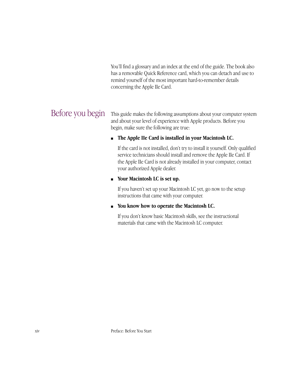You'll find a glossary and an index at the end of the guide. The book also has a removable Quick Reference card, which you can detach and use to remind yourself of the most important hard-to-remember details concerning the Apple IIe Card.

# Before you begin

This guide makes the following assumptions about your computer system and about your level of experience with Apple products. Before you begin, make sure the following are true:

#### ■ **The Apple IIe Card is installed in your Macintosh LC.**

If the card is not installed, don't try to install it yourself. Only qualified service technicians should install and remove the Apple IIe Card. If the Apple IIe Card is not already installed in your computer, contact your authorized Apple dealer.

#### ■ **Your Macintosh LC is set up.**

If you haven't set up your Macintosh LC yet, go now to the setup instructions that came with your computer.

#### ■ **You know how to operate the Macintosh LC.**

If you don't know basic Macintosh skills, see the instructional materials that came with the Macintosh LC computer.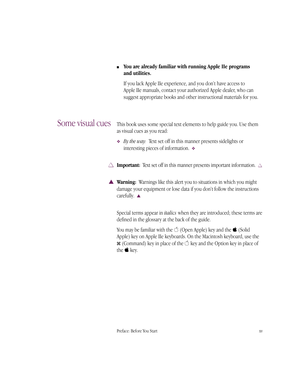#### ■ You are already familiar with running Apple IIe programs **and utilities.**

If you lack Apple IIe experience, and you don't have access to Apple IIe manuals, contact your authorized Apple dealer, who can suggest appropriate books and other instructional materials for you.

Some visual cues This book uses some special text elements to help guide you. Use them as visual cues as you read:

> ❖ *By the way:* Text set off in this manner presents sidelights or interesting pieces of information. ❖

 $\Delta$  **Important:** Text set off in this manner presents important information.  $\Delta$ 

▲ **Warning:** Warnings like this alert you to situations in which you might damage your equipment or lose data if you don't follow the instructions carefully. ▲

Special terms appear in *italics* when they are introduced; these terms are defined in the glossary at the back of the guide.

You may be familiar with the  $\mathcal O$  (Open Apple) key and the  $\bullet$  (Solid Apple) key on Apple IIe keyboards. On the Macintosh keyboard, use the  $\mathcal{H}$  (Command) key in place of the  $\circlearrowleft$  key and the Option key in place of the  $\bullet$  key.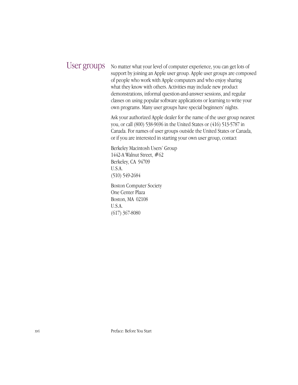# User groups

No matter what your level of computer experience, you can get lots of support by joining an Apple user group. Apple user groups are composed of people who work with Apple computers and who enjoy sharing what they know with others. Activities may include new product demonstrations, informal question-and-answer sessions, and regular classes on using popular software applications or learning to write your own programs. Many user groups have special beginners' nights.

Ask your authorized Apple dealer for the name of the user group nearest you, or call (800) 538-9696 in the United States or (416) 513-5787 in Canada. For names of user groups outside the United States or Canada, or if you are interested in starting your own user group, contact

Berkeley Macintosh Users' Group 1442-A Walnut Street, #62 Berkeley, CA 94709 U.S.A. (510) 549-2684

Boston Computer Society One Center Plaza Boston, MA 02108 U.S.A. (617) 367-8080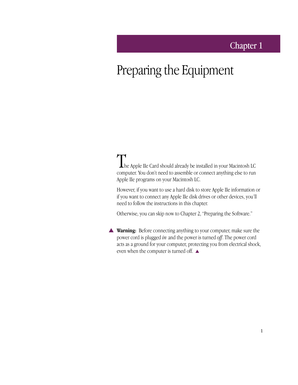# Chapter 1

# Preparing the Equipment

The Apple IIe Card should already be installed in your Macintosh LC computer. You don't need to assemble or connect anything else to run Apple IIe programs on your Macintosh LC.

However, if you want to use a hard disk to store Apple IIe information or if you want to connect any Apple IIe disk drives or other devices, you'll need to follow the instructions in this chapter.

Otherwise, you can skip now to Chapter 2, "Preparing the Software."

▲ **Warning:** Before connecting anything to your computer, make sure the power cord is plugged *in* and the power is turned *off*. The power cord acts as a ground for your computer, protecting you from electrical shock, even when the computer is turned off.  $\blacktriangle$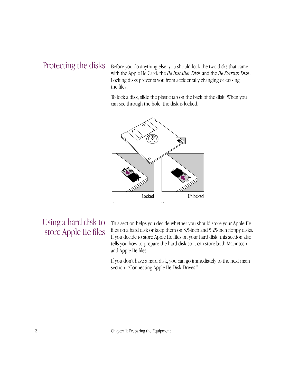# Protecting the disks

Before you do anything else, you should lock the two disks that came with the Apple IIe Card: the *IIe Installer Disk* and the *IIe Startup Disk*. Locking disks prevents you from accidentally changing or erasing the files.

To lock a disk, slide the plastic tab on the back of the disk. When you can see through the hole, the disk is locked.



# Using a hard disk to store Apple IIe files

This section helps you decide whether you should store your Apple IIe files on a hard disk or keep them on 3.5-inch and 5.25-inch floppy disks. If you decide to store Apple IIe files on your hard disk, this section also tells you how to prepare the hard disk so it can store both Macintosh and Apple IIe files.

If you don't have a hard disk, you can go immediately to the next main section, "Connecting Apple IIe Disk Drives."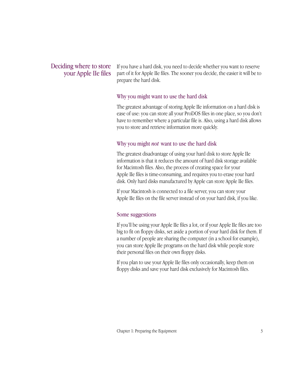### Deciding where to store your Apple IIe files

If you have a hard disk, you need to decide whether you want to reserve part of it for Apple IIe files. The sooner you decide, the easier it will be to prepare the hard disk.

#### Why you might want to use the hard disk

The greatest advantage of storing Apple IIe information on a hard disk is ease of use: you can store all your ProDOS files in one place, so you don't have to remember where a particular file is. Also, using a hard disk allows you to store and retrieve information more quickly.

#### Why you might *not* want to use the hard disk

The greatest disadvantage of using your hard disk to store Apple IIe information is that it reduces the amount of hard disk storage available for Macintosh files. Also, the process of creating space for your Apple IIe files is time-consuming, and requires you to erase your hard disk. Only hard disks manufactured by Apple can store Apple IIe files.

If your Macintosh is connected to a file server, you can store your Apple IIe files on the file server instead of on your hard disk, if you like.

#### Some suggestions

If you'll be using your Apple IIe files a lot, or if your Apple IIe files are too big to fit on floppy disks, set aside a portion of your hard disk for them. If a number of people are sharing the computer (in a school for example), you can store Apple IIe programs on the hard disk while people store their personal files on their own floppy disks.

If you plan to use your Apple IIe files only occasionally, keep them on floppy disks and save your hard disk exclusively for Macintosh files.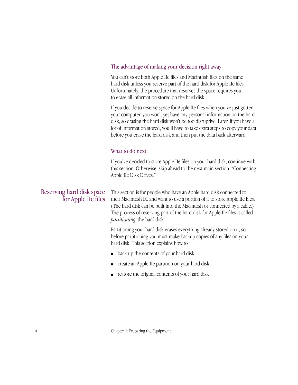#### The advantage of making your decision right away

You can't store both Apple IIe files and Macintosh files on the same hard disk unless you reserve part of the hard disk for Apple IIe files. Unfortunately, the procedure that reserves the space requires you to erase all information stored on the hard disk.

If you decide to reserve space for Apple IIe files when you've just gotten your computer, you won't yet have any personal information on the hard disk, so erasing the hard disk won't be too disruptive. Later, if you have a lot of information stored, you'll have to take extra steps to copy your data before you erase the hard disk and then put the data back afterward.

#### What to do next

If you've decided to store Apple IIe files on your hard disk, continue with this section. Otherwise, skip ahead to the next main section, "Connecting Apple IIe Disk Drives."

## Reserving hard disk space for Apple IIe files

This section is for people who have an Apple hard disk connected to their Macintosh LC and want to use a portion of it to store Apple IIe files. (The hard disk can be built into the Macintosh or connected by a cable.) The process of reserving part of the hard disk for Apple IIe files is called *partitioning* the hard disk.

Partitioning your hard disk erases everything already stored on it, so before partitioning you must make backup copies of any files on your hard disk. This section explains how to

- back up the contents of your hard disk
- create an Apple IIe partition on your hard disk
- restore the original contents of your hard disk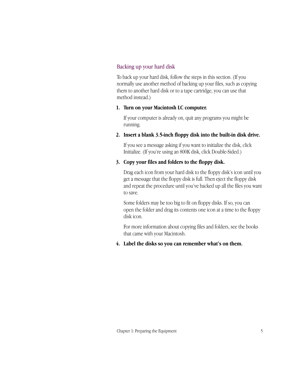#### Backing up your hard disk

To back up your hard disk, follow the steps in this section. (If you normally use another method of backing up your files, such as copying them to another hard disk or to a tape cartridge, you can use that method instead.)

#### **1. Turn on your Macintosh LC computer.**

If your computer is already on, quit any programs you might be running.

#### **2. Insert a blank 3.5-inch floppy disk into the built-in disk drive.**

If you see a message asking if you want to initialize the disk, click Initialize. (If you're using an 800K disk, click Double-Sided.)

#### **3. Copy your files and folders to the floppy disk.**

Drag each icon from your hard disk to the floppy disk's icon until you get a message that the floppy disk is full. Then eject the floppy disk and repeat the procedure until you've backed up all the files you want to save.

Some folders may be too big to fit on floppy disks. If so, you can open the folder and drag its contents one icon at a time to the floppy disk icon.

For more information about copying files and folders, see the books that came with your Macintosh.

#### **4. Label the disks so you can remember what's on them.**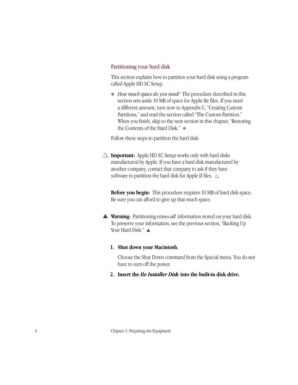#### Partitioning your hard disk

This section explains how to partition your hard disk using a program called Apple HD SC Setup.

❖ *How much space do you need?* The procedure described in this section sets aside 10 MB of space for Apple IIe files. If you need a different amount, turn now to Appendix C, "Creating Custom Partitions," and read the section called "The Custom Partition." When you finish, skip to the next section in this chapter, "Restoring the Contents of the Hard Disk." ❖

Follow these steps to partition the hard disk:

 $\triangle$  **Important:** Apple HD SC Setup works only with hard disks manufactured by Apple. If you have a hard disk manufactured by another company, contact that company to ask if they have software to partition the hard disk for Apple II files.  $\triangle$ 

**Before you begin:** This procedure requires 10 MB of hard disk space. Be sure you can afford to give up that much space.

▲ **Warning:** Partitioning erases *all* information stored on your hard disk. To preserve your information, see the previous section, "Backing Up Your Hard Disk." ▲

#### **1. Shut down your Macintosh.**

Choose the Shut Down command from the Special menu. You do *not* have to turn off the power.

**2. Insert the** *IIe Installer Disk* **into the built-in disk drive.**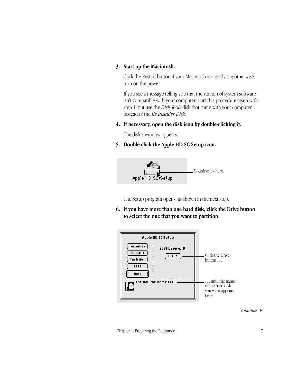#### **3. Start up the Macintosh.**

Click the Restart button if your Macintosh is already on; otherwise, turn on the power.

If you see a message telling you that the version of system software isn't compatible with your computer, start this procedure again with step 1, but use the *Disk Tools* disk that came with your computer instead of the *IIe Installer Disk.*

#### **4. If necessary, open the disk icon by double-clicking it.**

The disk's window appears.

**5. Double-click the Apple HD SC Setup icon.**



The Setup program opens, as shown in the next step.

**6. If you have more than one hard disk, click the Drive button to select the one that you want to partition.**



*continues* >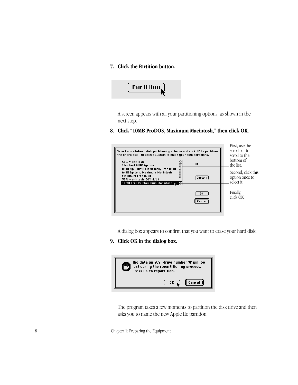#### **7. Click the Partition button.**



A screen appears with all your partitioning options, as shown in the next step.

#### **8. Click "10MB ProDOS, Maximum Macintosh," then click OK.**



A dialog box appears to confirm that you want to erase your hard disk.

#### **9. Click OK in the dialog box.**



The program takes a few moments to partition the disk drive and then asks you to name the new Apple IIe partition.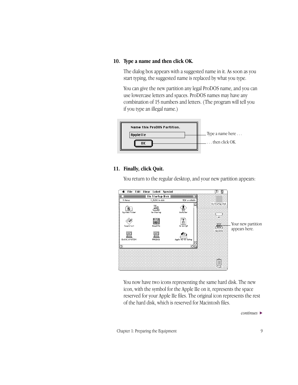#### **10. Type a name and then click OK.**

The dialog box appears with a suggested name in it. As soon as you start typing, the suggested name is replaced by what you type.

You can give the new partition any legal ProDOS name, and you can use lowercase letters and spaces. ProDOS names may have any combination of 15 numbers and letters. (The program will tell you if you type an illegal name.)



#### **11. Finally, click Quit.**

You return to the regular desktop, and your new partition appears:



You now have two icons representing the same hard disk. The new icon, with the symbol for the Apple IIe on it, represents the space reserved for your Apple IIe files. The original icon represents the rest of the hard disk, which is reserved for Macintosh files.

*continues* >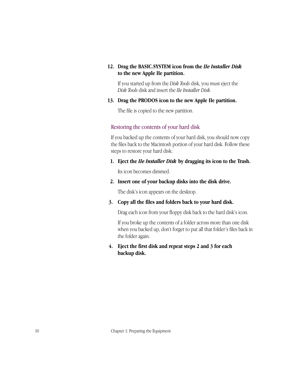#### **12. Drag the BASIC.SYSTEM icon from the** *IIe Installer Disk*  **to the new Apple IIe partition.**

If you started up from the *Disk Tools* disk, you must eject the *Disk Tools* disk and insert the *IIe Installer Disk.*

#### **13. Drag the PRODOS icon to the new Apple IIe partition.**

The file is copied to the new partition.

#### Restoring the contents of your hard disk

If you backed up the contents of your hard disk, you should now copy the files back to the Macintosh portion of your hard disk. Follow these steps to restore your hard disk:

**1. Eject the** *IIe Installer Disk* **by dragging its icon to the Trash.**

Its icon becomes dimmed.

**2. Insert one of your backup disks into the disk drive.**

The disk's icon appears on the desktop.

**3. Copy all the files and folders back to your hard disk.**

Drag each icon from your floppy disk back to the hard disk's icon.

If you broke up the contents of a folder across more than one disk when you backed up, don't forget to put all that folder's files back in the folder again.

#### **4. Eject the first disk and repeat steps 2 and 3 for each backup disk.**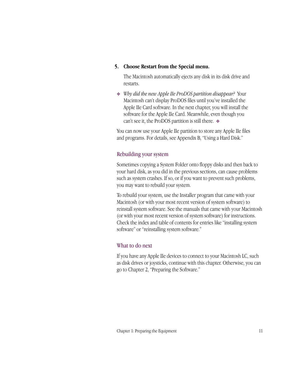#### **5. Choose Restart from the Special menu.**

The Macintosh automatically ejects any disk in its disk drive and restarts.

❖ *Why did the new Apple IIe ProDOS partition disappear?* Your Macintosh can't display ProDOS files until you've installed the Apple IIe Card software. In the next chapter, you will install the software for the Apple IIe Card. Meanwhile, even though you can't see it, the ProDOS partition is still there. ❖

You can now use your Apple IIe partition to store any Apple IIe files and programs. For details, see Appendix B, "Using a Hard Disk."

#### Rebuilding your system

Sometimes copying a System Folder onto floppy disks and then back to your hard disk, as you did in the previous sections, can cause problems such as system crashes. If so, or if you want to prevent such problems, you may want to rebuild your system.

To rebuild your system, use the Installer program that came with your Macintosh (or with your most recent version of system software) to reinstall system software. See the manuals that came with your Macintosh (or with your most recent version of system software) for instructions. Check the index and table of contents for entries like "installing system software" or "reinstalling system software."

#### What to do next

If you have any Apple IIe devices to connect to your Macintosh LC, such as disk drives or joysticks, continue with this chapter. Otherwise, you can go to Chapter 2, "Preparing the Software."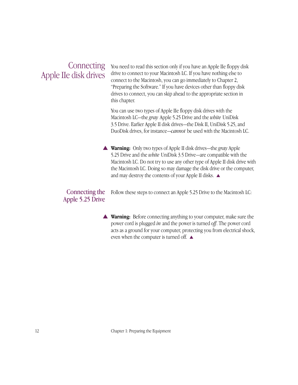# **Connecting** Apple IIe disk drives

You need to read this section only if you have an Apple IIe floppy disk drive to connect to your Macintosh LC. If you have nothing else to connect to the Macintosh, you can go immediately to Chapter 2, "Preparing the Software." If you have devices other than floppy disk drives to connect, you can skip ahead to the appropriate section in this chapter.

You can use two types of Apple IIe floppy disk drives with the Macintosh LC—the *gray* Apple 5.25 Drive and the *white* UniDisk 3.5 Drive. Earlier Apple II disk drives—the Disk II, UniDisk 5.25, and DuoDisk drives, for instance—*cannot* be used with the Macintosh LC.

▲ **Warning:** Only two types of Apple II disk drives—the *gray* Apple 5.25 Drive and the *white* UniDisk 3.5 Drive—are compatible with the Macintosh LC. Do not try to use any other type of Apple II disk drive with the Macintosh LC. Doing so may damage the disk drive or the computer, and may destroy the contents of your Apple II disks. ▲

#### Connecting the Apple 5.25 Drive

Follow these steps to connect an Apple 5.25 Drive to the Macintosh LC:

▲ **Warning:** Before connecting anything to your computer, make sure the power cord is plugged *in* and the power is turned *off*. The power cord acts as a ground for your computer, protecting you from electrical shock, even when the computer is turned off. ▲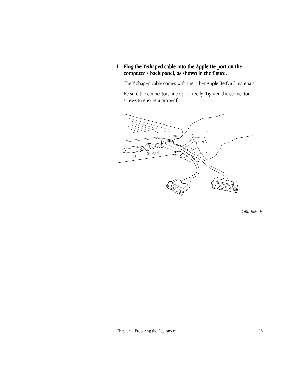**1. Plug the Y-shaped cable into the Apple IIe port on the computer's back panel, as shown in the figure.**

The Y-shaped cable comes with the other Apple IIe Card materials.

Be sure the connectors line up correctly. Tighten the connector screws to ensure a proper fit.



*continues* >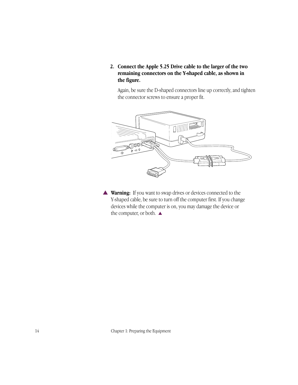**2. Connect the Apple 5.25 Drive cable to the larger of the two remaining connectors on the Y-shaped cable, as shown in the figure.**

Again, be sure the D-shaped connectors line up correctly, and tighten the connector screws to ensure a proper fit.



▲ **Warning:** If you want to swap drives or devices connected to the Y-shaped cable, be sure to turn off the computer first. If you change devices while the computer is on, you may damage the device or the computer, or both.  $\blacktriangle$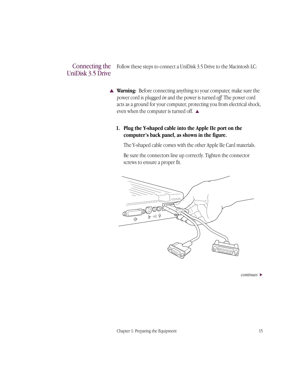#### Follow these steps to connect a UniDisk 3.5 Drive to the Macintosh LC: Connecting the UniDisk 3.5 Drive

- ▲ **Warning:** Before connecting anything to your computer, make sure the power cord is plugged *in* and the power is turned *off.* The power cord acts as a ground for your computer, protecting you from electrical shock, even when the computer is turned off. ▲
	- **1. Plug the Y-shaped cable into the Apple IIe port on the computer's back panel, as shown in the figure.**

The Y-shaped cable comes with the other Apple IIe Card materials.

Be sure the connectors line up correctly. Tighten the connector screws to ensure a proper fit.



*continues* >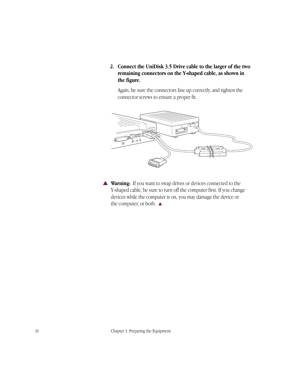**2. Connect the UniDisk 3.5 Drive cable to the larger of the two remaining connectors on the Y-shaped cable, as shown in the figure.**

Again, be sure the connectors line up correctly, and tighten the connector screws to ensure a proper fit.



▲ **Warning:** If you want to swap drives or devices connected to the Y-shaped cable, be sure to turn off the computer first. If you change devices while the computer is on, you may damage the device or the computer, or both. ▲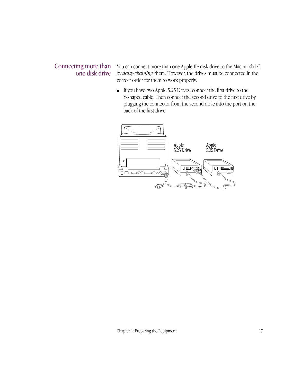## Connecting more than one disk drive

You can connect more than one Apple IIe disk drive to the Macintosh LC by *daisy-chaining* them. However, the drives must be connected in the correct order for them to work properly:

■ If you have two Apple 5.25 Drives, connect the first drive to the Y-shaped cable. Then connect the second drive to the first drive by plugging the connector from the second drive into the port on the back of the first drive.

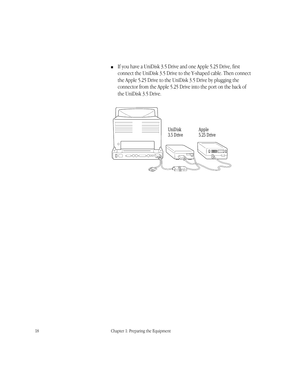■ If you have a UniDisk 3.5 Drive and one Apple 5.25 Drive, first connect the UniDisk 3.5 Drive to the Y-shaped cable. Then connect the Apple 5.25 Drive to the UniDisk 3.5 Drive by plugging the connector from the Apple 5.25 Drive into the port on the back of the UniDisk 3.5 Drive.

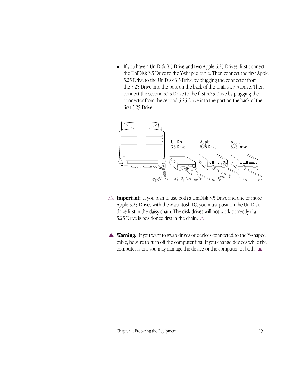■ If you have a UniDisk 3.5 Drive and two Apple 5.25 Drives, first connect the UniDisk 3.5 Drive to the Y-shaped cable. Then connect the first Apple 5.25 Drive to the UniDisk 3.5 Drive by plugging the connector from the 5.25 Drive into the port on the back of the UniDisk 3.5 Drive. Then connect the second 5.25 Drive to the first 5.25 Drive by plugging the connector from the second 5.25 Drive into the port on the back of the first 5.25 Drive.



- $\triangle$  **Important:** If you plan to use both a UniDisk 3.5 Drive and one or more Apple 5.25 Drives with the Macintosh LC, you must position the UniDisk drive first in the daisy chain. The disk drives will not work correctly if a 5.25 Drive is positioned first in the chain.  $\triangle$
- ▲ **Warning:** If you want to swap drives or devices connected to the Y-shaped cable, be sure to turn off the computer first. If you change devices while the computer is on, you may damage the device or the computer, or both. ▲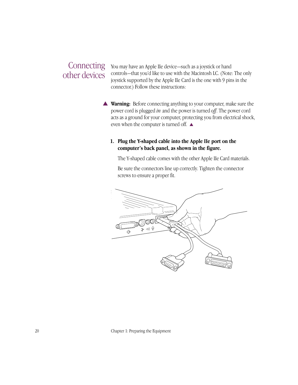# **Connecting** other devices

You may have an Apple IIe device—such as a joystick or hand controls—that you'd like to use with the Macintosh LC. (Note: The only joystick supported by the Apple IIe Card is the one with 9 pins in the connector.) Follow these instructions:

▲ **Warning:** Before connecting anything to your computer, make sure the power cord is plugged *in* and the power is turned *off*. The power cord acts as a ground for your computer, protecting you from electrical shock, even when the computer is turned off. ▲

#### **1. Plug the Y-shaped cable into the Apple IIe port on the computer's back panel, as shown in the figure.**

The Y-shaped cable comes with the other Apple IIe Card materials.

Be sure the connectors line up correctly. Tighten the connector screws to ensure a proper fit.

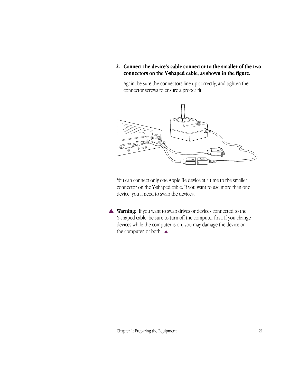**2. Connect the device's cable connector to the smaller of the two connectors on the Y-shaped cable, as shown in the figure.**

Again, be sure the connectors line up correctly, and tighten the connector screws to ensure a proper fit.



You can connect only one Apple IIe device at a time to the smaller connector on the Y-shaped cable. If you want to use more than one device, you'll need to swap the devices.

▲ **Warning:** If you want to swap drives or devices connected to the Y-shaped cable, be sure to turn off the computer first. If you change devices while the computer is on, you may damage the device or the computer, or both.  $\blacktriangle$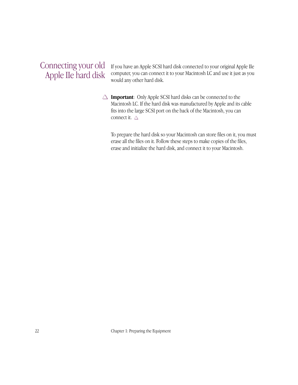### Connecting your old Apple IIe hard disk

If you have an Apple SCSI hard disk connected to your original Apple IIe computer, you can connect it to your Macintosh LC and use it just as you would any other hard disk.

 $\triangle$  **Important**: Only Apple SCSI hard disks can be connected to the Macintosh LC. If the hard disk was manufactured by Apple and its cable fits into the large SCSI port on the back of the Macintosh, you can connect it.  $\triangle$ 

To prepare the hard disk so your Macintosh can store files on it, you must erase all the files on it. Follow these steps to make copies of the files, erase and initialize the hard disk, and connect it to your Macintosh.

22 Chapter 1: Preparing the Equipment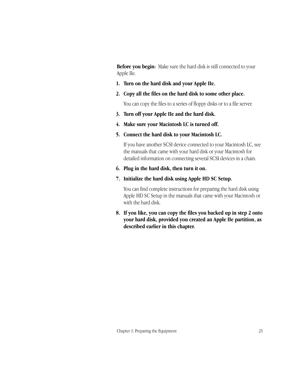**Before you begin:** Make sure the hard disk is still connected to your Apple IIe.

- **1. Turn on the hard disk and your Apple IIe.**
- **2. Copy all the files on the hard disk to some other place.**

You can copy the files to a series of floppy disks or to a file server.

- **3. Turn off your Apple IIe and the hard disk.**
- **4. Make sure your Macintosh LC is turned off.**
- **5. Connect the hard disk to your Macintosh LC.**

If you have another SCSI device connected to your Macintosh LC, see the manuals that came with your hard disk or your Macintosh for detailed information on connecting several SCSI devices in a chain.

- **6. Plug in the hard disk, then turn it on.**
- **7. Initialize the hard disk using Apple HD SC Setup.**

You can find complete instructions for preparing the hard disk using Apple HD SC Setup in the manuals that came with your Macintosh or with the hard disk.

**8. If you like, you can copy the files you backed up in step 2 onto your hard disk, provided you created an Apple IIe partition, as described earlier in this chapter.**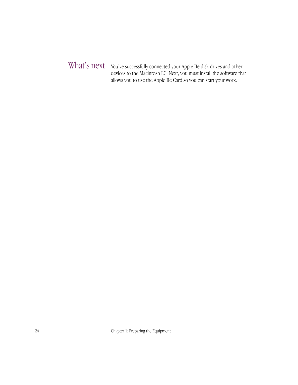### You've successfully connected your Apple IIe disk drives and other What's next devices to the Macintosh LC. Next, you must install the software that allows you to use the Apple IIe Card so you can start your work.

24 Chapter 1: Preparing the Equipment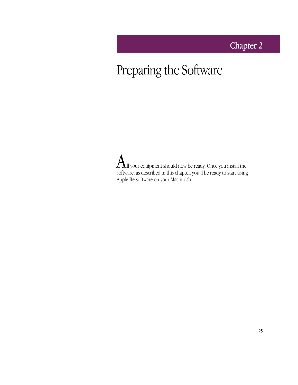## Chapter 2

# Preparing the Software

 ${\rm A}$ ll your equipment should now be ready. Once you install the software, as described in this chapter, you'll be ready to start using Apple IIe software on your Macintosh.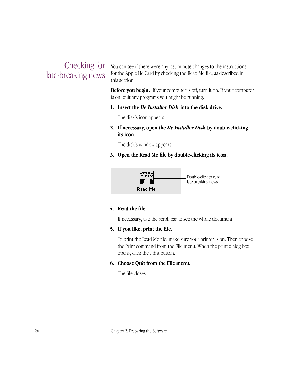### Checking for late-breaking news

You can see if there were any last-minute changes to the instructions for the Apple IIe Card by checking the Read Me file, as described in this section.

**Before you begin:** If your computer is off, turn it on. If your computer is on, quit any programs you might be running.

**1. Insert the** *IIe Installer Disk* **into the disk drive.**

The disk's icon appears.

**2. If necessary, open the** *IIe Installer Disk* **by double-clicking its icon.**

The disk's window appears.

**3. Open the Read Me file by double-clicking its icon.**



#### **4. Read the file.**

If necessary, use the scroll bar to see the whole document.

**5. If you like, print the file.**

To print the Read Me file, make sure your printer is on. Then choose the Print command from the File menu. When the print dialog box opens, click the Print button.

#### **6. Choose Quit from the File menu.**

The file closes.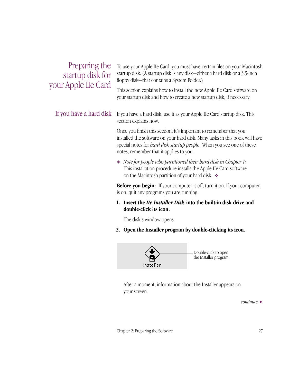| Preparing the       |
|---------------------|
| startup disk for    |
| your Apple IIe Card |

To use your Apple IIe Card, you must have certain files on your Macintosh startup disk. (A startup disk is any disk—either a hard disk or a 3.5-inch floppy disk—that contains a System Folder.)

This section explains how to install the new Apple IIe Card software on your startup disk and how to create a new startup disk, if necessary.

#### If you have a hard disk

If you have a hard disk, use it as your Apple IIe Card startup disk. This section explains how.

Once you finish this section, it's important to remember that you installed the software on your hard disk. Many tasks in this book will have special notes for *hard disk startup people*. When you see one of these notes, remember that it applies to you.

❖ *Note for people who partitioned their hard disk in Chapter 1:*  This installation procedure installs the Apple IIe Card software on the Macintosh partition of your hard disk. ❖

**Before you begin:** If your computer is off, turn it on. If your computer is on, quit any programs you are running.

#### **1. Insert the** *IIe Installer Disk* **into the built-in disk drive and double-click its icon.**

The disk's window opens.

**2. Open the Installer program by double-clicking its icon.**



After a moment, information about the Installer appears on your screen.

*continues* >

Chapter 2: Preparing the Software 27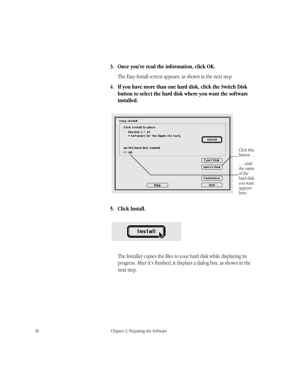**3. Once you've read the information, click OK.**

The Easy Install screen appears, as shown in the next step.

**4. If you have more than one hard disk, click the Switch Disk button to select the hard disk where you want the software installed.**



#### **5. Click Install.**



The Installer copies the files to your hard disk while displaying its progress. After it's finished, it displays a dialog box, as shown in the next step.

28 Chapter 2: Preparing the Software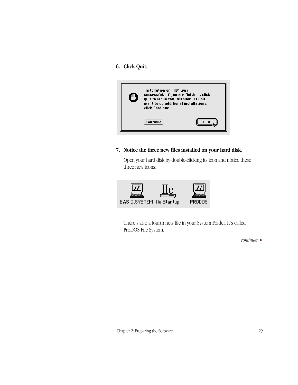#### **6. Click Quit.**



#### **7. Notice the three new files installed on your hard disk.**

Open your hard disk by double-clicking its icon and notice these three new icons:



There's also a fourth new file in your System Folder. It's called ProDOS File System.

*continues* >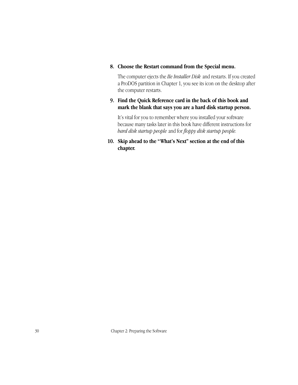#### **8. Choose the Restart command from the Special menu.**

The computer ejects the *IIe Installer Disk* and restarts. If you created a ProDOS partition in Chapter 1, you see its icon on the desktop after the computer restarts.

#### **9. Find the Quick Reference card in the back of this book and mark the blank that says you are a hard disk startup person.**

It's vital for you to remember where you installed your software because many tasks later in this book have different instructions for *hard disk startup people* and for *floppy disk startup people.*

**10. Skip ahead to the "What's Next" section at the end of this chapter.**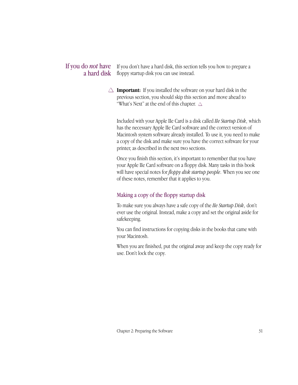### If you do *not* have If you don't have a hard disk, this section tells you how to prepare a a hard disk floppy startup disk you can use instead.

 $\triangle$  **Important:** If you installed the software on your hard disk in the previous section, you should skip this section and move ahead to "What's Next" at the end of this chapter.  $\triangle$ 

Included with your Apple IIe Card is a disk called *IIe Startup Disk*, which has the necessary Apple IIe Card software and the correct version of Macintosh system software already installed. To use it, you need to make a copy of the disk and make sure you have the correct software for your printer, as described in the next two sections.

Once you finish this section, it's important to remember that you have your Apple IIe Card software on a floppy disk. Many tasks in this book will have special notes for *floppy disk startup people*. When you see one of these notes, remember that it applies to you.

#### Making a copy of the floppy startup disk

To make sure you always have a safe copy of the *IIe Startup Disk*, don't ever use the original. Instead, make a copy and set the original aside for safekeeping.

You can find instructions for copying disks in the books that came with your Macintosh.

When you are finished, put the original away and keep the copy ready for use. Don't lock the copy.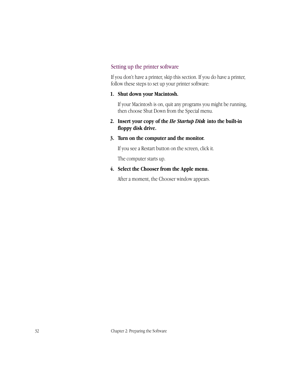#### Setting up the printer software

If you don't have a printer, skip this section. If you do have a printer, follow these steps to set up your printer software:

#### **1. Shut down your Macintosh.**

If your Macintosh is on, quit any programs you might be running, then choose Shut Down from the Special menu.

**2. Insert your copy of the** *IIe Startup Disk* **into the built-in floppy disk drive.**

#### **3. Turn on the computer and the monitor.**

If you see a Restart button on the screen, click it.

The computer starts up.

#### **4. Select the Chooser from the Apple menu.**

After a moment, the Chooser window appears.

32 Chapter 2: Preparing the Software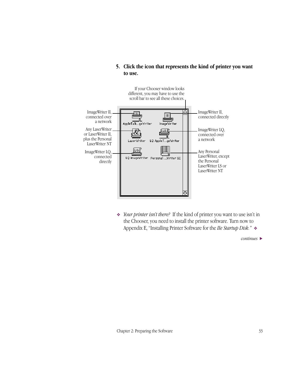

#### **5. Click the icon that represents the kind of printer you want to use.**

❖ *Your printer isn't there?* If the kind of printer you want to use isn't in the Chooser, you need to install the printer software. Turn now to Appendix E, "Installing Printer Software for the *IIe Startup Disk."* ❖

*continues* >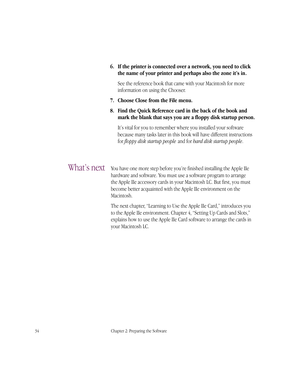**6. If the printer is connected over a network, you need to click the name of your printer and perhaps also the zone it's in.** 

See the reference book that came with your Macintosh for more information on using the Chooser.

- **7. Choose Close from the File menu.**
- **8. Find the Quick Reference card in the back of the book and mark the blank that says you are a floppy disk startup person.**

It's vital for you to remember where you installed your software because many tasks later in this book will have different instructions for *floppy disk startup people* and for *hard disk startup people*.

You have one more step before you're finished installing the Apple IIe hardware and software. You must use a software program to arrange the Apple IIe accessory cards in your Macintosh LC. But first, you must become better acquainted with the Apple IIe environment on the Macintosh. What's next

> The next chapter, "Learning to Use the Apple IIe Card," introduces you to the Apple IIe environment. Chapter 4, "Setting Up Cards and Slots," explains how to use the Apple IIe Card software to arrange the cards in your Macintosh LC.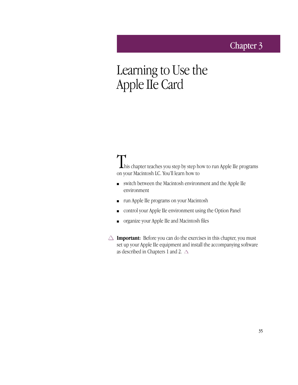### Chapter 3

## Learning to Use the Apple IIe Card

**This chapter teaches you step by step how to run Apple IIe programs** on your Macintosh LC. You'll learn how to

- switch between the Macintosh environment and the Apple IIe environment
- run Apple IIe programs on your Macintosh
- control your Apple IIe environment using the Option Panel
- organize your Apple IIe and Macintosh files
- $\triangle$  **Important:** Before you can do the exercises in this chapter, you must set up your Apple IIe equipment and install the accompanying software as described in Chapters 1 and 2.  $\triangle$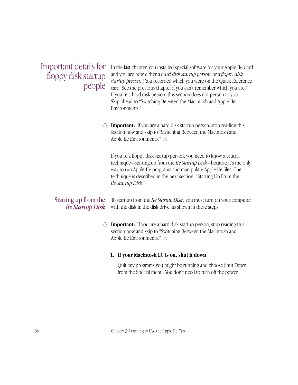Important details for floppy disk startup people

In the last chapter, you installed special software for your Apple IIe Card, and you are now either a *hard disk startup person* or a *floppy disk startup person.* (You recorded which you were on the Quick Reference card. See the previous chapter if you can't remember which you are.) If you're a hard disk person, this section does not pertain to you. Skip ahead to "Switching Between the Macintosh and Apple IIe Environments."

 $\triangle$  **Important:** If you are a hard disk startup person, stop reading this section now and skip to "Switching Between the Macintosh and Apple IIe Environments."  $\triangle$ 

If you're a floppy disk startup person, you need to know a crucial technique—starting up from the *IIe Startup Disk*—because it's the only way to run Apple IIe programs and manipulate Apple IIe files. The technique is described in the next section, "Starting Up From the *IIe Startup Disk*."

#### Starting up from the *IIe Startup Disk*

To start up from the *IIe Startup Disk*, you must turn on your computer with the disk in the disk drive, as shown in these steps.

 $\triangle$  **Important:** If you are a hard disk startup person, stop reading this section now and skip to "Switching Between the Macintosh and Apple IIe Environments."  $\triangle$ 

#### **1. If your Macintosh LC is on, shut it down.**

Quit any programs you might be running and choose Shut Down from the Special menu. You don't need to turn off the power.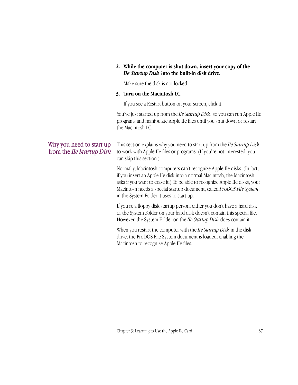#### **2. While the computer is shut down, insert your copy of the**  *IIe Startup Disk* **into the built-in disk drive.**

Make sure the disk is not locked.

#### **3. Turn on the Macintosh LC.**

If you see a Restart button on your screen, click it.

You've just started up from the *IIe Startup Disk,* so you can run Apple IIe programs and manipulate Apple IIe files until you shut down or restart the Macintosh LC.

### Why you need to start up from the *IIe Startup Disk*

This section explains why you need to start up from the *IIe Startup Disk* to work with Apple IIe files or programs. (If you're not interested, you can skip this section.)

Normally, Macintosh computers can't recognize Apple IIe disks. (In fact, if you insert an Apple IIe disk into a normal Macintosh, the Macintosh asks if you want to erase it.) To be able to recognize Apple IIe disks, your Macintosh needs a special startup document, called *ProDOS File System*, in the System Folder it uses to start up.

If you're a floppy disk startup person, either you don't have a hard disk or the System Folder on your hard disk doesn't contain this special file. However, the System Folder on the *IIe Startup Disk* does contain it.

When you restart the computer with the *IIe Startup Disk* in the disk drive, the ProDOS File System document is loaded, enabling the Macintosh to recognize Apple IIe files.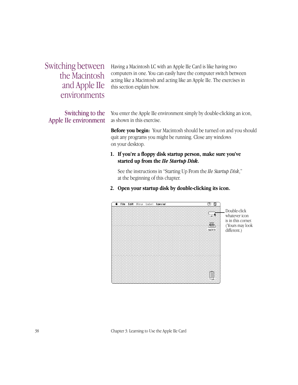Switching between the Macintosh and Apple IIe environments

Switching to the Apple IIe environment Having a Macintosh LC with an Apple IIe Card is like having two computers in one. You can easily have the computer switch between acting like a Macintosh and acting like an Apple IIe. The exercises in this section explain how.

You enter the Apple IIe environment simply by double-clicking an icon, as shown in this exercise.

**Before you begin:** Your Macintosh should be turned on and you should quit any programs you might be running. Close any windows on your desktop.

#### **1. If you're a floppy disk startup person, make sure you've started up from the** *IIe Startup Disk***.**

See the instructions in "Starting Up From the *IIe Startup Disk*," at the beginning of this chapter.

**2. Open your startup disk by double-clicking its icon.**



Double-click whatever icon is in this corner. ( Yours may look different.)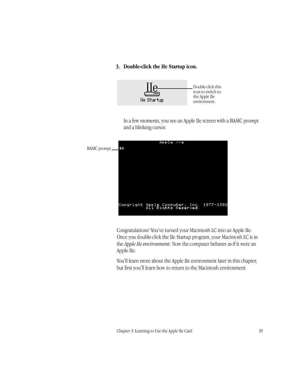#### **3. Double-click the IIe Startup icon.**



In a few moments, you see an Apple IIe screen with a BASIC prompt and a blinking cursor.



Congratulations! You've turned your Macintosh LC into an Apple IIe. Once you double-click the IIe Startup program, your Macintosh LC is in the *Apple IIe environment:* Now the computer behaves as if it were an Apple IIe.

You'll learn more about the Apple IIe environment later in this chapter, but first you'll learn how to return to the Macintosh environment.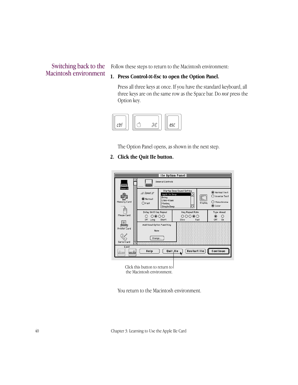#### Switching back to the Macintosh environment

Follow these steps to return to the Macintosh environment:

#### **1. Press Control-**x**-Esc to open the Option Panel.**

Press all three keys at once. If you have the standard keyboard, all three keys are on the same row as the Space bar. Do *not* press the Option key.



The Option Panel opens, as shown in the next step.

#### **2. Click the Quit IIe button.**



Click this button to return to the Macintosh environment.

You return to the Macintosh environment.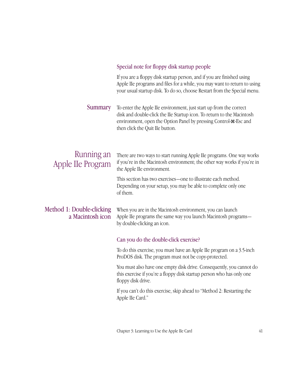#### Special note for floppy disk startup people

If you are a floppy disk startup person, and if you are finished using Apple IIe programs and files for a while, you may want to return to using your usual startup disk. To do so, choose Restart from the Special menu.

To enter the Apple IIe environment, just start up from the correct disk and double-click the IIe Startup icon. To return to the Macintosh environment, open the Option Panel by pressing Control- $\mathcal{H}$ -Esc and then click the Quit IIe button. **Summary** 

### Running an Apple IIe Program

There are two ways to start running Apple IIe programs. One way works if you're in the Macintosh environment; the other way works if you're in the Apple IIe environment.

This section has two exercises—one to illustrate each method. Depending on your setup, you may be able to complete only one of them.

### Method 1: Double-clicking a Macintosh icon

When you are in the Macintosh environment, you can launch Apple IIe programs the same way you launch Macintosh programs by double-clicking an icon.

#### Can you do the double-click exercise?

To do this exercise, you must have an Apple IIe program on a 3.5-inch ProDOS disk. The program must not be copy-protected.

You must also have one empty disk drive. Consequently, you cannot do this exercise if you're a floppy disk startup person who has only one floppy disk drive.

If you can't do this exercise, skip ahead to "Method 2: Restarting the Apple IIe Card."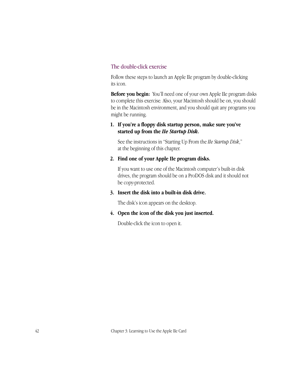#### The double-click exercise

Follow these steps to launch an Apple IIe program by double-clicking its icon.

**Before you begin:** You'll need one of your own Apple IIe program disks to complete this exercise*.* Also, your Macintosh should be on, you should be in the Macintosh environment, and you should quit any programs you might be running.

#### **1. If you're a floppy disk startup person, make sure you've started up from the** *IIe Startup Disk***.**

See the instructions in "Starting Up From the *IIe Startup Disk*," at the beginning of this chapter.

#### **2. Find one of your Apple IIe program disks.**

If you want to use one of the Macintosh computer's built-in disk drives, the program should be on a ProDOS disk and it should not be copy-protected.

#### **3. Insert the disk into a built-in disk drive.**

The disk's icon appears on the desktop.

#### **4. Open the icon of the disk you just inserted.**

Double-click the icon to open it.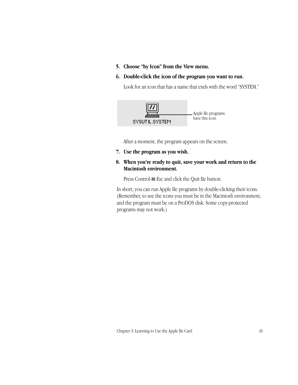**5. Choose "by Icon" from the View menu.**

#### **6. Double-click the icon of the program you want to run.**

Look for an icon that has a name that ends with the word "SYSTEM."



After a moment, the program appears on the screen.

- **7. Use the program as you wish.**
- **8. When you're ready to quit, save your work and return to the Macintosh environment.**

Press Control-x-Esc and click the Quit IIe button.

In short, you can run Apple IIe programs by double-clicking their icons. (Remember, to see the icons you must be in the Macintosh environment, and the program must be on a ProDOS disk. Some copy-protected programs may not work.)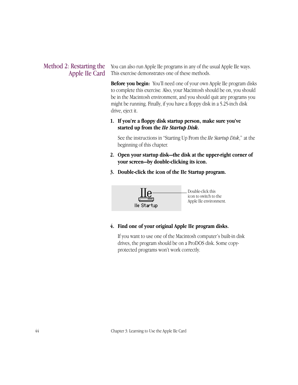#### Method 2: Restarting the Apple IIe Card

You can also run Apple IIe programs in any of the usual Apple IIe ways. This exercise demonstrates one of these methods.

**Before you begin:** You'll need one of your own Apple IIe program disks to complete this exercise*.* Also, your Macintosh should be on, you should be in the Macintosh environment, and you should quit any programs you might be running. Finally, if you have a floppy disk in a 5.25-inch disk drive, eject it.

#### **1. If you're a floppy disk startup person, make sure you've started up from the** *IIe Startup Disk***.**

See the instructions in "Starting Up From the *IIe Startup Disk*," at the beginning of this chapter.

- **2. Open your startup disk—the disk at the upper-right corner of your screen—by double-clicking its icon.**
- **3. Double-click the icon of the IIe Startup program.**



**4. Find one of your original Apple IIe program disks.**

If you want to use one of the Macintosh computer's built-in disk drives, the program should be on a ProDOS disk. Some copyprotected programs won't work correctly.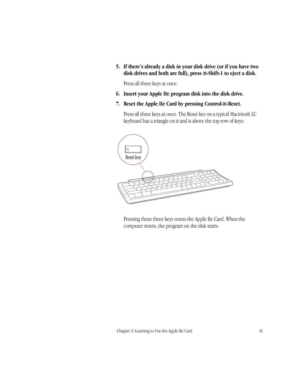**5. If there's already a disk in your disk drive (or if you have two disk drives and both are full), press** x**-Shift-1 to eject a disk.**

Press all three keys at once.

- **6. Insert your Apple IIe program disk into the disk drive.**
- **7. Reset the Apple IIe Card by pressing Control-**x**-Reset.**

Press all three keys at once. The Reset key on a typical Macintosh LC keyboard has a triangle on it and is above the top row of keys:



Pressing these three keys resets the Apple IIe Card. When the computer resets, the program on the disk starts.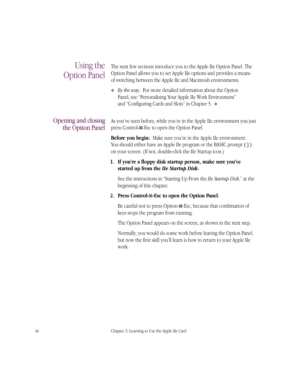### Using the Option Panel

The next few sections introduce you to the Apple IIe Option Panel. The Option Panel allows you to set Apple IIe options and provides a means of switching between the Apple IIe and Macintosh environments.

❖ *By the way:* For more detailed information about the Option Panel, see "Personalizing Your Apple IIe Work Environment" and "Configuring Cards and Slots" in Chapter 5. ❖

#### Opening and closing the Option Panel

As you've seen before, while you're in the Apple IIe environment you just press Control-x-Esc to open the Option Panel.

**Before you begin:** Make sure you're in the Apple IIe environment. You should either have an Apple IIe program or the BASIC prompt (1) on your screen. (If not, double-click the IIe Startup icon.)

#### **1. If you're a floppy disk startup person, make sure you've started up from the** *IIe Startup Disk***.**

See the instructions in "Starting Up From the *IIe Startup Disk*," at the beginning of this chapter.

#### **2. Press Control-**x**-Esc to open the Option Panel.**

Be careful not to press Option- $\mathcal{H}$ -Esc, because that combination of keys stops the program from running.

The Option Panel appears on the screen, as shown in the next step.

Normally, you would do some work before leaving the Option Panel, but now the first skill you'll learn is how to return to your Apple IIe work.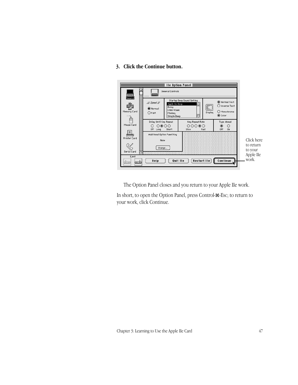#### **3. Click the Continue button.**

|                                              |                                                    |                                                                 | lle Option Panel $\equiv$                |               |                                                                                |                      |
|----------------------------------------------|----------------------------------------------------|-----------------------------------------------------------------|------------------------------------------|---------------|--------------------------------------------------------------------------------|----------------------|
|                                              | General Controls                                   |                                                                 |                                          |               |                                                                                |                      |
| General<br>Memory Card                       | $Speed =$<br>◉ Normal<br>$\bigcirc$ Fast           | Apple Ile Beep<br>Boing<br>Clink-Klank<br>Monkey<br>Simple Beep | Startup Beep Sound Setting               | L.<br>Display | Normal Text<br>$\bigcirc$ Inverse Text<br>O Monochrome<br>$\circledcirc$ Color |                      |
| Mouse Card                                   | Delay Until Key Repeat<br>೧೧೧೧<br>O<br>0ff<br>Long | Short                                                           | Key Repeat Rate<br>೧೦೦೦೦<br>Fast<br>Slow |               | Type Ahead<br>◉<br>O<br>Off<br>On                                              |                      |
| Printer Card                                 | Additional Option Panel Key<br>None                |                                                                 |                                          |               |                                                                                | Click here           |
| Serial Card<br>ロ                             | Change                                             |                                                                 |                                          |               |                                                                                | to return<br>to your |
| Eject<br>,,,,,,,,,,,,,,<br>÷<br>kuirumi<br>. | Help                                               |                                                                 | Restart IIe<br>Quit IIe                  |               | Continue                                                                       | Apple IIe<br>work.   |

The Option Panel closes and you return to your Apple IIe work.

In short, to open the Option Panel, press Control- $\mathcal{F}\text{-}\text{Esc}$ ; to return to your work, click Continue.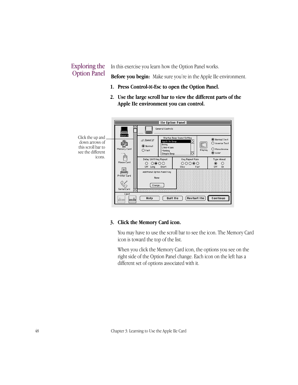### Exploring the Option Panel

In this exercise you learn how the Option Panel works.

**Before you begin:** Make sure you're in the Apple IIe environment.

- **1. Press Control-**x**-Esc to open the Option Panel.**
- **2. Use the large scroll bar to view the different parts of the Apple IIe environment you can control.**



#### **3. Click the Memory Card icon.**

You may have to use the scroll bar to see the icon. The Memory Card icon is toward the top of the list.

When you click the Memory Card icon, the options you see on the right side of the Option Panel change. Each icon on the left has a different set of options associated with it.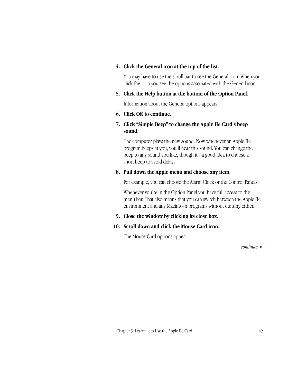#### **4. Click the General icon at the top of the list.**

You may have to use the scroll bar to see the General icon. When you click the icon you see the options associated with the General icon.

#### **5. Click the Help button at the bottom of the Option Panel.**

Information about the General options appears.

#### **6. Click OK to continue.**

#### **7. Click "Simple Beep" to change the Apple IIe Card's beep sound.**

The computer plays the new sound. Now whenever an Apple IIe program beeps at you, you'll hear this sound. You can change the beep to any sound you like, though it's a good idea to choose a short beep to avoid delays.

#### **8. Pull down the Apple menu and choose any item.**

For example, you can choose the Alarm Clock or the Control Panels.

Whenever you're in the Option Panel you have full access to the menu bar. That also means that you can switch between the Apple IIe environment and any Macintosh programs without quitting either.

#### **9. Close the window by clicking its close box.**

#### **10. Scroll down and click the Mouse Card icon.**

The Mouse Card options appear.

*continues* >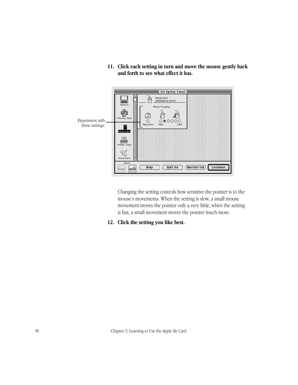- $\equiv$  11e Option Panel  $\equiv$ Mouse Card<br>(Installed in slot 4) À neral Mouse Tracking ende<br>England<br>Memory Card À ø ₫Ĥ  $\circ$  $0@0000$ Experiment with Very Slow Slow Fast  $\begin{array}{c} \square \\ \square \\ \square \end{array}$ Mouse Card these settings.E. Printer Card Co<sup>ooo</sup><br>Serial Card Eje  $HeIp$  $\boxed{$  Quit IIe  $\boxed{}$ **Restart IIe** Continue  $\overline{\mathbf{t}}$
- **11. Click each setting in turn and move the mouse gently back and forth to see what effect it has.**

Changing the setting controls how sensitive the pointer is to the mouse's movements. When the setting is slow, a small mouse movement moves the pointer only a very little; when the setting is fast, a small movement moves the pointer much more.

**12. Click the setting you like best.**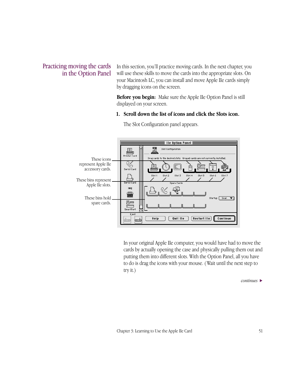#### Practicing moving the cards in the Option Panel

In this section, you'll practice moving cards. In the next chapter, you will use these skills to move the cards into the appropriate slots. On your Macintosh LC, you can install and move Apple IIe cards simply by dragging icons on the screen.

**Before you begin:** Make sure the Apple IIe Option Panel is still displayed on your screen.

#### **1. Scroll down the list of icons and click the Slots icon.**



The Slot Configuration panel appears.

In your original Apple IIe computer, you would have had to move the cards by actually opening the case and physically pulling them out and putting them into different slots. With the Option Panel, all you have to do is drag the icons with your mouse. ( Wait until the next step to try it.)

*continues* >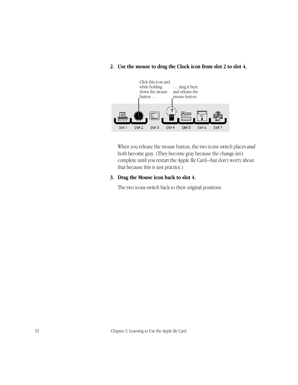

#### **2. Use the mouse to drag the Clock icon from slot 2 to slot 4.**

When you release the mouse button, the two icons switch places *and* both become gray. (They become gray because the change isn't complete until you restart the Apple IIe Card—but don't worry about that because this is just practice.)

#### **3. Drag the Mouse icon back to slot 4.**

The two icons switch back to their original positions.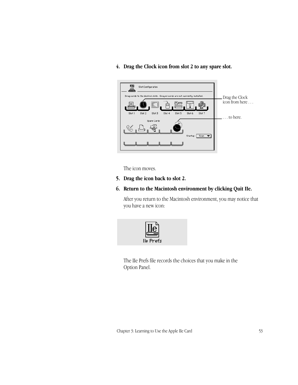- 驔 Slot Configuration Drag cards to the desired slots. Grayed cards are not currently installed. Drag the Clock icon from here . . . B=  ${\sf Slot}~2$ Slot  $\bar{3}$  ${\tt Slot}$   ${\tt S}$ Slot  $\rm 6$ Slot 7 Slot 4 . . . to here.Spare Cards € Startup: Scan V
- **4. Drag the Clock icon from slot 2 to any spare slot.**

The icon moves.

**5. Drag the icon back to slot 2.**

#### **6. Return to the Macintosh environment by clicking Quit IIe.**

After you return to the Macintosh environment, you may notice that you have a new icon:



The IIe Prefs file records the choices that you make in the Option Panel.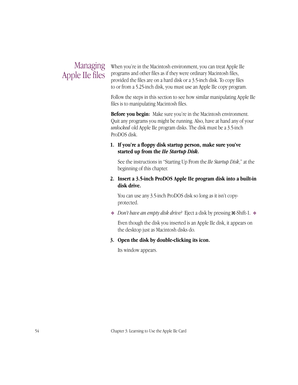### Managing Apple IIe files

When you're in the Macintosh environment, you can treat Apple IIe programs and other files as if they were ordinary Macintosh files, provided the files are on a hard disk or a 3.5-inch disk. To copy files to or from a 5.25-inch disk, you must use an Apple IIe copy program.

Follow the steps in this section to see how similar manipulating Apple IIe files is to manipulating Macintosh files.

**Before you begin:** Make sure you're in the Macintosh environment. Quit any programs you might be running. Also, have at hand any of your *unlocked* old Apple IIe program disks. The disk must be a 3.5-inch ProDOS disk.

#### **1. If you're a floppy disk startup person, make sure you've started up from the** *IIe Startup Disk***.**

See the instructions in "Starting Up From the *IIe Startup Disk*," at the beginning of this chapter.

#### **2. Insert a 3.5-inch ProDOS Apple IIe program disk into a built-in disk drive.**

You can use any 3.5-inch ProDOS disk so long as it isn't copyprotected.

**◆** *Don't have an empty disk drive?* Eject a disk by pressing  $\angle$  Shift-1. ◆

Even though the disk you inserted is an Apple IIe disk, it appears on the desktop just as Macintosh disks do.

**3. Open the disk by double-clicking its icon.**

Its window appears.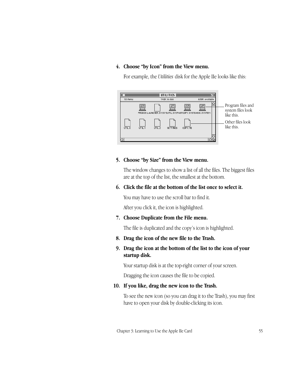#### **4. Choose "by Icon" from the View menu.**

For example, the *Utilities* disk for the Apple IIe looks like this:



#### **5. Choose "by Size" from the View menu.**

The window changes to show a list of all the files. The biggest files are at the top of the list, the smallest at the bottom.

#### **6. Click the file at the bottom of the list once to select it.**

You may have to use the scroll bar to find it.

After you click it, the icon is highlighted.

**7. Choose Duplicate from the File menu.**

The file is duplicated and the copy's icon is highlighted.

**8. Drag the icon of the new file to the Trash.**

#### **9. Drag the icon at the bottom of the list to the icon of your startup disk.**

Your startup disk is at the top-right corner of your screen.

Dragging the icon causes the file to be copied.

#### **10. If you like, drag the new icon to the Trash.**

To see the new icon (so you can drag it to the Trash), you may first have to open your disk by double-clicking its icon.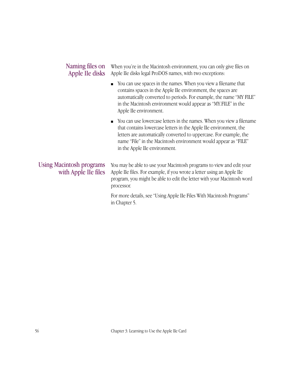#### When you're in the Macintosh environment, you can only give files on Apple IIe disks legal ProDOS names, with two exceptions: Naming files on Apple IIe disks

- You can use spaces in the names. When you view a filename that contains spaces in the Apple IIe environment, the spaces are automatically converted to periods. For example, the name "MY FILE" in the Macintosh environment would appear as "MY.FILE" in the Apple IIe environment.
- You can use lowercase letters in the names. When you view a filename that contains lowercase letters in the Apple IIe environment, the letters are automatically converted to uppercase. For example, the name "File" in the Macintosh environment would appear as "FILE" in the Apple IIe environment.

#### Using Macintosh programs with Apple IIe files

You may be able to use your Macintosh programs to view and edit your Apple IIe files. For example, if you wrote a letter using an Apple IIe program, you might be able to edit the letter with your Macintosh word processor.

For more details, see "Using Apple IIe Files With Macintosh Programs" in Chapter 5.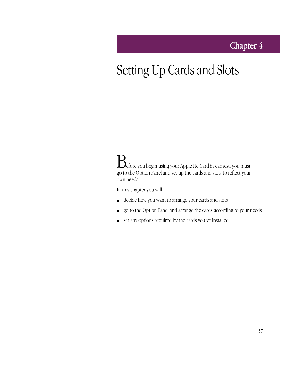## Chapter 4

# Setting Up Cards and Slots

Before you begin using your Apple IIe Card in earnest, you must go to the Option Panel and set up the cards and slots to reflect your own needs.

In this chapter you will

- decide how you want to arrange your cards and slots
- go to the Option Panel and arrange the cards according to your needs
- set any options required by the cards you've installed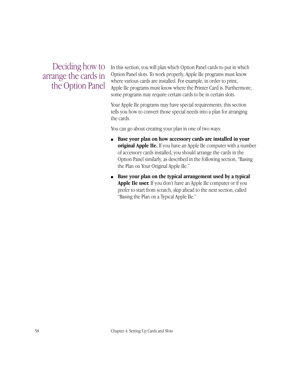Deciding how to arrange the cards in the Option Panel

In this section, you will plan which Option Panel cards to put in which Option Panel slots. To work properly, Apple IIe programs must know where various cards are installed. For example, in order to print, Apple IIe programs must know where the Printer Card is. Furthermore, some programs may require certain cards to be in certain slots.

Your Apple IIe programs may have special requirements; this section tells you how to convert those special needs into a plan for arranging the cards.

You can go about creating your plan in one of two ways:

- **Base your plan on how accessory cards are installed in your original Apple IIe.** If you have an Apple IIe computer with a number of accessory cards installed, you should arrange the cards in the Option Panel similarly, as described in the following section, "Basing the Plan on Your Original Apple IIe."
- **Base your plan on the typical arrangement used by a typical Apple IIe user.** If you don't have an Apple IIe computer or if you prefer to start from scratch, skip ahead to the next section, called "Basing the Plan on a Typical Apple IIe."

58 Chapter 4: Setting Up Cards and Slots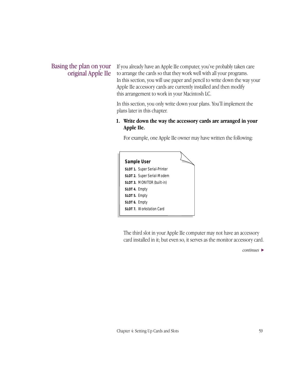#### Basing the plan on your original Apple IIe

If you already have an Apple IIe computer, you've probably taken care to arrange the cards so that they work well with all your programs. In this section, you will use paper and pencil to write down the way your Apple IIe accessory cards are currently installed and then modify this arrangement to work in your Macintosh LC.

In this section, you only write down your plans. You'll implement the plans later in this chapter.

#### **1. Write down the way the accessory cards are arranged in your Apple IIe.**

For example, one Apple IIe owner may have written the following:

|                                       | Sample User<br><b>SLOT 1.</b> Super Serial-Printer                     |  |
|---------------------------------------|------------------------------------------------------------------------|--|
|                                       | <b>SLOT 2.</b> Super Serial-Modem<br><b>SLOT 3. MONITOR (built-in)</b> |  |
| <b>SLOT 4. Empty</b><br>SLOT 5. Empty |                                                                        |  |
| <b>SLOT 6. Empty</b>                  | <b>SLOT 7.</b> Workstation Card                                        |  |

The third slot in your Apple IIe computer may not have an accessory card installed in it; but even so, it serves as the monitor accessory card.

*continues* >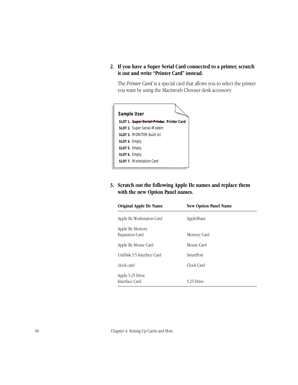**2. If you have a Super Serial Card connected to a printer, scratch it out and write "Printer Card" instead.**

The *Printer Card* is a special card that allows you to select the printer you want by using the Macintosh Chooser desk accessory.



#### **3. Scratch out the following Apple IIe names and replace them with the new Option Panel names.**

| <b>Original Apple IIe Name</b>            | <b>New Option Panel Name</b> |
|-------------------------------------------|------------------------------|
| Apple IIe Workstation Card                | AppleShare                   |
| Apple IIe Memory<br><b>Expansion Card</b> | Memory Card                  |
| Apple IIe Mouse Card                      | Mouse Card                   |
| UniDisk 3.5 Interface Card                | SmartPort                    |
| clock card                                | Clock Card                   |
| Apple 5.25 Drive<br>Interface Card        | 5.25 Drive                   |

60 Chapter 4: Setting Up Cards and Slots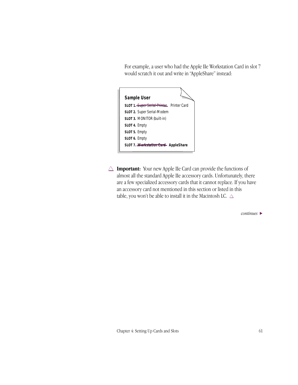For example, a user who had the Apple IIe Workstation Card in slot 7 would scratch it out and write in "AppleShare" instead:



 $\triangle$  **Important:** Your new Apple IIe Card can provide the functions of almost all the standard Apple IIe accessory cards. Unfortunately, there are a few specialized accessory cards that it cannot replace. If you have an accessory card not mentioned in this section or listed in this table, you won't be able to install it in the Macintosh LC.  $\triangle$ 

*continues* >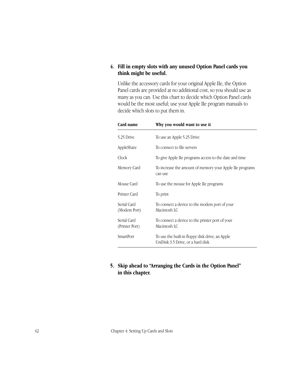#### **4. Fill in empty slots with any unused Option Panel cards you think might be useful.**

Unlike the accessory cards for your original Apple IIe, the Option Panel cards are provided at no additional cost, so you should use as many as you can. Use this chart to decide which Option Panel cards would be the most useful; use your Apple IIe program manuals to decide which slots to put them in.

| Card name                     | Why you would want to use it                                                         |  |
|-------------------------------|--------------------------------------------------------------------------------------|--|
| 5.25 Drive                    | To use an Apple 5.25 Drive                                                           |  |
| AppleShare                    | To connect to file servers                                                           |  |
| Clock                         | To give Apple IIe programs access to the date and time                               |  |
| Memory Card                   | To increase the amount of memory your Apple IIe programs<br>can use                  |  |
| Mouse Card                    | To use the mouse for Apple IIe programs                                              |  |
| Printer Card                  | To print                                                                             |  |
| Serial Card<br>(Modem Port)   | To connect a device to the modem port of your<br>Macintosh LC                        |  |
| Serial Card<br>(Printer Port) | To connect a device to the printer port of your<br>Macintosh LC                      |  |
| <b>SmartPort</b>              | To use the built-in floppy disk drive, an Apple<br>UniDisk 3.5 Drive, or a hard disk |  |

**5. Skip ahead to "Arranging the Cards in the Option Panel" in this chapter.**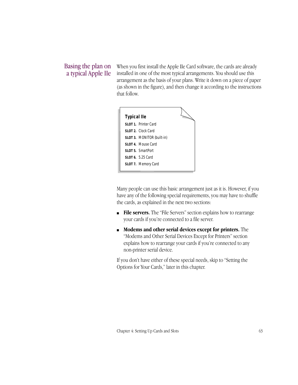#### Basing the plan on a typical Apple IIe

When you first install the Apple IIe Card software, the cards are already installed in one of the most typical arrangements. You should use this arrangement as the basis of your plans. Write it down on a piece of paper (as shown in the figure), and then change it according to the instructions that follow.

| <b>Typical Ile</b> |                                   |  |
|--------------------|-----------------------------------|--|
|                    | SLOT 1. Printer Card              |  |
|                    | SLOT 2. Clock Card                |  |
|                    | <b>SLOT 3. MONITOR (built-in)</b> |  |
|                    | SLOT 4. Mouse Card                |  |
|                    | <b>SLOT 5. SmartPort</b>          |  |
|                    | <b>SLOT 6.</b> 5.25 Card          |  |
|                    | SLOT 7. Memory Card               |  |
|                    |                                   |  |

Many people can use this basic arrangement just as it is. However, if you have any of the following special requirements, you may have to shuffle the cards, as explained in the next two sections:

- **File servers.** The "File Servers" section explains how to rearrange your cards if you're connected to a file server.
- **Modems and other serial devices except for printers.** The "Modems and Other Serial Devices Except for Printers" section explains how to rearrange your cards if you're connected to any non-printer serial device.

If you don't have either of these special needs, skip to "Setting the Options for Your Cards," later in this chapter.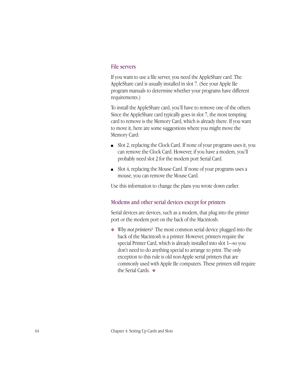#### File servers

If you want to use a file server, you need the AppleShare card. The AppleShare card is usually installed in slot 7. (See your Apple IIe program manuals to determine whether your programs have different requirements.)

To install the AppleShare card, you'll have to remove one of the others. Since the AppleShare card typically goes in slot 7, the most tempting card to remove is the Memory Card, which is already there. If you want to move it, here are some suggestions where you might move the Memory Card:

- Slot 2, replacing the Clock Card. If none of your programs uses it, you can remove the Clock Card. However, if you have a modem, you'll probably need slot 2 for the modem port Serial Card.
- Slot 4, replacing the Mouse Card. If none of your programs uses a mouse, you can remove the Mouse Card.

Use this information to change the plans you wrote down earlier.

#### Modems and other serial devices except for printers

Serial devices are devices, such as a modem, that plug into the printer port or the modem port on the back of the Macintosh.

❖ *Why not printers?* The most common serial device plugged into the back of the Macintosh is a printer. However, printers require the special Printer Card, which is already installed into slot 1—so you don't need to do anything special to arrange to print. The only exception to this rule is old non-Apple serial printers that are commonly used with Apple IIe computers. These printers still require the Serial Cards. ❖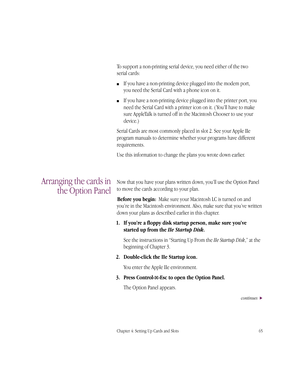To support a non-printing serial device, you need either of the two serial cards:

- If you have a non-printing device plugged into the modem port, you need the Serial Card with a phone icon on it.
- If you have a non-printing device plugged into the printer port, you need the Serial Card with a printer icon on it. ( You'll have to make sure AppleTalk is turned off in the Macintosh Chooser to use your device.)

Serial Cards are most commonly placed in slot 2. See your Apple IIe program manuals to determine whether your programs have different requirements.

Use this information to change the plans you wrote down earlier.

### Arranging the cards in the Option Panel

Now that you have your plans written down, you'll use the Option Panel to move the cards according to your plan.

**Before you begin:** Make sure your Macintosh LC is turned on and you're in the Macintosh environment. Also, make sure that you've written down your plans as described earlier in this chapter.

#### **1. If you're a floppy disk startup person, make sure you've started up from the** *IIe Startup Disk***.**

See the instructions in "Starting Up From the *IIe Startup Disk*," at the beginning of Chapter 3.

#### **2. Double-click the IIe Startup icon.**

You enter the Apple IIe environment.

#### **3. Press Control-**x**-Esc to open the Option Panel.**

The Option Panel appears.

*continues* >

Chapter 4: Setting Up Cards and Slots 65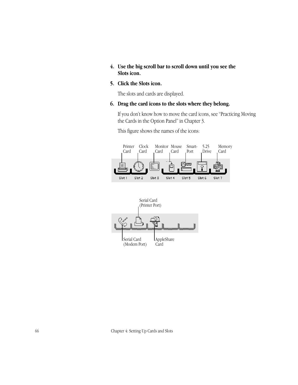#### **4. Use the big scroll bar to scroll down until you see the Slots icon.**

#### **5. Click the Slots icon.**

The slots and cards are displayed.

#### **6. Drag the card icons to the slots where they belong.**

If you don't know how to move the card icons, see "Practicing Moving the Cards in the Option Panel" in Chapter 3.

This figure shows the names of the icons:





66 Chapter 4: Setting Up Cards and Slots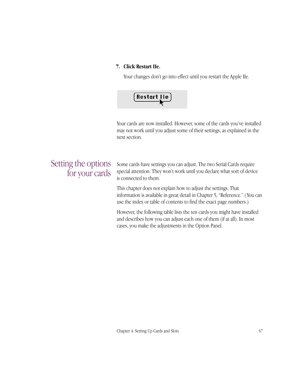#### **7. Click Restart IIe.**

Your changes don't go into effect until you restart the Apple IIe.



Your cards are now installed. However, some of the cards you've installed may not work until you adjust some of their settings, as explained in the next section.

## Setting the options for your cards

Some cards have settings you can adjust. The two Serial Cards require special attention: They won't work until you declare what sort of device is connected to them.

This chapter does not explain how to adjust the settings. That information is available in great detail in Chapter 5, "Reference." ( You can use the index or table of contents to find the exact page numbers.)

However, the following table lists the ten cards you might have installed and describes how you can adjust each one of them (if at all). In most cases, you make the adjustments in the Option Panel.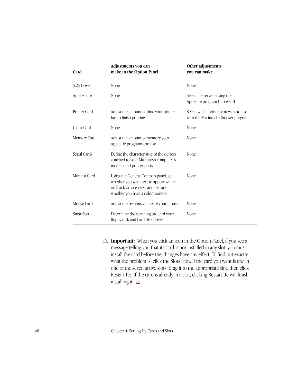| Card         | Adjustments you can<br>make in the Option Panel                                                                                                           | Other adjustments<br>you can make                                          |
|--------------|-----------------------------------------------------------------------------------------------------------------------------------------------------------|----------------------------------------------------------------------------|
| 5.25 Drive   | None                                                                                                                                                      | None                                                                       |
| AppleShare   | None                                                                                                                                                      | Select file servers using the<br>Apple IIe program Chooser.II              |
| Printer Card | Adjust the amount of time your printer<br>has to finish printing                                                                                          | Select which printer you want to use<br>with the Macintosh Chooser program |
| Clock Card   | None                                                                                                                                                      | None                                                                       |
| Memory Card  | Adjust the amount of memory your<br>Apple IIe programs can use                                                                                            | None                                                                       |
| Serial Cards | Define the characteristics of the devices<br>attached to your Macintosh computer's<br>modem and printer ports                                             | None                                                                       |
| Monitor Card | Using the General Controls panel, set<br>whether you want text to appear white-<br>on-black or vice versa and declare<br>whether you have a color monitor | None                                                                       |
| Mouse Card   | Adjust the responsiveness of your mouse                                                                                                                   | None                                                                       |
| SmartPort    | Determine the scanning order of your<br>floppy disk and hard disk drives                                                                                  | None                                                                       |

 $\triangle$  **Important:** When you click an icon in the Option Panel, if you see a message telling you that its card is not installed in any slot, you must install the card before the changes have any effect. To find out exactly what the problem is, click the Slots icon. If the card you want is *not* in one of the seven active slots, drag it to the appropriate slot, then click Restart IIe. If the card is already in a slot, clicking Restart IIe will finish installing it.  $\triangle$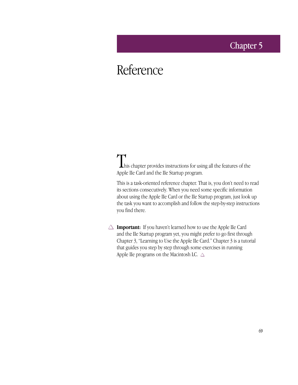### Chapter 5

# Reference

This chapter provides instructions for using all the features of the Apple IIe Card and the IIe Startup program.

This is a task-oriented reference chapter. That is, you don't need to read its sections consecutively. When you need some specific information about using the Apple IIe Card or the IIe Startup program, just look up the task you want to accomplish and follow the step-by-step instructions you find there.

 $\triangle$  **Important:** If you haven't learned how to use the Apple IIe Card and the IIe Startup program yet, you might prefer to go first through Chapter 3, "Learning to Use the Apple IIe Card." Chapter 3 is a tutorial that guides you step by step through some exercises in running Apple IIe programs on the Macintosh LC.  $\triangle$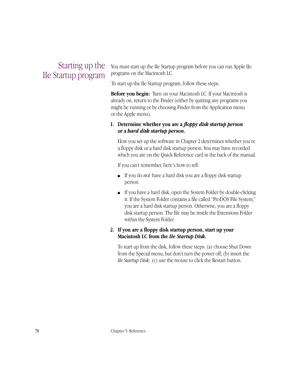### Starting up the IIe Startup program

You must start up the IIe Startup program before you can run Apple IIe programs on the Macintosh LC.

To start up the IIe Startup program, follow these steps:

**Before you begin:** Turn on your Macintosh LC. If your Macintosh is already on, return to the Finder (either by quitting any programs you might be running or by choosing Finder from the Application menu or the Apple menu).

#### **1. Determine whether you are a** *floppy disk startup person* **or a** *hard disk startup person***.**

How you set up the software in Chapter 2 determines whether you're a floppy disk or a hard disk startup person. You may have recorded which you are on the Quick Reference card in the back of the manual.

If you can't remember, here's how to tell:

- If you do *not* have a hard disk you are a floppy disk startup person.
- If you have a hard disk, open the System Folder by double-clicking it. If the System Folder contains a file called "ProDOS File System," you are a hard disk startup person. Otherwise, you are a floppy disk startup person. The file may be inside the Extensions Folder within the System Folder.

#### **2. If you are a floppy disk startup person, start up your Macintosh LC from the** *IIe Startup Disk***.**

To start up from the disk, follow these steps: (a) choose Shut Down from the Special menu, but don't turn the power off; (b) insert the *IIe Startup Disk;* (c) use the mouse to click the Restart button.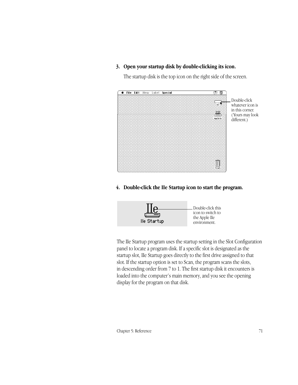#### **3. Open your startup disk by double-clicking its icon.**

The startup disk is the top icon on the right side of the screen.



**4. Double-click the IIe Startup icon to start the program.**



The IIe Startup program uses the startup setting in the Slot Configuration panel to locate a program disk. If a specific slot is designated as the startup slot, IIe Startup goes directly to the first drive assigned to that slot. If the startup option is set to Scan, the program scans the slots, in descending order from 7 to 1. The first startup disk it encounters is loaded into the computer's main memory, and you see the opening display for the program on that disk.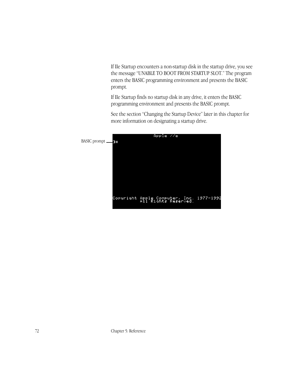If IIe Startup encounters a non-startup disk in the startup drive, you see the message "UNABLE TO BOOT FROM STARTUP SLOT." The program enters the BASIC programming environment and presents the BASIC prompt.

If IIe Startup finds no startup disk in any drive, it enters the BASIC programming environment and presents the BASIC prompt.

See the section "Changing the Startup Device" later in this chapter for more information on designating a startup drive.

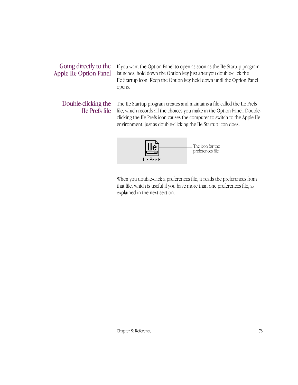### Going directly to the Apple IIe Option Panel

If you want the Option Panel to open as soon as the IIe Startup program launches, hold down the Option key just after you double-click the IIe Startup icon. Keep the Option key held down until the Option Panel opens.

### Double-clicking the IIe Prefs file

The IIe Startup program creates and maintains a file called the IIe Prefs file, which records all the choices you make in the Option Panel. Doubleclicking the IIe Prefs icon causes the computer to switch to the Apple IIe environment, just as double-clicking the IIe Startup icon does.



When you double-click a preferences file, it reads the preferences from that file, which is useful if you have more than one preferences file, as explained in the next section.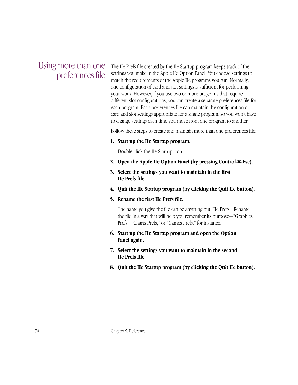### Using more than one preferences file

The IIe Prefs file created by the IIe Startup program keeps track of the settings you make in the Apple IIe Option Panel. You choose settings to match the requirements of the Apple IIe programs you run. Normally, one configuration of card and slot settings is sufficient for performing your work. However, if you use two or more programs that require different slot configurations, you can create a separate preferences file for each program. Each preferences file can maintain the configuration of card and slot settings appropriate for a single program, so you won't have to change settings each time you move from one program to another.

Follow these steps to create and maintain more than one preferences file:

**1. Start up the IIe Startup program.**

Double-click the IIe Startup icon.

- **2. Open the Apple IIe Option Panel (by pressing Control-**x**-Esc).**
- **3. Select the settings you want to maintain in the first IIe Prefs file.**
- **4. Quit the IIe Startup program (by clicking the Quit IIe button).**
- **5. Rename the first IIe Prefs file.**

The name you give the file can be anything but "IIe Prefs." Rename the file in a way that will help you remember its purpose—"Graphics Prefs," "Charts Prefs," or "Games Prefs," for instance.

- **6. Start up the IIe Startup program and open the Option Panel again.**
- **7. Select the settings you want to maintain in the second IIe Prefs file.**
- **8. Quit the IIe Startup program (by clicking the Quit IIe button).**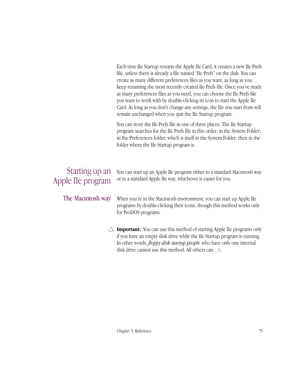Each time IIe Startup restarts the Apple IIe Card, it creates a new IIe Prefs file, unless there is already a file named "IIe Prefs" on the disk. You can create as many different preferences files as you want, as long as you keep renaming the most recently created IIe Prefs file. Once you've made as many preferences files as you need, you can choose the IIe Prefs file you want to work with by double-clicking its icon to start the Apple IIe Card. As long as you don't change any settings, the file you start from will remain unchanged when you quit the IIe Startup program.

You can store the IIe Prefs file in one of three places. The IIe Startup program searches for the IIe Prefs file in this order: in the System Folder; in the Preferences folder, which is itself in the System Folder; then in the folder where the IIe Startup program is.

### Starting up an Apple IIe program

You can start up an Apple IIe program either in a standard Macintosh way or in a standard Apple IIe way, whichever is easier for you.

The Macintosh way

When you're in the Macintosh environment, you can start up Apple IIe programs by double-clicking their icons, though this method works only for ProDOS programs.

 $\triangle$  **Important:** You can use this method of starting Apple IIe programs only if you have an empty disk drive while the IIe Startup program is running. In other words, *floppy disk startup people* who have only one internal disk drive cannot use this method. All others can.  $\triangle$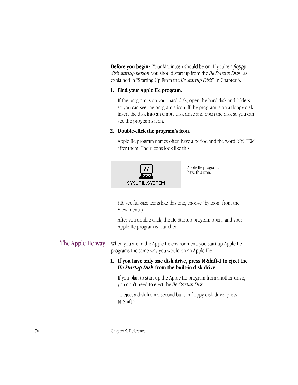**Before you begin:** Your Macintosh should be on. If you're a *floppy disk startup person* you should start up from the *IIe Startup Disk*, as explained in "Starting Up From the *IIe Startup Disk*" in Chapter 3.

#### **1. Find your Apple IIe program.**

If the program is on your hard disk, open the hard disk and folders so you can see the program's icon. If the program is on a floppy disk, insert the disk into an empty disk drive and open the disk so you can see the program's icon.

#### **2. Double-click the program's icon.**

Apple IIe program names often have a period and the word "SYSTEM" after them. Their icons look like this:



(To see full-size icons like this one, choose "by Icon" from the View menu.)

After you double-click, the IIe Startup program opens and your Apple IIe program is launched.

When you are in the Apple IIe environment, you start up Apple IIe programs the same way you would on an Apple IIe: The Apple IIe way

#### **1. If you have only one disk drive, press** x**-Shift-1 to eject the**  *IIe Startup Disk* **from the built-in disk drive.**

If you plan to start up the Apple IIe program from another drive, you don't need to eject the *IIe Startup Disk.*

To eject a disk from a second built-in floppy disk drive, press x-Shift-2.

76 Chapter 5: Reference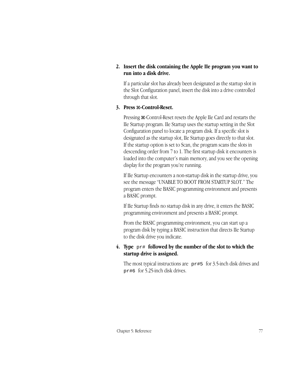#### **2. Insert the disk containing the Apple IIe program you want to run into a disk drive.**

If a particular slot has already been designated as the startup slot in the Slot Configuration panel, insert the disk into a drive controlled through that slot.

#### **3. Press** x**-Control-Reset.**

Pressing  $\#$ -Control-Reset resets the Apple IIe Card and restarts the IIe Startup program. IIe Startup uses the startup setting in the Slot Configuration panel to locate a program disk. If a specific slot is designated as the startup slot, IIe Startup goes directly to that slot. If the startup option is set to Scan, the program scans the slots in descending order from 7 to 1. The first startup disk it encounters is loaded into the computer's main memory, and you see the opening display for the program you're running.

If IIe Startup encounters a non-startup disk in the startup drive, you see the message "UNABLE TO BOOT FROM STARTUP SLOT." The program enters the BASIC programming environment and presents a BASIC prompt.

If IIe Startup finds no startup disk in any drive, it enters the BASIC programming environment and presents a BASIC prompt.

From the BASIC programming environment, you can start up a program disk by typing a BASIC instruction that directs IIe Startup to the disk drive you indicate.

#### **4. Type** pr# **followed by the number of the slot to which the startup drive is assigned.**

The most typical instructions are  $p$ r#5 for 3.5-inch disk drives and pr#6 for 5.25-inch disk drives.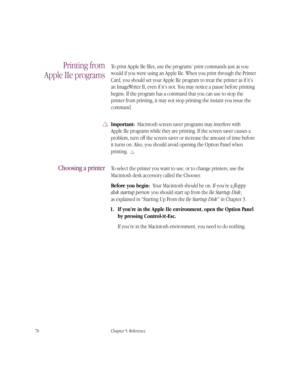### Printing from Apple IIe programs

To print Apple IIe files, use the programs' print commands just as you would if you were using an Apple IIe. When you print through the Printer Card, you should set your Apple IIe program to treat the printer as if it's an ImageWriter II, even if it's not. You may notice a pause before printing begins. If the program has a command that you can use to stop the printer from printing, it may not stop printing the instant you issue the command.

 $\triangle$  **Important:** Macintosh screen saver programs may interfere with Apple IIe programs while they are printing. If the screen saver causes a problem, turn off the screen saver or increase the amount of time before it turns on. Also, you should avoid opening the Option Panel when printing.  $\triangle$ 

#### To select the printer you want to use, or to change printers, use the Macintosh desk accessory called the Chooser. Choosing a printer

**Before you begin:** Your Macintosh should be on. If you're a *floppy disk startup person* you should start up from the *IIe Startup Disk*, as explained in "Starting Up From the *IIe Startup Disk"* in Chapter 3.

#### **1. If you're in the Apple IIe environment, open the Option Panel by pressing Control-**x**-Esc.**

If you're in the Macintosh environment, you need to do nothing.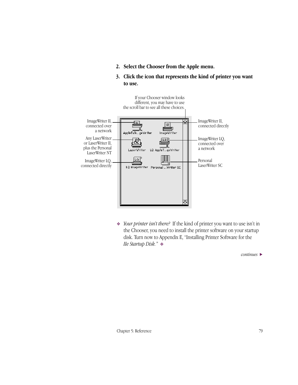- **2. Select the Chooser from the Apple menu.**
- **3. Click the icon that represents the kind of printer you want to use.**



❖ *Your printer isn't there?* If the kind of printer you want to use isn't in the Chooser, you need to install the printer software on your startup disk. Turn now to Appendix E, "Installing Printer Software for the *IIe Startup Disk."* ❖

*continues* >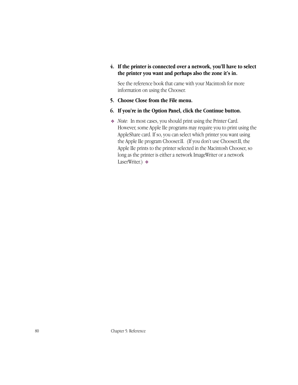#### **4. If the printer is connected over a network, you'll have to select the printer you want and perhaps also the zone it's in.**

See the reference book that came with your Macintosh for more information on using the Chooser.

- **5. Choose Close from the File menu.**
- **6. If you're in the Option Panel, click the Continue button.**
- ❖ *Note:* In most cases, you should print using the Printer Card. However, some Apple IIe programs may require you to print using the AppleShare card. If so, you can select which printer you want using the Apple IIe program Chooser.II. (If you don't use Chooser.II, the Apple IIe prints to the printer selected in the Macintosh Chooser, so long as the printer is either a network ImageWriter or a network LaserWriter.) ❖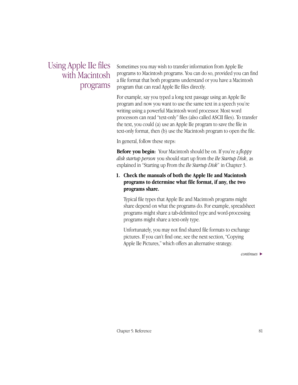### Using Apple IIe files with Macintosh programs

Sometimes you may wish to transfer information from Apple IIe programs to Macintosh programs. You can do so, provided you can find a file format that both programs understand or you have a Macintosh program that can read Apple IIe files directly.

For example, say you typed a long text passage using an Apple IIe program and now you want to use the same text in a speech you're writing using a powerful Macintosh word processor. Most word processors can read "text-only" files (also called ASCII files). To transfer the text, you could (a) use an Apple IIe program to save the file in text-only format, then (b) use the Macintosh program to open the file.

In general, follow these steps:

**Before you begin:** Your Macintosh should be on. If you're a *floppy disk startup person* you should start up from the *IIe Startup Disk*, as explained in "Starting up From the *IIe Startup Disk*" in Chapter 3.

#### **1. Check the manuals of both the Apple IIe and Macintosh programs to determine what file format, if any, the two programs share.**

Typical file types that Apple IIe and Macintosh programs might share depend on what the programs do. For example, spreadsheet programs might share a tab-delimited type and word-processing programs might share a text-only type.

Unfortunately, you may not find shared file formats to exchange pictures. If you can't find one, see the next section, "Copying Apple IIe Pictures," which offers an alternative strategy.

*continues* >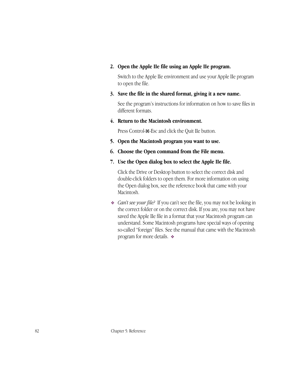#### **2. Open the Apple IIe file using an Apple IIe program.**

Switch to the Apple IIe environment and use your Apple IIe program to open the file.

#### **3. Save the file in the shared format, giving it a new name.**

See the program's instructions for information on how to save files in different formats.

**4. Return to the Macintosh environment.**

Press Control- $\mathcal{H}$ -Esc and click the Quit IIe button.

- **5. Open the Macintosh program you want to use.**
- **6. Choose the Open command from the File menu.**
- **7. Use the Open dialog box to select the Apple IIe file.**

Click the Drive or Desktop button to select the correct disk and double-click folders to open them. For more information on using the Open dialog box, see the reference book that came with your Macintosh.

❖ *Can't see your file?* If you can't see the file, you may not be looking in the correct folder or on the correct disk. If you are, you may not have saved the Apple IIe file in a format that your Macintosh program can understand. Some Macintosh programs have special ways of opening so-called "foreign" files. See the manual that came with the Macintosh program for more details. ❖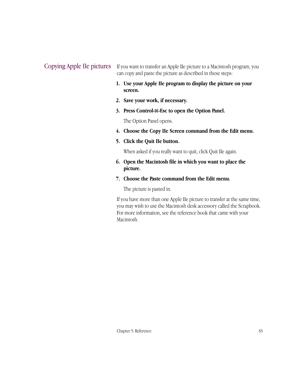Copying Apple IIe pictures If you want to transfer an Apple IIe picture to a Macintosh program, you can copy and paste the picture as described in these steps:

- **1. Use your Apple IIe program to display the picture on your screen.**
- **2. Save your work, if necessary.**
- **3. Press Control-**x**-Esc to open the Option Panel.**

The Option Panel opens.

- **4. Choose the Copy IIe Screen command from the Edit menu.**
- **5. Click the Quit IIe button.**

When asked if you really want to quit, click Quit IIe again.

- **6. Open the Macintosh file in which you want to place the picture.**
- **7. Choose the Paste command from the Edit menu.**

The picture is pasted in.

If you have more than one Apple IIe picture to transfer at the same time, you may wish to use the Macintosh desk accessory called the Scrapbook. For more information, see the reference book that came with your Macintosh.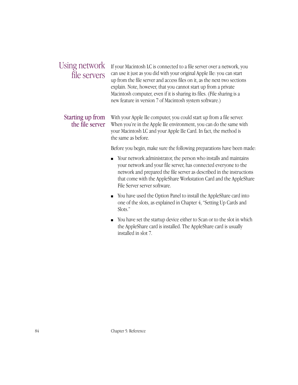### Using network file servers

If your Macintosh LC is connected to a file server over a network, you can use it just as you did with your original Apple IIe: you can start up from the file server and access files on it, as the next two sections explain. Note, however, that you cannot start up from a private Macintosh computer, even if it is sharing its files. (File sharing is a new feature in version 7 of Macintosh system software.)

### Starting up from the file server

With your Apple IIe computer, you could start up from a file server. When you're in the Apple IIe environment, you can do the same with your Macintosh LC and your Apple IIe Card. In fact, the method is the same as before.

Before you begin, make sure the following preparations have been made:

- Your network administrator, the person who installs and maintains your network and your file server, has connected everyone to the network and prepared the file server as described in the instructions that come with the AppleShare Workstation Card and the AppleShare File Server server software.
- You have used the Option Panel to install the AppleShare card into one of the slots, as explained in Chapter 4, "Setting Up Cards and Slots."
- You have set the startup device either to Scan or to the slot in which the AppleShare card is installed. The AppleShare card is usually installed in slot 7.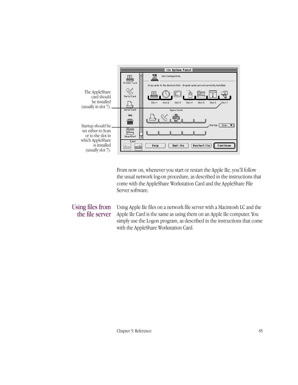

From now on, whenever you start or restart the Apple IIe, you'll follow the usual network log-on procedure, as described in the instructions that come with the AppleShare Workstation Card and the AppleShare File Server software.

#### Using files from the file server

Using Apple IIe files on a network file server with a Macintosh LC and the Apple IIe Card is the same as using them on an Apple IIe computer. You simply use the Logon program, as described in the instructions that come with the AppleShare Workstation Card.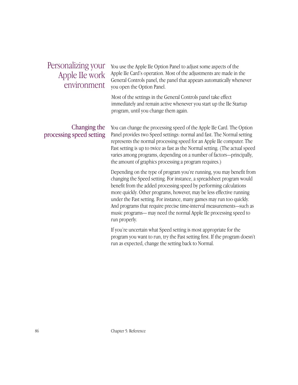### Personalizing your Apple IIe work environment

You use the Apple IIe Option Panel to adjust some aspects of the Apple IIe Card's operation. Most of the adjustments are made in the General Controls panel, the panel that appears automatically whenever you open the Option Panel.

Most of the settings in the General Controls panel take effect immediately and remain active whenever you start up the IIe Startup program, until you change them again.

#### Changing the processing speed setting

You can change the processing speed of the Apple IIe Card. The Option Panel provides two Speed settings: normal and fast. The Normal setting represents the normal processing speed for an Apple IIe computer. The Fast setting is up to twice as fast as the Normal setting. (The actual speed varies among programs, depending on a number of factors—principally, the amount of graphics processing a program requires.)

Depending on the type of program you're running, you may benefit from changing the Speed setting. For instance, a spreadsheet program would benefit from the added processing speed by performing calculations more quickly. Other programs, however, may be less effective running under the Fast setting. For instance, many games may run too quickly. And programs that require precise time-interval measurements—such as music programs— may need the normal Apple IIe processing speed to run properly.

If you're uncertain what Speed setting is most appropriate for the program you want to run, try the Fast setting first. If the program doesn't run as expected, change the setting back to Normal.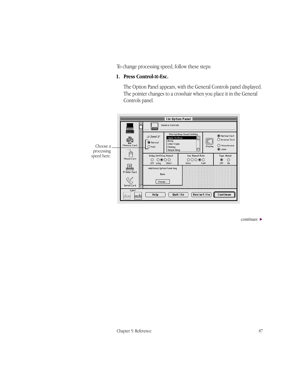To change processing speed, follow these steps:

#### **1. Press Control-**x**-Esc.**

The Option Panel appears, with the General Controls panel displayed. The pointer changes to a crosshair when you place it in the General Controls panel.



*continues* >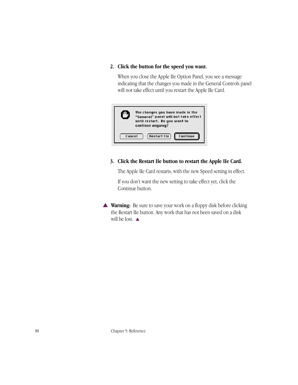#### **2. Click the button for the speed you want.**

When you close the Apple IIe Option Panel, you see a message indicating that the changes you made in the General Controls panel will not take effect until you restart the Apple IIe Card.



#### **3. Click the Restart IIe button to restart the Apple IIe Card.**

The Apple IIe Card restarts, with the new Speed setting in effect.

If you don't want the new setting to take effect yet, click the Continue button.

▲ **Warning:** Be sure to save your work on a floppy disk before clicking the Restart IIe button. Any work that has not been saved on a disk will be lost.  $\blacktriangle$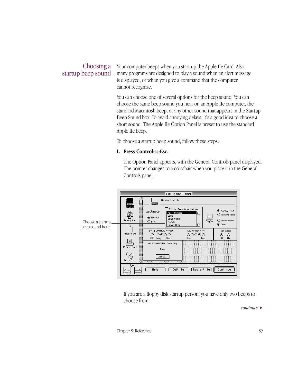#### Choosing a startup beep sound

Your computer beeps when you start up the Apple IIe Card. Also, many programs are designed to play a sound when an alert message is displayed, or when you give a command that the computer cannot recognize.

You can choose one of several options for the beep sound. You can choose the same beep sound you hear on an Apple IIe computer, the standard Macintosh beep, or any other sound that appears in the Startup Beep Sound box. To avoid annoying delays, it's a good idea to choose a short sound. The Apple IIe Option Panel is preset to use the standard Apple IIe beep.

To choose a startup beep sound, follow these steps:

#### **1. Press Control-**x**-Esc.**

The Option Panel appears, with the General Controls panel displayed. The pointer changes to a crosshair when you place it in the General Controls panel.

|                                       |                                              |                                                                                                               | <b>Ile Option Panel <math>\equiv</math></b>           |                                                            |
|---------------------------------------|----------------------------------------------|---------------------------------------------------------------------------------------------------------------|-------------------------------------------------------|------------------------------------------------------------|
|                                       |                                              | General Controls                                                                                              |                                                       |                                                            |
| Choose a startup.<br>beep sound here. | General<br>Memory Card                       | E Speed E<br>Apple Ile Beep<br>Boing<br>(C) Normal<br>Clink-Klank<br>$\bigcirc$ Fast<br>Monkey<br>Simple Beep | Startup Beep Sound Setting<br>♤<br>E.<br>Display<br>Ю | O Normal Text<br>◯ Inverse Text<br>O Monochrome<br>◉ Color |
|                                       | Mouse Card                                   | Delay Until Key Repeat<br>⊙⊚೦೦<br>Off<br>Short<br>Long                                                        | Key Repeat Rate<br>೧೦೦೦೦<br>Fast<br>Slow              | Type Ahead<br>◉<br>О<br>Off<br>On                          |
|                                       | Printer Card                                 | Additional Option Panel Key<br>None                                                                           |                                                       |                                                            |
|                                       | Serial Card                                  | Change                                                                                                        |                                                       |                                                            |
|                                       | Eject<br><br>$\ddot{\bullet}$<br>kirinan<br> | Help                                                                                                          | Restart IIe<br>Quit IIe                               | Continue                                                   |

If you are a floppy disk startup person, you have only two beeps to choose from.

*continues* >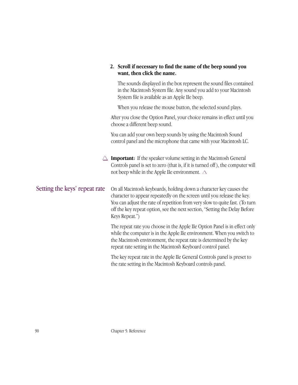|                               | 2. Scroll if necessary to find the name of the beep sound you<br>want, then click the name.                                                                                                                                                                                                                                    |
|-------------------------------|--------------------------------------------------------------------------------------------------------------------------------------------------------------------------------------------------------------------------------------------------------------------------------------------------------------------------------|
|                               | The sounds displayed in the box represent the sound files contained<br>in the Macintosh System file. Any sound you add to your Macintosh<br>System file is available as an Apple IIe beep.                                                                                                                                     |
|                               | When you release the mouse button, the selected sound plays.                                                                                                                                                                                                                                                                   |
|                               | After you close the Option Panel, your choice remains in effect until you<br>choose a different beep sound.                                                                                                                                                                                                                    |
|                               | You can add your own beep sounds by using the Macintosh Sound<br>control panel and the microphone that came with your Macintosh LC.                                                                                                                                                                                            |
|                               | <b>Important:</b> If the speaker volume setting in the Macintosh General<br>Controls panel is set to zero (that is, if it is turned off), the computer will<br>not beep while in the Apple IIe environment. $\triangle$                                                                                                        |
| Setting the keys' repeat rate | On all Macintosh keyboards, holding down a character key causes the<br>character to appear repeatedly on the screen until you release the key.<br>You can adjust the rate of repetition from very slow to quite fast. (To turn<br>off the key repeat option, see the next section, "Setting the Delay Before<br>Keys Repeat.") |
|                               | The repeat rate you choose in the Apple IIe Option Panel is in effect only<br>while the computer is in the Apple IIe environment. When you switch to<br>the Macintosh environment, the repeat rate is determined by the key<br>repeat rate setting in the Macintosh Keyboard control panel.                                    |
|                               | The key repeat rate in the Apple IIe General Controls panel is preset to<br>the rate setting in the Macintosh Keyboard controls panel.                                                                                                                                                                                         |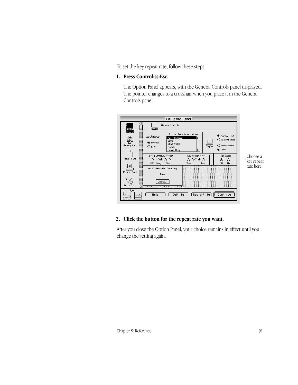To set the key repeat rate, follow these steps:

#### **1. Press Control-**x**-Esc.**

The Option Panel appears, with the General Controls panel displayed. The pointer changes to a crosshair when you place it in the General Controls panel.



#### **2. Click the button for the repeat rate you want.**

After you close the Option Panel, your choice remains in effect until you change the setting again.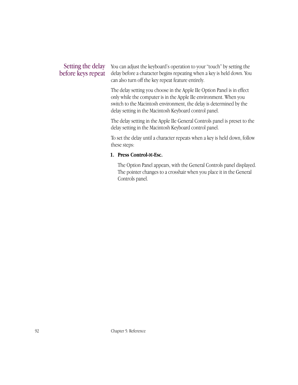#### Setting the delay before keys repeat

You can adjust the keyboard's operation to your "touch" by setting the delay before a character begins repeating when a key is held down. You can also turn off the key repeat feature entirely.

The delay setting you choose in the Apple IIe Option Panel is in effect only while the computer is in the Apple IIe environment. When you switch to the Macintosh environment, the delay is determined by the delay setting in the Macintosh Keyboard control panel.

The delay setting in the Apple IIe General Controls panel is preset to the delay setting in the Macintosh Keyboard control panel.

To set the delay until a character repeats when a key is held down, follow these steps:

#### **1. Press Control-**x**-Esc.**

The Option Panel appears, with the General Controls panel displayed. The pointer changes to a crosshair when you place it in the General Controls panel.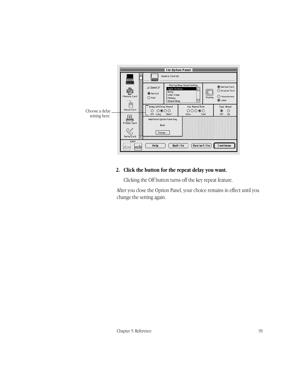

# **2. Click the button for the repeat delay you want.**

Clicking the Off button turns off the key repeat feature.

After you close the Option Panel, your choice remains in effect until you change the setting again.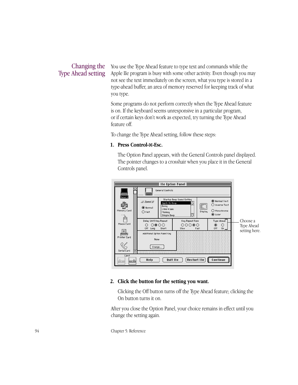# Changing the Type Ahead setting

You use the Type Ahead feature to type text and commands while the Apple IIe program is busy with some other activity. Even though you may not see the text immediately on the screen, what you type is stored in a type-ahead buffer, an area of memory reserved for keeping track of what you type.

Some programs do not perform correctly when the Type Ahead feature is on. If the keyboard seems unresponsive in a particular program, or if certain keys don't work as expected, try turning the Type Ahead feature off.

To change the Type Ahead setting, follow these steps:

#### **1. Press Control-**x**-Esc.**

The Option Panel appears, with the General Controls panel displayed. The pointer changes to a crosshair when you place it in the General Controls panel.



#### **2. Click the button for the setting you want.**

Clicking the Off button turns off the Type Ahead feature; clicking the On button turns it on.

After you close the Option Panel, your choice remains in effect until you change the setting again.

94 Chapter 5: Reference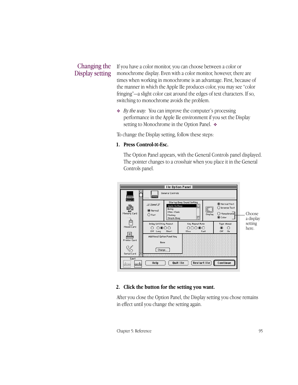# Changing the Display setting

If you have a color monitor, you can choose between a color or monochrome display. Even with a color monitor, however, there are times when working in monochrome is an advantage. First, because of the manner in which the Apple IIe produces color, you may see "color fringing"—a slight color cast around the edges of text characters. If so, switching to monochrome avoids the problem.

❖ *By the way:* You can improve the computer's processing performance in the Apple IIe environment if you set the Display setting to Monochrome in the Option Panel. ❖

To change the Display setting, follow these steps:

#### **1. Press Control-**x**-Esc.**

The Option Panel appears, with the General Controls panel displayed. The pointer changes to a crosshair when you place it in the General Controls panel.



#### **2. Click the button for the setting you want.**

After you close the Option Panel, the Display setting you chose remains in effect until you change the setting again.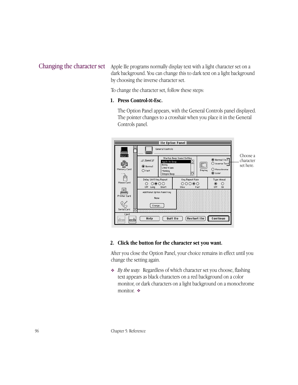# Changing the character set

Apple IIe programs normally display text with a light character set on a dark background. You can change this to dark text on a light background by choosing the inverse character set.

To change the character set, follow these steps:

#### **1. Press Control-**x**-Esc.**

The Option Panel appears, with the General Controls panel displayed. The pointer changes to a crosshair when you place it in the General Controls panel.



#### **2. Click the button for the character set you want.**

After you close the Option Panel, your choice remains in effect until you change the setting again.

❖ *By the way:* Regardless of which character set you choose, flashing text appears as black characters on a red background on a color monitor, or dark characters on a light background on a monochrome monitor. ❖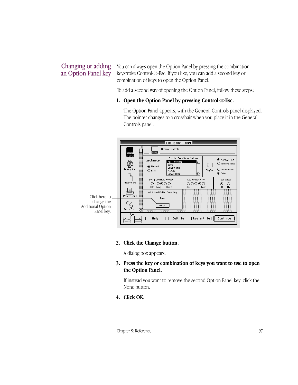# Changing or adding an Option Panel key

You can always open the Option Panel by pressing the combination keystroke Control-x-Esc. If you like, you can add a second key or combination of keys to open the Option Panel.

To add a second way of opening the Option Panel, follow these steps:

#### **1. Open the Option Panel by pressing Control-**x**-Esc.**

The Option Panel appears, with the General Controls panel displayed. The pointer changes to a crosshair when you place it in the General Controls panel.



#### **2. Click the Change button.**

A dialog box appears.

#### **3. Press the key or combination of keys you want to use to open the Option Panel.**

If instead you want to remove the second Option Panel key, click the None button.

**4. Click OK.**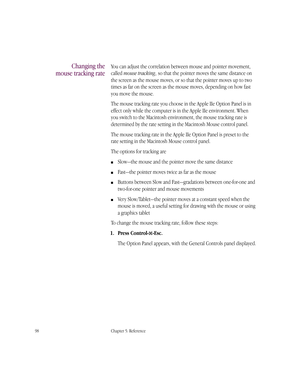# Changing the mouse tracking rate

You can adjust the correlation between mouse and pointer movement, called *mouse tracking*, so that the pointer moves the same distance on the screen as the mouse moves, or so that the pointer moves up to two times as far on the screen as the mouse moves, depending on how fast you move the mouse.

The mouse tracking rate you choose in the Apple IIe Option Panel is in effect only while the computer is in the Apple IIe environment. When you switch to the Macintosh environment, the mouse tracking rate is determined by the rate setting in the Macintosh Mouse control panel.

The mouse tracking rate in the Apple IIe Option Panel is preset to the rate setting in the Macintosh Mouse control panel.

The options for tracking are

- Slow—the mouse and the pointer move the same distance
- Fast—the pointer moves twice as far as the mouse
- Buttons between Slow and Fast—gradations between one-for-one and two-for-one pointer and mouse movements
- Very Slow/Tablet—the pointer moves at a constant speed when the mouse is moved, a useful setting for drawing with the mouse or using a graphics tablet

To change the mouse tracking rate, follow these steps:

#### **1. Press Control-**x**-Esc.**

The Option Panel appears, with the General Controls panel displayed.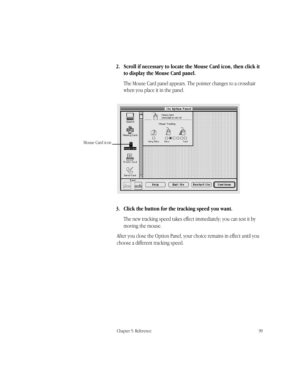**2. Scroll if necessary to locate the Mouse Card icon, then click it to display the Mouse Card panel.**

The Mouse Card panel appears. The pointer changes to a crosshair when you place it in the panel.



#### **3. Click the button for the tracking speed you want.**

The new tracking speed takes effect immediately; you can test it by moving the mouse.

After you close the Option Panel, your choice remains in effect until you choose a different tracking speed.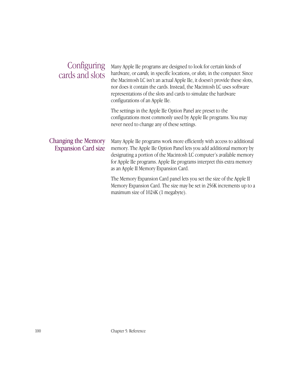| Configuring<br>cards and slots                           | Many Apple IIe programs are designed to look for certain kinds of<br>hardware, or <i>cards</i> , in specific locations, or <i>slots</i> , in the computer. Since<br>the Macintosh LC isn't an actual Apple IIe, it doesn't provide these slots,<br>nor does it contain the cards. Instead, the Macintosh LC uses software<br>representations of the slots and cards to simulate the hardware<br>configurations of an Apple IIe. |
|----------------------------------------------------------|---------------------------------------------------------------------------------------------------------------------------------------------------------------------------------------------------------------------------------------------------------------------------------------------------------------------------------------------------------------------------------------------------------------------------------|
|                                                          | The settings in the Apple IIe Option Panel are preset to the<br>configurations most commonly used by Apple IIe programs. You may<br>never need to change any of these settings.                                                                                                                                                                                                                                                 |
| <b>Changing the Memory</b><br><b>Expansion Card size</b> | Many Apple IIe programs work more efficiently with access to additional<br>memory. The Apple IIe Option Panel lets you add additional memory by<br>designating a portion of the Macintosh LC computer's available memory<br>for Apple IIe programs. Apple IIe programs interpret this extra memory<br>as an Apple II Memory Expansion Card.                                                                                     |
|                                                          | The Memory Expansion Card panel lets you set the size of the Apple II<br>Memory Expansion Card. The size may be set in 256K increments up to a<br>maximum size of 1024K (1 megabyte).                                                                                                                                                                                                                                           |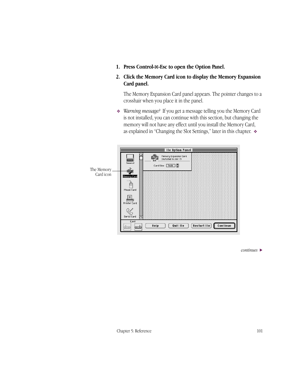- **1. Press Control-**x**-Esc to open the Option Panel.**
- **2. Click the Memory Card icon to display the Memory Expansion Card panel.**

The Memory Expansion Card panel appears. The pointer changes to a crosshair when you place it in the panel.

❖ *Warning message?* If you get a message telling you the Memory Card is not installed, you can continue with this section, but changing the memory will not have any effect until you install the Memory Card, as explained in "Changing the Slot Settings," later in this chapter. ❖



*continues* >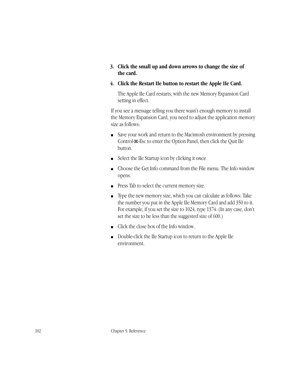#### **3. Click the small up and down arrows to change the size of the card.**

#### **4. Click the Restart IIe button to restart the Apple IIe Card.**

The Apple IIe Card restarts, with the new Memory Expansion Card setting in effect.

If you see a message telling you there wasn't enough memory to install the Memory Expansion Card, you need to adjust the application memory size as follows:

- Save your work and return to the Macintosh environment by pressing Control-x-Esc to enter the Option Panel, then click the Quit IIe button.
- Select the IIe Startup icon by clicking it *once*.
- Choose the Get Info command from the File menu. The Info window opens.
- Press Tab to select the current memory size.
- Type the new memory size, which you can calculate as follows: Take the number you put in the Apple IIe Memory Card and add 350 to it. For example, if you set the size to 1024, type 1374. (In any case, don't set the size to be less than the suggested size of 600.)
- Click the close box of the Info window.
- Double-click the IIe Startup icon to return to the Apple IIe environment.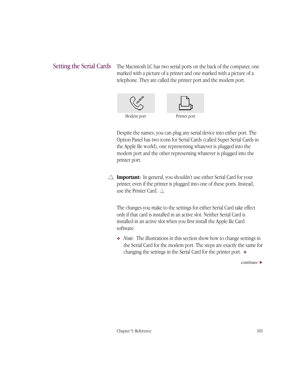# Setting the Serial Cards

The Macintosh LC has two serial ports on the back of the computer, one marked with a picture of a printer and one marked with a picture of a telephone. They are called the printer port and the modem port.



Despite the names, you can plug any serial device into either port. The Option Panel has two icons for Serial Cards (called Super Serial Cards in the Apple IIe world), one representing whatever is plugged into the modem port and the other representing whatever is plugged into the printer port.

 $\triangle$  **Important:** In general, you shouldn't use either Serial Card for your printer, even if the printer is plugged into one of these ports. Instead, use the Printer Card.  $\triangle$ 

The changes you make to the settings for either Serial Card take effect only if that card is installed in an active slot. Neither Serial Card is installed in an active slot when you first install the Apple IIe Card software.

❖ *Note:* The illustrations in this section show how to change settings in the Serial Card for the modem port. The steps are exactly the same for changing the settings in the Serial Card for the printer port. ❖

*continues* >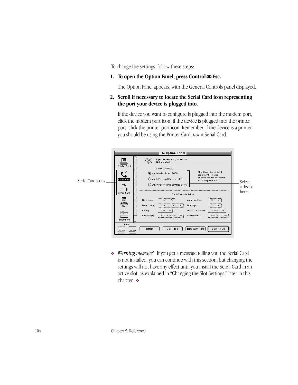To change the settings, follow these steps:

#### **1. To open the Option Panel, press Control-**x**-Esc.**

The Option Panel appears, with the General Controls panel displayed.

#### **2. Scroll if necessary to locate the Serial Card icon representing the port your device is plugged into.**

If the device you want to configure is plugged into the modem port, click the modem port icon; if the device is plugged into the printer port, click the printer port icon. Remember, if the device is a printer, you should be using the Printer Card, *not* a Serial Card.



❖ *Warning message?* If you get a message telling you the Serial Card is not installed, you can continue with this section, but changing the settings will not have any effect until you install the Serial Card in an active slot, as explained in "Changing the Slot Settings," later in this chapter. ❖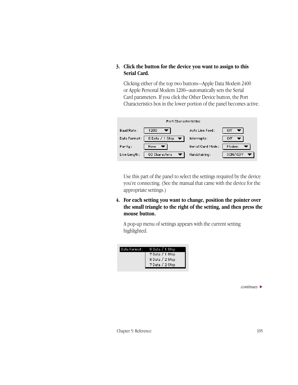#### **3. Click the button for the device you want to assign to this Serial Card.**

Clicking either of the top two buttons—Apple Data Modem 2400 or Apple Personal Modem 1200—automatically sets the Serial Card parameters. If you click the Other Device button, the Port Characteristics box in the lower portion of the panel becomes active.



Use this part of the panel to select the settings required by the device you're connecting. (See the manual that came with the device for the appropriate settings.)

**4. For each setting you want to change, position the pointer over the small triangle to the right of the setting, and then press the mouse button.**

A pop-up menu of settings appears with the current setting highlighted.

| 7 Data / 1 Stop |
|-----------------|
|                 |
| 8 Data / 2 Stop |
| 7 Data / 2 Stop |
|                 |

*continues* >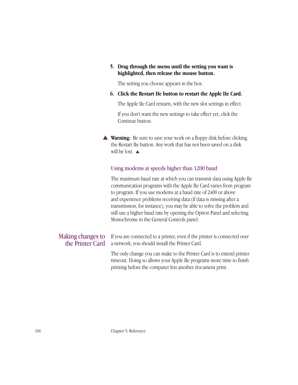#### **5. Drag through the menu until the setting you want is highlighted, then release the mouse button.**

The setting you choose appears in the box.

#### **6. Click the Restart IIe button to restart the Apple IIe Card.**

The Apple IIe Card restarts, with the new slot settings in effect.

If you don't want the new settings to take effect yet, click the Continue button.

**▲ Warning:** Be sure to save your work on a floppy disk before clicking the Restart IIe button. Any work that has not been saved on a disk will be lost.  $\triangle$ 

# Using modems at speeds higher than 1200 baud

The maximum baud rate at which you can transmit data using Apple IIe communication programs with the Apple IIe Card varies from program to program. If you use modems at a baud rate of 2400 or above and experience problems receiving data (if data is missing after a transmission, for instance), you may be able to solve the problem and still use a higher baud rate by opening the Option Panel and selecting Monochrome in the General Controls panel.

# Making changes to the Printer Card

If you are connected to a printer, even if the printer is connected over a network, you should install the Printer Card.

The only change you can make to the Printer Card is to extend printer timeout. Doing so allows your Apple IIe programs more time to finish printing before the computer lets another document print.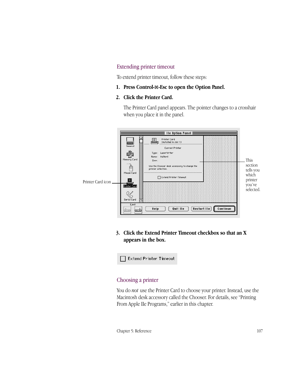#### Extending printer timeout

To extend printer timeout, follow these steps:

**1. Press Control-**x**-Esc to open the Option Panel.**

#### **2. Click the Printer Card.**

The Printer Card panel appears. The pointer changes to a crosshair when you place it in the panel.



**3. Click the Extend Printer Timeout checkbox so that an X appears in the box.**

 $\Box$  Extend Printer Timeout

#### Choosing a printer

You do *not* use the Printer Card to choose your printer. Instead, use the Macintosh desk accessory called the Chooser. For details, see "Printing From Apple IIe Programs," earlier in this chapter.

Chapter 5: Reference 107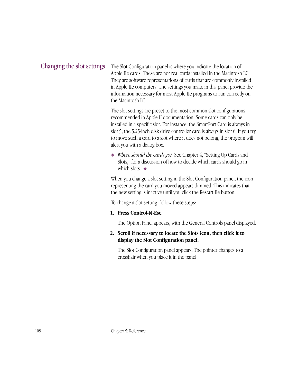# Changing the slot settings

The Slot Configuration panel is where you indicate the location of Apple IIe cards. These are not real cards installed in the Macintosh LC. They are software representations of cards that are commonly installed in Apple IIe computers. The settings you make in this panel provide the information necessary for most Apple IIe programs to run correctly on the Macintosh LC.

The slot settings are preset to the most common slot configurations recommended in Apple II documentation. Some cards can only be installed in a specific slot. For instance, the SmartPort Card is always in slot 5; the 5.25-inch disk drive controller card is always in slot 6. If you try to move such a card to a slot where it does not belong, the program will alert you with a dialog box.

❖ *Where should the cards go?* See Chapter 4, "Setting Up Cards and Slots," for a discussion of how to decide which cards should go in which slots. ❖

When you change a slot setting in the Slot Configuration panel, the icon representing the card you moved appears dimmed. This indicates that the new setting is inactive until you click the Restart IIe button.

To change a slot setting, follow these steps:

#### **1. Press Control-**x**-Esc.**

The Option Panel appears, with the General Controls panel displayed.

#### **2. Scroll if necessary to locate the Slots icon, then click it to display the Slot Configuration panel.**

The Slot Configuration panel appears. The pointer changes to a crosshair when you place it in the panel.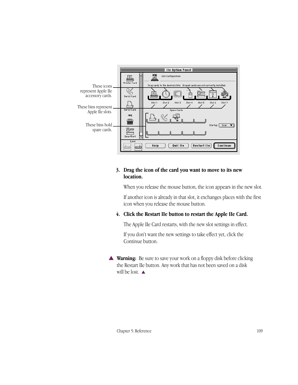

#### **3. Drag the icon of the card you want to move to its new location.**

When you release the mouse button, the icon appears in the new slot.

If another icon is already in that slot, it exchanges places with the first icon when you release the mouse button.

## **4. Click the Restart IIe button to restart the Apple IIe Card.**

The Apple IIe Card restarts, with the new slot settings in effect.

If you don't want the new settings to take effect yet, click the Continue button.

▲ **Warning:** Be sure to save your work on a floppy disk before clicking the Restart IIe button. Any work that has not been saved on a disk will be lost. ▲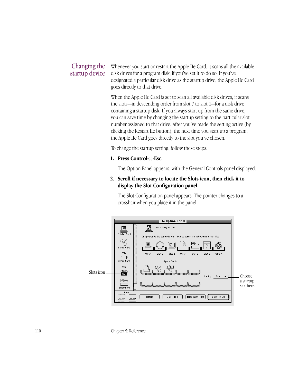# Changing the startup device

Whenever you start or restart the Apple IIe Card, it scans all the available disk drives for a program disk, if you've set it to do so. If you've designated a particular disk drive as the startup drive, the Apple IIe Card goes directly to that drive.

When the Apple IIe Card is set to scan all available disk drives, it scans the slots—in descending order from slot 7 to slot 1—for a disk drive containing a startup disk. If you always start up from the same drive, you can save time by changing the startup setting to the particular slot number assigned to that drive. After you've made the setting active (by clicking the Restart IIe button), the next time you start up a program, the Apple IIe Card goes directly to the slot you've chosen.

To change the startup setting, follow these steps:

#### **1. Press Control-**x**-Esc.**

The Option Panel appears, with the General Controls panel displayed.

#### **2. Scroll if necessary to locate the Slots icon, then click it to display the Slot Configuration panel.**

The Slot Configuration panel appears. The pointer changes to a crosshair when you place it in the panel.



110 Chapter 5: Reference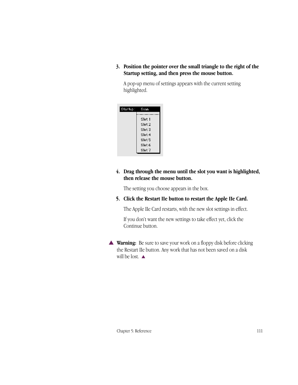**3. Position the pointer over the small triangle to the right of the Startup setting, and then press the mouse button.**

A pop-up menu of settings appears with the current setting highlighted.

| Startup: | Scan              |
|----------|-------------------|
|          |                   |
|          | Slot 1            |
|          | Slot <sub>2</sub> |
|          | Slot 3            |
|          | Slot 4            |
|          | Slot 5            |
|          | Slot 6            |
|          | Slot 7            |

#### **4. Drag through the menu until the slot you want is highlighted, then release the mouse button.**

The setting you choose appears in the box.

#### **5. Click the Restart IIe button to restart the Apple IIe Card.**

The Apple IIe Card restarts, with the new slot settings in effect.

If you don't want the new settings to take effect yet, click the Continue button.

▲ **Warning:** Be sure to save your work on a floppy disk before clicking the Restart IIe button. Any work that has not been saved on a disk will be lost. ▲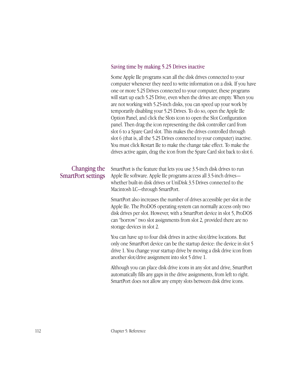#### Saving time by making 5.25 Drives inactive

Some Apple IIe programs scan all the disk drives connected to your computer whenever they need to write information on a disk. If you have one or more 5.25 Drives connected to your computer, these programs will start up each 5.25 Drive, even when the drives are empty. When you are not working with 5.25-inch disks, you can speed up your work by temporarily disabling your 5.25 Drives. To do so, open the Apple IIe Option Panel, and click the Slots icon to open the Slot Configuration panel. Then drag the icon representing the disk controller card from slot 6 to a Spare Card slot. This makes the drives controlled through slot 6 (that is, all the 5.25 Drives connected to your computer) inactive. You must click Restart IIe to make the change take effect. To make the drives active again, drag the icon from the Spare Card slot back to slot 6.

# Changing the SmartPort settings

SmartPort is the feature that lets you use 3.5-inch disk drives to run Apple IIe software. Apple IIe programs access all 3.5-inch drives whether built-in disk drives or UniDisk 3.5 Drives connected to the Macintosh LC—through SmartPort.

SmartPort also increases the number of drives accessible per slot in the Apple IIe. The ProDOS operating system can normally access only two disk drives per slot. However, with a SmartPort device in slot 5, ProDOS can "borrow" two slot assignments from slot 2, provided there are no storage devices in slot 2.

You can have up to four disk drives in active slot/drive locations. But only one SmartPort device can be the startup device: the device in slot 5 drive 1. You change your startup drive by moving a disk drive icon from another slot/drive assignment into slot 5 drive 1.

Although you can place disk drive icons in any slot and drive, SmartPort automatically fills any gaps in the drive assignments, from left to right. SmartPort does not allow any empty slots between disk drive icons.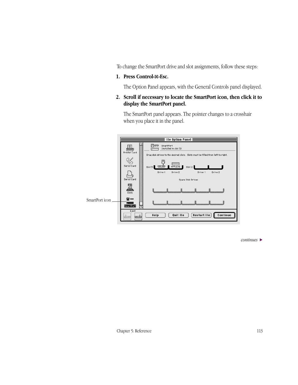To change the SmartPort drive and slot assignments, follow these steps:

#### **1. Press Control-**x**-Esc.**

The Option Panel appears, with the General Controls panel displayed.

# **2. Scroll if necessary to locate the SmartPort icon, then click it to display the SmartPort panel.**

The SmartPort panel appears. The pointer changes to a crosshair when you place it in the panel.



*continues* >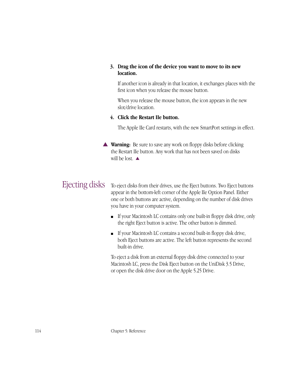#### **3. Drag the icon of the device you want to move to its new location.**

If another icon is already in that location, it exchanges places with the first icon when you release the mouse button.

When you release the mouse button, the icon appears in the new slot/drive location.

#### **4. Click the Restart IIe button.**

The Apple IIe Card restarts, with the new SmartPort settings in effect.

**▲ Warning:** Be sure to save any work on floppy disks before clicking the Restart IIe button. Any work that has not been saved on disks will be lost.  $\triangle$ 

# Ejecting disks

To eject disks from their drives, use the Eject buttons. Two Eject buttons appear in the bottom-left corner of the Apple IIe Option Panel. Either one or both buttons are active, depending on the number of disk drives you have in your computer system.

- If your Macintosh LC contains only one built-in floppy disk drive, only the right Eject button is active. The other button is dimmed.
- If your Macintosh LC contains a second built-in floppy disk drive, both Eject buttons are active. The left button represents the second built-in drive.

To eject a disk from an external floppy disk drive connected to your Macintosh LC, press the Disk Eject button on the UniDisk 3.5 Drive, or open the disk drive door on the Apple 5.25 Drive.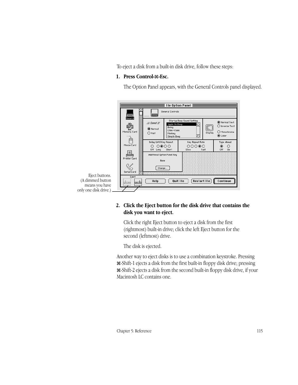To eject a disk from a built-in disk drive, follow these steps:

#### **1. Press Control-**x**-Esc.**

The Option Panel appears, with the General Controls panel displayed.



#### **2. Click the Eject button for the disk drive that contains the disk you want to eject.**

Click the right Eject button to eject a disk from the first (rightmost) built-in drive; click the left Eject button for the second (leftmost) drive.

The disk is ejected.

Another way to eject disks is to use a combination keystroke. Pressing x-Shift-1 ejects a disk from the first built-in floppy disk drive; pressing x-Shift-2 ejects a disk from the second built-in floppy disk drive, if your Macintosh LC contains one.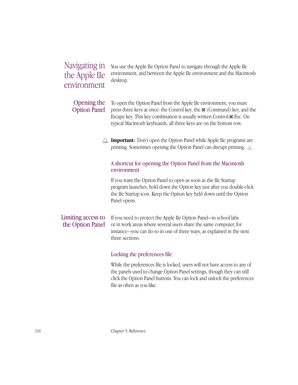# Navigating in the Apple IIe environment

You use the Apple IIe Option Panel to navigate through the Apple IIe environment, and between the Apple IIe environment and the Macintosh desktop.

#### To open the Option Panel from the Apple IIe environment, you must press three keys at once: the Control key, the x (Command) key, and the Escape key. This key combination is usually written Control- $\mathcal{H}$ -Esc. On typical Macintosh keyboards, all three keys are on the bottom row. Opening the Option Panel

 $\triangle$  **Important:** Don't open the Option Panel while Apple IIe programs are printing. Sometimes opening the Option Panel can disrupt printing.  $\triangle$ 

# A shortcut for opening the Option Panel from the Macintosh environment

If you want the Option Panel to open as soon as the IIe Startup program launches, hold down the Option key just after you double-click the IIe Startup icon. Keep the Option key held down until the Option Panel opens.

#### If you need to protect the Apple IIe Option Panel—in school labs or in work areas where several users share the same computer, for instance—you can do so in one of three ways, as explained in the next three sections. Limiting access to the Option Panel

# Locking the preferences file

While the preferences file is locked, users will not have access to any of the panels used to change Option Panel settings, though they can still click the Option Panel buttons. You can lock and unlock the preferences file as often as you like.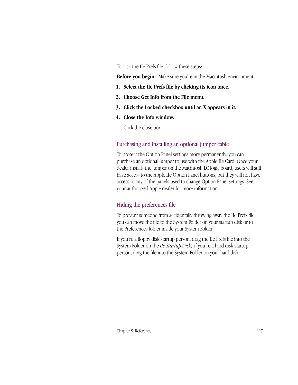To lock the IIe Prefs file, follow these steps:

**Before you begin:** Make sure you're in the Macintosh environment.

- **1. Select the IIe Prefs file by clicking its icon once.**
- **2. Choose Get Info from the File menu.**
- **3. Click the Locked checkbox until an X appears in it.**
- **4. Close the Info window.**

Click the close box.

#### Purchasing and installing an optional jumper cable

To protect the Option Panel settings more permanently, you can purchase an optional jumper to use with the Apple IIe Card. Once your dealer installs the jumper on the Macintosh LC logic board, users will still have access to the Apple IIe Option Panel buttons, but they will not have access to any of the panels used to change Option Panel settings. See your authorized Apple dealer for more information.

### Hiding the preferences file

To prevent someone from accidentally throwing away the IIe Prefs file, you can move the file to the System Folder on your startup disk or to the Preferences folder inside your System Folder.

If you're a floppy disk startup person, drag the IIe Prefs file into the System Folder on the *IIe Startup Disk;* if you're a hard disk startup person, drag the file into the System Folder on your hard disk.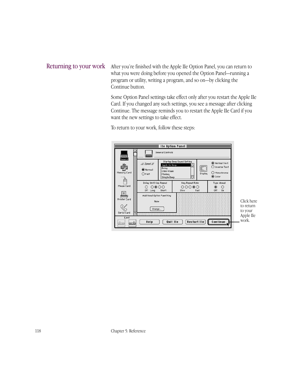# Returning to your work

After you're finished with the Apple IIe Option Panel, you can return to what you were doing before you opened the Option Panel—running a program or utility, writing a program, and so on—by clicking the Continue button.

Some Option Panel settings take effect only after you restart the Apple IIe Card. If you changed any such settings, you see a message after clicking Continue. The message reminds you to restart the Apple IIe Card if you want the new settings to take effect.

To return to your work, follow these steps:

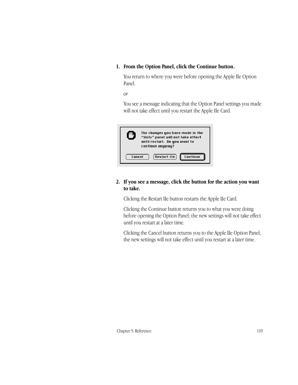#### **1. From the Option Panel, click the Continue button.**

You return to where you were before opening the Apple IIe Option Panel.

*or*

You see a message indicating that the Option Panel settings you made will not take effect until you restart the Apple IIe Card.



#### **2. If you see a message, click the button for the action you want to take.**

Clicking the Restart IIe button restarts the Apple IIe Card.

Clicking the Continue button returns you to what you were doing before opening the Option Panel; the new settings will not take effect until you restart at a later time.

Clicking the Cancel button returns you to the Apple IIe Option Panel; the new settings will not take effect until you restart at a later time.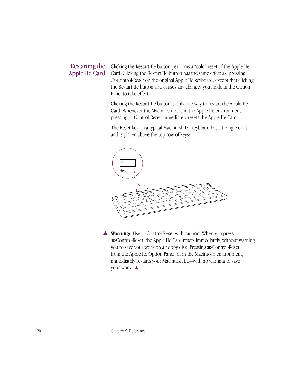# Restarting the Apple IIe Card

Clicking the Restart IIe button performs a "cold" reset of the Apple IIe Card. Clicking the Restart IIe button has the same effect as pressing K-Control-Reset on the original Apple IIe keyboard, except that clicking the Restart IIe button also causes any changes you made in the Option Panel to take effect.

Clicking the Restart IIe button is only one way to restart the Apple IIe Card. Whenever the Macintosh LC is in the Apple IIe environment, pressing x-Control-Reset immediately resets the Apple IIe Card.

The Reset key on a typical Macintosh LC keyboard has a triangle on it and is placed above the top row of keys:



▲ **Warning:** Use x-Control-Reset with caution. When you press x-Control-Reset, the Apple IIe Card resets immediately, without warning you to save your work on a floppy disk. Pressing  $\mathcal{H}$ -Control-Reset from the Apple IIe Option Panel, or in the Macintosh environment, immediately restarts your Macintosh LC—with no warning to save your work. ▲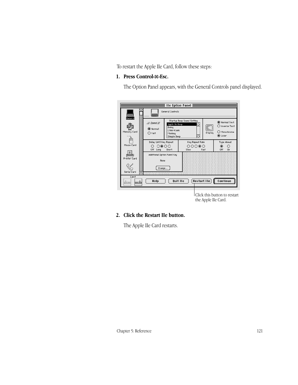To restart the Apple IIe Card, follow these steps:

**1. Press Control-**x**-Esc.**

The Option Panel appears, with the General Controls panel displayed.

| l le Option Panel $\equiv$                                       |                                                          |                                                                                              |                                          |                                                                             |                                                            |  |  |  |
|------------------------------------------------------------------|----------------------------------------------------------|----------------------------------------------------------------------------------------------|------------------------------------------|-----------------------------------------------------------------------------|------------------------------------------------------------|--|--|--|
|                                                                  |                                                          | General Controls                                                                             |                                          |                                                                             |                                                            |  |  |  |
| General<br>Memory Card                                           | $\equiv$ Speed $\equiv$<br>(C) Normal<br>$\bigcirc$ Fast | Startup Beep Sound Setting<br>Apple He Beep<br>Boing<br>Clink-Klank<br>Monkey<br>Simple Beep |                                          | O Normal Text<br>◯ Inverse Text<br>E.<br>O Monochrome<br>Display<br>◉ Color |                                                            |  |  |  |
| Delay Until Key Repeat<br>Mouse Card<br>೧⊛೧೧<br>O<br>Off<br>Long |                                                          | Short                                                                                        | Key Repeat Rate<br>೧೧೧೧೧<br>Slow<br>Fast |                                                                             | Type Ahead<br>◉<br>∩<br>Off<br>0n                          |  |  |  |
| Printer Card                                                     | Additional Option Panel Key<br>None                      |                                                                                              |                                          |                                                                             |                                                            |  |  |  |
| Serial Card                                                      | Change                                                   |                                                                                              |                                          |                                                                             |                                                            |  |  |  |
| Eject<br><br>kirinan<br>                                         | Help                                                     |                                                                                              | Restart IIe<br>Quit IIe                  |                                                                             | Continue                                                   |  |  |  |
|                                                                  |                                                          |                                                                                              |                                          |                                                                             | <b>Click this button to restart</b><br>the Apple IIe Card. |  |  |  |

### **2. Click the Restart IIe button.**

The Apple IIe Card restarts.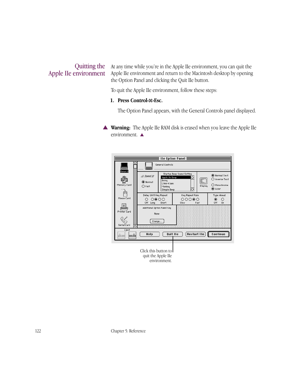# Quitting the Apple IIe environment

At any time while you're in the Apple IIe environment, you can quit the Apple IIe environment and return to the Macintosh desktop by opening the Option Panel and clicking the Quit IIe button.

To quit the Apple IIe environment, follow these steps:

#### **1. Press Control-**x**-Esc.**

The Option Panel appears, with the General Controls panel displayed.

▲ **Warning:** The Apple IIe RAM disk is erased when you leave the Apple IIe environment. ▲

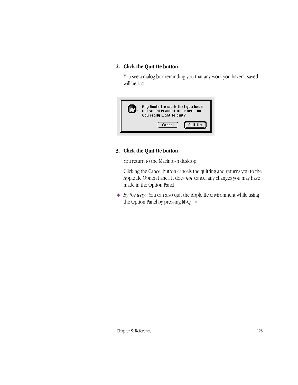#### **2. Click the Quit IIe button.**

You see a dialog box reminding you that any work you haven't saved will be lost.



#### **3. Click the Quit IIe button.**

You return to the Macintosh desktop.

Clicking the Cancel button cancels the quitting and returns you to the Apple IIe Option Panel. It does *not* cancel any changes you may have made in the Option Panel.

❖ *By the way:* You can also quit the Apple IIe environment while using the Option Panel by pressing  $\mathcal{H}\text{-}Q$ .  $\bullet$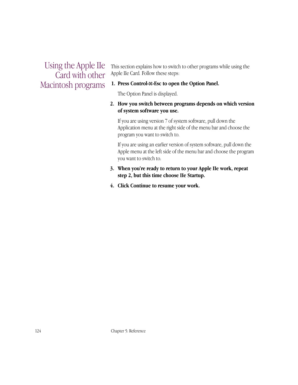Using the Apple IIe Card with other Macintosh programs

This section explains how to switch to other programs while using the Apple IIe Card*.* Follow these steps:

#### **1. Press Control-**x**-Esc to open the Option Panel.**

The Option Panel is displayed.

#### **2. How you switch between programs depends on which version of system software you use.**

If you are using version 7 of system software, pull down the Application menu at the right side of the menu bar and choose the program you want to switch to.

If you are using an earlier version of system software, pull down the Apple menu at the left side of the menu bar and choose the program you want to switch to.

#### **3. When you're ready to return to your Apple IIe work, repeat step 2, but this time choose IIe Startup.**

**4. Click Continue to resume your work.**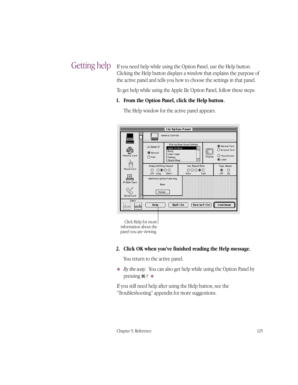# Getting help

If you need help while using the Option Panel, use the Help button. Clicking the Help button displays a window that explains the purpose of the active panel and tells you how to choose the settings in that panel.

To get help while using the Apple IIe Option Panel, follow these steps:

#### **1. From the Option Panel, click the Help button.**

|                                                                            |                                                          |                                                                 | I le Option Panel                        |               |                                                            |  |
|----------------------------------------------------------------------------|----------------------------------------------------------|-----------------------------------------------------------------|------------------------------------------|---------------|------------------------------------------------------------|--|
| <b>WARNER</b><br>General                                                   | General Controls                                         |                                                                 |                                          |               |                                                            |  |
| Memory Card                                                                | $\equiv$ Speed $\equiv$<br>O Normal<br>$\bigcap$ Fast    | Apple Ile Beep<br>Boing<br>Clink-Klank<br>Monkey<br>Simple Beep | Startup Beep Sound Setting               | E.<br>Display | O Normal Text<br>◯ Inverse Text<br>O Monochrome<br>◉ Color |  |
| Mouse Card                                                                 | Delay Until Key Repeat<br>೧ ೧®೧೧<br>0ff<br>Short<br>Long |                                                                 | Key Repeat Rate<br>೧೧೧೧೧<br>Fast<br>Slow |               | Type Ahead<br>◉<br>◯<br>Off<br>On                          |  |
| Printer Card                                                               | Additional Option Panel Key<br>None                      |                                                                 |                                          |               |                                                            |  |
| Serial Card                                                                | Change                                                   |                                                                 |                                          |               |                                                            |  |
| Eject<br><br>[Restart IIe]<br>Continue<br>Quit IIe<br>Help<br>kiinaan!<br> |                                                          |                                                                 |                                          |               |                                                            |  |

The Help window for the active panel appears.

Click Help for more information about the panel you are viewing.

#### **2. Click OK when you've finished reading the Help message.**

You return to the active panel.

❖ *By the way:* You can also get help while using the Option Panel by pressing  $\mathcal{H}$ -?  $\ast$ 

If you still need help after using the Help button, see the "Troubleshooting" appendix for more suggestions.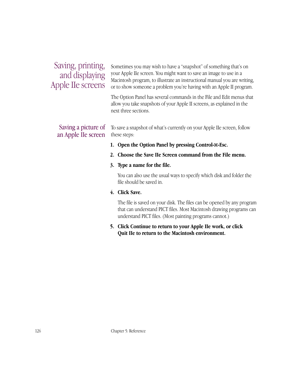# Saving, printing, and displaying Apple IIe screens

Sometimes you may wish to have a "snapshot" of something that's on your Apple IIe screen. You might want to save an image to use in a Macintosh program, to illustrate an instructional manual you are writing, or to show someone a problem you're having with an Apple II program.

The Option Panel has several commands in the File and Edit menus that allow you take snapshots of your Apple II screens, as explained in the next three sections.

# Saving a picture of an Apple IIe screen

To save a snapshot of what's currently on your Apple IIe screen, follow these steps:

- **1. Open the Option Panel by pressing Control-**x**-Esc.**
- **2. Choose the Save IIe Screen command from the File menu.**

#### **3. Type a name for the file.**

You can also use the usual ways to specify which disk and folder the file should be saved in.

#### **4. Click Save.**

The file is saved on your disk. The files can be opened by any program that can understand PICT files. Most Macintosh drawing programs can understand PICT files. (Most painting programs cannot.)

**5. Click Continue to return to your Apple IIe work, or click Quit IIe to return to the Macintosh environment.**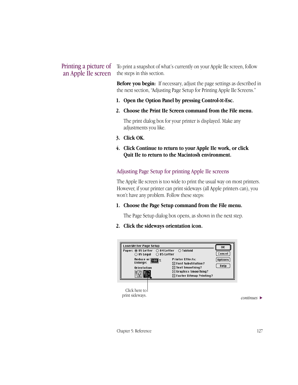# Printing a picture of an Apple IIe screen

To print a snapshot of what's currently on your Apple IIe screen, follow the steps in this section.

**Before you begin:** If necessary, adjust the page settings as described in the next section, "Adjusting Page Setup for Printing Apple IIe Screens."

- **1. Open the Option Panel by pressing Control-**x**-Esc.**
- **2. Choose the Print IIe Screen command from the File menu.**

The print dialog box for your printer is displayed. Make any adjustments you like.

- **3. Click OK.**
- **4. Click Continue to return to your Apple IIe work, or click Quit IIe to return to the Macintosh environment.**

#### Adjusting Page Setup for printing Apple IIe screens

The Apple IIe screen is too wide to print the usual way on most printers. However, if your printer can print sideways (all Apple printers can), you won't have any problem. Follow these steps:

#### **1. Choose the Page Setup command from the File menu.**

The Page Setup dialog box opens, as shown in the next step.

#### **2. Click the sideways orientation icon.**



*continues* >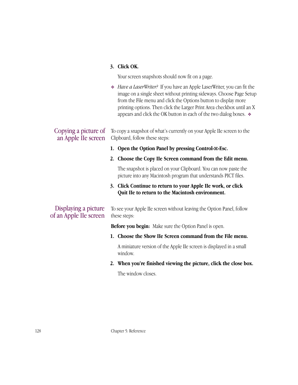#### **3. Click OK.**

Your screen snapshots should now fit on a page.

❖ *Have a LaserWriter?* If you have an Apple LaserWriter, you can fit the image on a single sheet without printing sideways. Choose Page Setup from the File menu and click the Options button to display more printing options. Then click the Larger Print Area checkbox until an X appears and click the OK button in each of the two dialog boxes. ❖

To copy a snapshot of what's currently on your Apple IIe screen to the Clipboard, follow these steps: Copying a picture of an Apple IIe screen

- **1. Open the Option Panel by pressing Control-**x**-Esc.**
- **2. Choose the Copy IIe Screen command from the Edit menu.**

The snapshot is placed on your Clipboard. You can now paste the picture into any Macintosh program that understands PICT files.

#### **3. Click Continue to return to your Apple IIe work, or click Quit IIe to return to the Macintosh environment.**

# Displaying a picture of an Apple IIe screen

To see your Apple IIe screen without leaving the Option Panel, follow these steps:

**Before you begin:** Make sure the Option Panel is open.

**1. Choose the Show IIe Screen command from the File menu.**

A miniature version of the Apple IIe screen is displayed in a small window.

**2. When you're finished viewing the picture, click the close box.**

The window closes.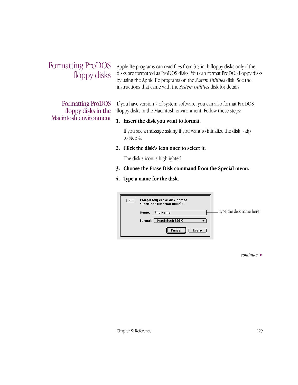## Formatting ProDOS floppy disks

Formatting ProDOS floppy disks in the Macintosh environment Apple IIe programs can read files from 3.5-inch floppy disks only if the disks are formatted as ProDOS disks. You can format ProDOS floppy disks by using the Apple IIe programs on the *System Utilities* disk. See the instructions that came with the *System Utilities* disk for details.

If you have version 7 of system software, you can also format ProDOS floppy disks in the Macintosh environment. Follow these steps:

### **1. Insert the disk you want to format.**

If you see a message asking if you want to initialize the disk, skip to step 4.

**2. Click the disk's icon once to select it.**

The disk's icon is highlighted.

- **3. Choose the Erase Disk command from the Special menu.**
- **4. Type a name for the disk.**

| $\bar{z}$ | Completely erase disk named<br>"Untitled" (internal drive)? |                          |
|-----------|-------------------------------------------------------------|--------------------------|
|           | Any Name <br>Name:                                          | Type the disk name here. |
|           | Macintosh 800K<br>Format:                                   |                          |
|           | Cancel<br>Erase                                             |                          |

*continues* >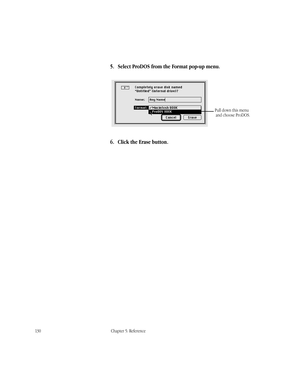### **5. Select ProDOS from the Format pop-up menu.**



**6. Click the Erase button.**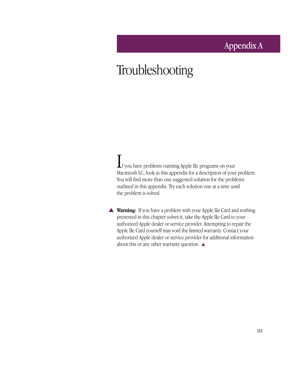### Appendix A

# Troubleshooting

If you have problems running Apple IIe programs on your Macintosh LC, look in this appendix for a description of your problem. You will find more than one suggested solution for the problems outlined in this appendix. Try each solution one at a time until the problem is solved.

▲ **Warning:** If you have a problem with your Apple IIe Card and nothing presented in this chapter solves it, take the Apple IIe Card to your authorized Apple dealer or service provider. Attempting to repair the Apple IIe Card yourself may void the limited warranty. Contact your authorized Apple dealer or service provider for additional information about this or any other warranty question. ▲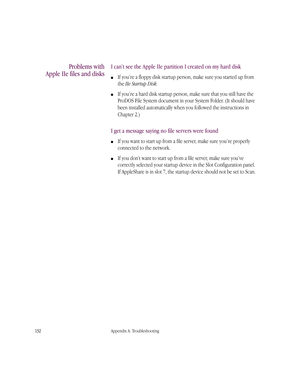### Problems with Apple IIe files and disks

### I can't see the Apple IIe partition I created on my hard disk

- If you're a floppy disk startup person, make sure you started up from the *IIe Startup Disk.*
- If you're a hard disk startup person, make sure that you still have the ProDOS File System document in your System Folder. (It should have been installed automatically when you followed the instructions in Chapter 2.)

### I get a message saying no file servers were found

- If you want to start up from a file server, make sure you're properly connected to the network.
- If you don't want to start up from a file server, make sure you've correctly selected your startup device in the Slot Configuration panel. If AppleShare is in slot 7, the startup device should not be set to Scan.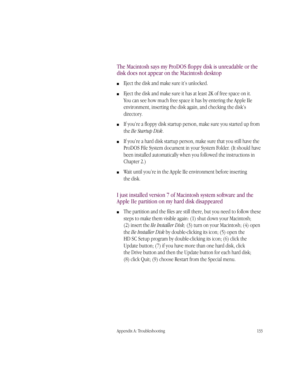The Macintosh says my ProDOS floppy disk is unreadable or the disk does not appear on the Macintosh desktop

- Eject the disk and make sure it's unlocked.
- Eject the disk and make sure it has at least 2K of free space on it. You can see how much free space it has by entering the Apple IIe environment, inserting the disk again, and checking the disk's directory.
- If you're a floppy disk startup person, make sure you started up from the *IIe Startup Disk*.
- If you're a hard disk startup person, make sure that you still have the ProDOS File System document in your System Folder. (It should have been installed automatically when you followed the instructions in Chapter 2.)
- Wait until you're in the Apple IIe environment before inserting the disk.

### I just installed version 7 of Macintosh system software and the Apple IIe partition on my hard disk disappeared

■ The partition and the files are still there, but you need to follow these steps to make them visible again: (1) shut down your Macintosh; (2) insert the *IIe Installer Disk;* (3) turn on your Macintosh; (4) open the *IIe Installer Disk* by double-clicking its icon; (5) open the HD SC Setup program by double-clicking its icon; (6) click the Update button; (7) if you have more than one hard disk, click the Drive button and then the Update button for each hard disk; (8) click Quit; (9) choose Restart from the Special menu.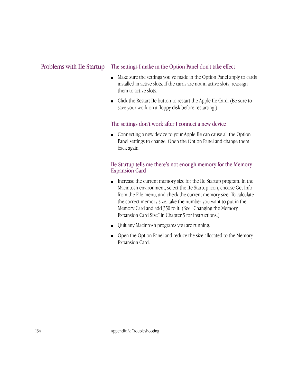#### The settings I make in the Option Panel don't take effect Problems with IIe Startup

- Make sure the settings you've made in the Option Panel apply to cards installed in active slots. If the cards are not in active slots, reassign them to active slots.
- Click the Restart IIe button to restart the Apple IIe Card. (Be sure to save your work on a floppy disk before restarting.)

### The settings don't work after I connect a new device

■ Connecting a new device to your Apple IIe can cause all the Option Panel settings to change. Open the Option Panel and change them back again.

### IIe Startup tells me there's not enough memory for the Memory Expansion Card

- Increase the current memory size for the IIe Startup program. In the Macintosh environment, select the IIe Startup icon, choose Get Info from the File menu, and check the current memory size. To calculate the correct memory size, take the number you want to put in the Memory Card and add 350 to it. (See "Changing the Memory Expansion Card Size" in Chapter 5 for instructions.)
- Quit any Macintosh programs you are running.
- Open the Option Panel and reduce the size allocated to the Memory Expansion Card.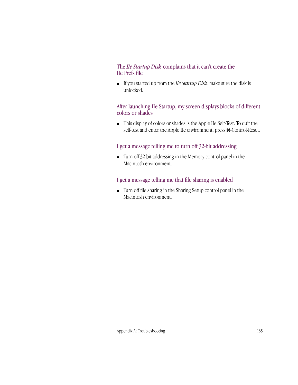### The *IIe Startup Disk* complains that it can't create the IIe Prefs file

■ If you started up from the *IIe Startup Disk,* make sure the disk is unlocked.

### After launching IIe Startup, my screen displays blocks of different colors or shades

■ This display of colors or shades is the Apple IIe Self-Test. To quit the self-test and enter the Apple IIe environment, press  $\mathcal E$ -Control-Reset.

### I get a message telling me to turn off 32-bit addressing

■ Turn off 32-bit addressing in the Memory control panel in the Macintosh environment.

### I get a message telling me that file sharing is enabled

■ Turn off file sharing in the Sharing Setup control panel in the Macintosh environment.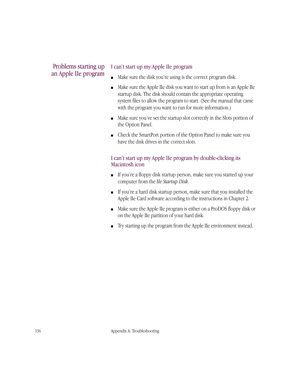### Problems starting up an Apple IIe program

### I can't start up my Apple IIe program

- Make sure the disk you're using is the correct program disk.
- Make sure the Apple IIe disk you want to start up from is an Apple IIe startup disk. The disk should contain the appropriate operating system files to allow the program to start. (See the manual that came with the program you want to run for more information.)
- Make sure you've set the startup slot correctly in the Slots portion of the Option Panel.
- Check the SmartPort portion of the Option Panel to make sure you have the disk drives in the correct slots.

### I can't start up my Apple IIe program by double-clicking its Macintosh icon

- If you're a floppy disk startup person, make sure you started up your computer from the *IIe Startup Disk*.
- If you're a hard disk startup person, make sure that you installed the Apple IIe Card software according to the instructions in Chapter 2.
- Make sure the Apple IIe program is either on a ProDOS floppy disk or on the Apple IIe partition of your hard disk.
- Try starting up the program from the Apple IIe environment instead.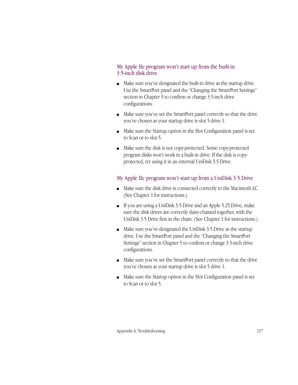### My Apple IIe program won't start up from the built-in 3.5-inch disk drive

- Make sure you've designated the built-in drive as the startup drive. Use the SmartPort panel and the "Changing the SmartPort Settings" section in Chapter 5 to confirm or change 3.5-inch drive configurations.
- Make sure you've set the SmartPort panel correctly so that the drive you've chosen as your startup drive is slot 5 drive 1.
- Make sure the Startup option in the Slot Configuration panel is set to Scan or to slot 5.
- Make sure the disk is not copy-protected. Some copy-protected program disks won't work in a built-in drive. If the disk is copyprotected, try using it in an external UniDisk 3.5 Drive.

### My Apple IIe program won't start up from a UniDisk 3.5 Drive

- Make sure the disk drive is connected correctly to the Macintosh LC. (See Chapter 1 for instructions.)
- If you are using a UniDisk 3.5 Drive and an Apple 5.25 Drive, make sure the disk drives are correctly daisy-chained together, with the UniDisk 3.5 Drive first in the chain. (See Chapter 1 for instructions.)
- Make sure you've designated the UniDisk 3.5 Drive as the startup drive. Use the SmartPort panel and the "Changing the SmartPort Settings" section in Chapter 5 to confirm or change 3.5-inch drive configurations.
- Make sure you've set the SmartPort panel correctly so that the drive you've chosen as your startup drive is slot 5 drive 1.
- Make sure the Startup option in the Slot Configuration panel is set to Scan or to slot 5.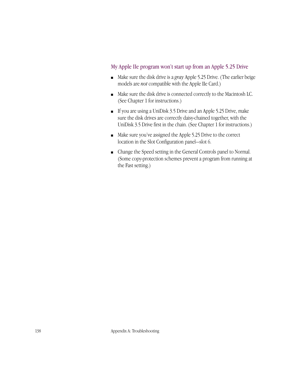### My Apple IIe program won't start up from an Apple 5.25 Drive

- Make sure the disk drive is a *gray* Apple 5.25 Drive. (The earlier beige models are *not* compatible with the Apple IIe Card.)
- Make sure the disk drive is connected correctly to the Macintosh LC. (See Chapter 1 for instructions.)
- If you are using a UniDisk 3.5 Drive and an Apple 5.25 Drive, make sure the disk drives are correctly daisy-chained together, with the UniDisk 3.5 Drive first in the chain. (See Chapter 1 for instructions.)
- Make sure you've assigned the Apple 5.25 Drive to the correct location in the Slot Configuration panel—slot 6.
- Change the Speed setting in the General Controls panel to Normal. (Some copy-protection schemes prevent a program from running at the Fast setting.)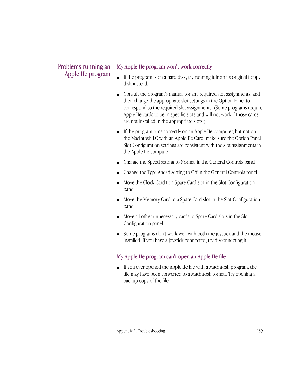### Problems running an Apple IIe program

### My Apple IIe program won't work correctly

- If the program is on a hard disk, try running it from its original floppy disk instead.
- Consult the program's manual for any required slot assignments, and then change the appropriate slot settings in the Option Panel to correspond to the required slot assignments. (Some programs require Apple IIe cards to be in specific slots and will not work if those cards are not installed in the appropriate slots.)
- If the program runs correctly on an Apple IIe computer, but not on the Macintosh LC with an Apple IIe Card, make sure the Option Panel Slot Configuration settings are consistent with the slot assignments in the Apple IIe computer.
- Change the Speed setting to Normal in the General Controls panel.
- Change the Type Ahead setting to Off in the General Controls panel.
- Move the Clock Card to a Spare Card slot in the Slot Configuration panel.
- Move the Memory Card to a Spare Card slot in the Slot Configuration panel.
- Move all other unnecessary cards to Spare Card slots in the Slot Configuration panel.
- Some programs don't work well with both the joystick and the mouse installed. If you have a joystick connected, try disconnecting it.

### My Apple IIe program can't open an Apple IIe file

■ If you ever opened the Apple IIe file with a Macintosh program, the file may have been converted to a Macintosh format. Try opening a backup copy of the file.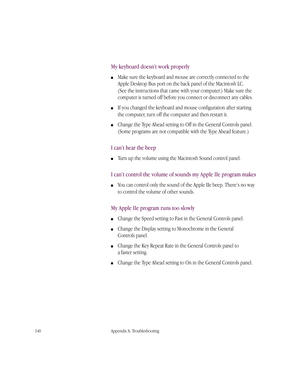### My keyboard doesn't work properly

- Make sure the keyboard and mouse are correctly connected to the Apple Desktop Bus port on the back panel of the Macintosh LC. (See the instructions that came with your computer.) Make sure the computer is turned off before you connect or disconnect any cables.
- If you changed the keyboard and mouse configuration after starting the computer, turn off the computer and then restart it.
- Change the Type Ahead setting to Off in the General Controls panel. (Some programs are not compatible with the Type Ahead feature.)

### I can't hear the beep

■ Turn up the volume using the Macintosh Sound control panel.

### I can't control the volume of sounds my Apple IIe program makes

■ You can control only the sound of the Apple IIe beep. There's no way to control the volume of other sounds.

### My Apple IIe program runs too slowly

- Change the Speed setting to Fast in the General Controls panel.
- Change the Display setting to Monochrome in the General Controls panel.
- Change the Key Repeat Rate in the General Controls panel to a faster setting.
- Change the Type Ahead setting to On in the General Controls panel.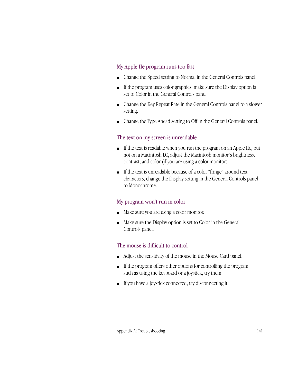### My Apple IIe program runs too fast

- Change the Speed setting to Normal in the General Controls panel.
- If the program uses color graphics, make sure the Display option is set to Color in the General Controls panel.
- Change the Key Repeat Rate in the General Controls panel to a slower setting.
- Change the Type Ahead setting to Off in the General Controls panel.

### The text on my screen is unreadable

- If the text is readable when you run the program on an Apple IIe, but not on a Macintosh LC, adjust the Macintosh monitor's brightness, contrast, and color (if you are using a color monitor).
- If the text is unreadable because of a color "fringe" around text characters, change the Display setting in the General Controls panel to Monochrome.

### My program won't run in color

- Make sure you are using a color monitor.
- Make sure the Display option is set to Color in the General Controls panel.

### The mouse is difficult to control

- Adjust the sensitivity of the mouse in the Mouse Card panel.
- If the program offers other options for controlling the program, such as using the keyboard or a joystick, try them.
- If you have a joystick connected, try disconnecting it.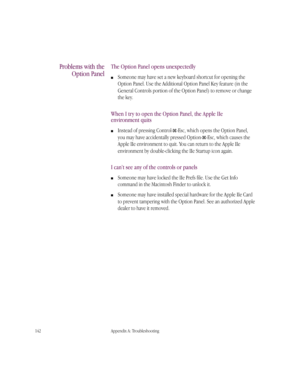### Problems with the Option Panel

### The Option Panel opens unexpectedly

■ Someone may have set a new keyboard shortcut for opening the Option Panel. Use the Additional Option Panel Key feature (in the General Controls portion of the Option Panel) to remove or change the key.

### When I try to open the Option Panel, the Apple IIe environment quits

■ Instead of pressing Control- $\mathcal{R}$ -Esc, which opens the Option Panel, you may have accidentally pressed Option- $#$ -Esc, which causes the Apple IIe environment to quit. You can return to the Apple IIe environment by double-clicking the IIe Startup icon again.

### I can't see any of the controls or panels

- Someone may have locked the IIe Prefs file. Use the Get Info command in the Macintosh Finder to unlock it.
- Someone may have installed special hardware for the Apple IIe Card to prevent tampering with the Option Panel. See an authorized Apple dealer to have it removed.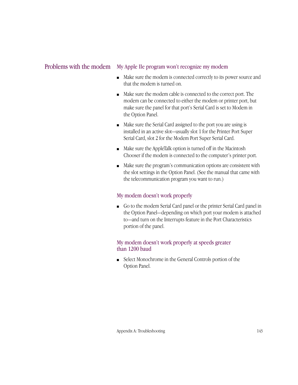### Problems with the modem My Apple IIe program won't recognize my modem

- Make sure the modem is connected correctly to its power source and that the modem is turned on.
- Make sure the modem cable is connected to the correct port. The modem can be connected to either the modem or printer port, but make sure the panel for that port's Serial Card is set to Modem in the Option Panel.
- Make sure the Serial Card assigned to the port you are using is installed in an active slot—usually slot 1 for the Printer Port Super Serial Card, slot 2 for the Modem Port Super Serial Card.
- Make sure the AppleTalk option is turned off in the Macintosh Chooser if the modem is connected to the computer's printer port.
- Make sure the program's communication options are consistent with the slot settings in the Option Panel. (See the manual that came with the telecommunication program you want to run.)

### My modem doesn't work properly

■ Go to the modem Serial Card panel or the printer Serial Card panel in the Option Panel—depending on which port your modem is attached to—and turn on the Interrupts feature in the Port Characteristics portion of the panel.

### My modem doesn't work properly at speeds greater than 1200 baud

■ Select Monochrome in the General Controls portion of the Option Panel.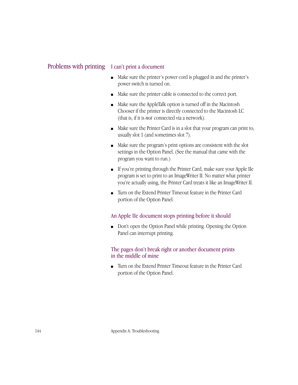### Problems with printing I can't print a document

- Make sure the printer's power cord is plugged in and the printer's power switch is turned on.
- Make sure the printer cable is connected to the correct port.
- Make sure the AppleTalk option is turned off in the Macintosh Chooser if the printer is directly connected to the Macintosh LC (that is, if it is *not* connected via a network).
- Make sure the Printer Card is in a slot that your program can print to, usually slot 1 (and sometimes slot 7).
- Make sure the program's print options are consistent with the slot settings in the Option Panel. (See the manual that came with the program you want to run.)
- If you're printing through the Printer Card, make sure your Apple IIe program is set to print to an ImageWriter II. No matter what printer you're actually using, the Printer Card treats it like an ImageWriter II.
- Turn on the Extend Printer Timeout feature in the Printer Card portion of the Option Panel.

### An Apple IIe document stops printing before it should

■ Don't open the Option Panel while printing. Opening the Option Panel can interrupt printing.

### The pages don't break right or another document prints in the middle of mine

■ Turn on the Extend Printer Timeout feature in the Printer Card portion of the Option Panel.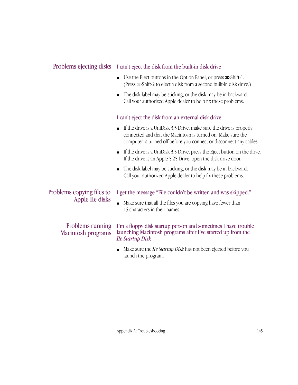### Problems ejecting disks I can't eject the disk from the built-in disk drive

- Use the Eject buttons in the Option Panel, or press  $\mathcal{H}\text{-Shift-1}$ . (Press x-Shift-2 to eject a disk from a second built-in disk drive.)
- The disk label may be sticking, or the disk may be in backward. Call your authorized Apple dealer to help fix these problems.

### I can't eject the disk from an external disk drive

- If the drive is a UniDisk 3.5 Drive, make sure the drive is properly connected and that the Macintosh is turned on. Make sure the computer is turned off before you connect or disconnect any cables.
- If the drive is a UniDisk 3.5 Drive, press the Eject button on the drive. If the drive is an Apple 5.25 Drive, open the disk drive door.
- The disk label may be sticking, or the disk may be in backward. Call your authorized Apple dealer to help fix these problems.

### Problems copying files to Apple IIe disks

### I get the message "File couldn't be written and was skipped."

■ Make sure that all the files you are copying have fewer than 15 characters in their names.

### Problems running Macintosh programs

I'm a floppy disk startup person and sometimes I have trouble launching Macintosh programs after I've started up from the *IIe Startup Disk*

■ Make sure the *IIe Startup Disk* has not been ejected before you launch the program.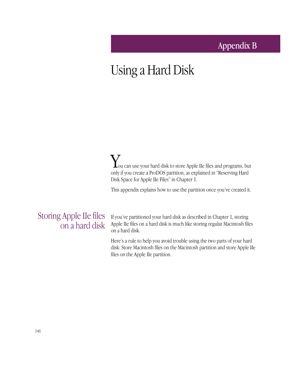### Appendix B

# Using a Hard Disk

You can use your hard disk to store Apple IIe files and programs, but only if you create a ProDOS partition, as explained in "Reserving Hard Disk Space for Apple IIe Files" in Chapter 1.

This appendix explains how to use the partition once you've created it.

### Storing Apple IIe files on a hard disk

If you've partitioned your hard disk as described in Chapter 1, storing Apple IIe files on a hard disk is much like storing regular Macintosh files on a hard disk.

Here's a rule to help you avoid trouble using the two parts of your hard disk: Store Macintosh files on the Macintosh partition and store Apple IIe files on the Apple IIe partition.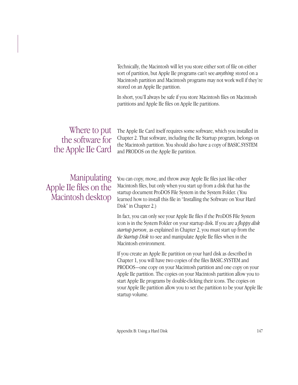Technically, the Macintosh will let you store either sort of file on either sort of partition, but Apple IIe programs can't see *anything* stored on a Macintosh partition and Macintosh programs may not work well if they're stored on an Apple IIe partition.

In short, you'll always be safe if you store Macintosh files on Macintosh partitions and Apple IIe files on Apple IIe partitions.

### Where to put the software for the Apple IIe Card

The Apple IIe Card itself requires some software, which you installed in Chapter 2. That software, including the IIe Startup program, belongs on the Macintosh partition. You should also have a copy of BASIC.SYSTEM and PRODOS on the Apple IIe partition.

### Manipulating Apple IIe files on the Macintosh desktop

You can copy, move, and throw away Apple IIe files just like other Macintosh files, but only when you start up from a disk that has the startup document ProDOS File System in the System Folder. ( You learned how to install this file in "Installing the Software on Your Hard Disk" in Chapter 2.)

In fact, you can only see your Apple IIe files if the ProDOS File System icon is in the System Folder on your startup disk. If you are a *floppy disk startup person*, as explained in Chapter 2, you must start up from the *IIe Startup Disk* to see and manipulate Apple IIe files when in the Macintosh environment.

If you create an Apple IIe partition on your hard disk as described in Chapter 1, you will have two copies of the files BASIC.SYSTEM and PRODOS—one copy on your Macintosh partition and one copy on your Apple IIe partition. The copies on your Macintosh partition allow you to start Apple IIe programs by double-clicking their icons. The copies on your Apple IIe partition allow you to set the partition to be your Apple IIe startup volume.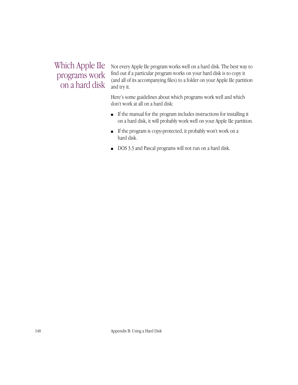### Which Apple IIe programs work on a hard disk

Not every Apple IIe program works well on a hard disk. The best way to find out if a particular program works on your hard disk is to copy it (and all of its accompanying files) to a folder on your Apple IIe partition and try it.

Here's some guidelines about which programs work well and which don't work at all on a hard disk:

- If the manual for the program includes instructions for installing it on a hard disk, it will probably work well on your Apple IIe partition.
- If the program is copy-protected, it probably won't work on a hard disk.
- DOS 3.3 and Pascal programs will not run on a hard disk.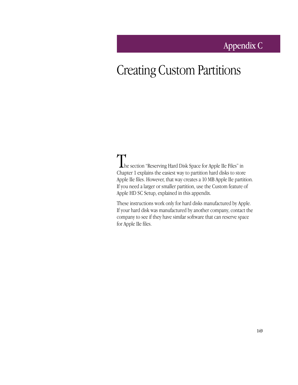### Appendix C

# Creating Custom Partitions

The section "Reserving Hard Disk Space for Apple IIe Files" in Chapter 1 explains the easiest way to partition hard disks to store Apple IIe files. However, that way creates a 10 MB Apple IIe partition. If you need a larger or smaller partition, use the Custom feature of Apple HD SC Setup, explained in this appendix.

These instructions work only for hard disks manufactured by Apple. If your hard disk was manufactured by another company, contact the company to see if they have similar software that can reserve space for Apple IIe files.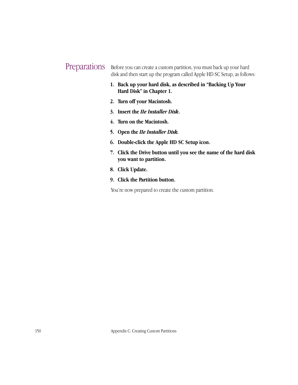### **Preparations**

Before you can create a custom partition, you must back up your hard disk and then start up the program called Apple HD SC Setup, as follows:

- **1. Back up your hard disk, as described in "Backing Up Your Hard Disk" in Chapter 1.**
- **2. Turn off your Macintosh.**
- **3. Insert the** *IIe Installer Disk***.**
- **4. Turn on the Macintosh.**
- **5. Open the** *IIe Installer Disk.*
- **6. Double-click the Apple HD SC Setup icon.**
- **7. Click the Drive button until you see the name of the hard disk you want to partition.**
- **8. Click Update.**
- **9. Click the Partition button.**

You're now prepared to create the custom partition.

150 Appendix C: Creating Custom Partitions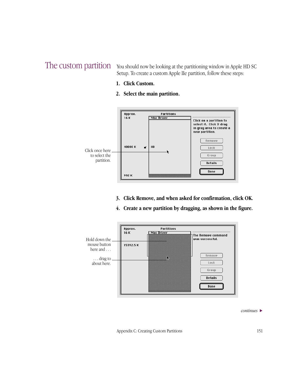The custom partition You should now be looking at the partitioning window in Apple HD SC Setup. To create a custom Apple IIe partition, follow these steps:

- **1. Click Custom.**
- **2. Select the main partition.**



- **3. Click Remove, and when asked for confirmation, click OK.**
- **4. Create a new partition by dragging, as shown in the figure.**



*continues* >

Appendix C: Creating Custom Partitions 151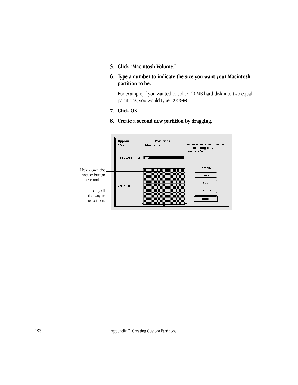- **5. Click "Macintosh Volume."**
- **6. Type a number to indicate the size you want your Macintosh partition to be.**

For example, if you wanted to split a 40 MB hard disk into two equal partitions, you would type 20000.

- **7. Click OK.**
- **8. Create a second new partition by dragging.**



152 Appendix C: Creating Custom Partitions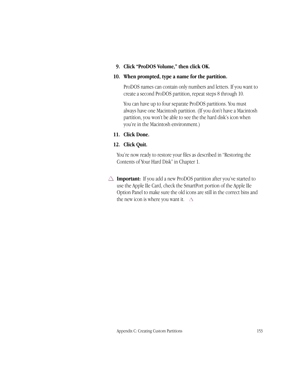#### **9. Click "ProDOS Volume," then click OK.**

#### **10. When prompted, type a name for the partition.**

ProDOS names can contain only numbers and letters. If you want to create a second ProDOS partition, repeat steps 8 through 10.

You can have up to four separate ProDOS partitions. You must always have one Macintosh partition. (If you don't have a Macintosh partition, you won't be able to see the the hard disk's icon when you're in the Macintosh environment.)

#### **11. Click Done.**

#### **12. Click Quit.**

You're now ready to restore your files as described in "Restoring the Contents of Your Hard Disk" in Chapter 1.

 $\triangle$  **Important:** If you add a new ProDOS partition after you've started to use the Apple IIe Card, check the SmartPort portion of the Apple IIe Option Panel to make sure the old icons are still in the correct bins and the new icon is where you want it.  $\Delta$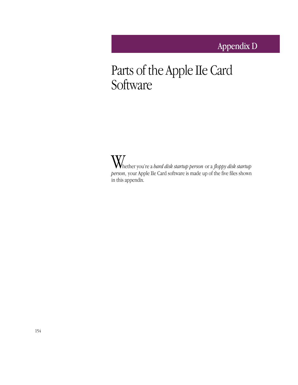# Parts of the Apple IIe Card **Software**

Whether you're a *hard disk startup person* or a *floppy disk startup person*, your Apple IIe Card software is made up of the five files shown in this appendix.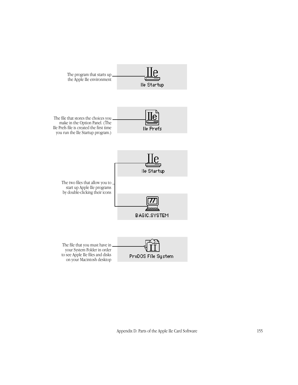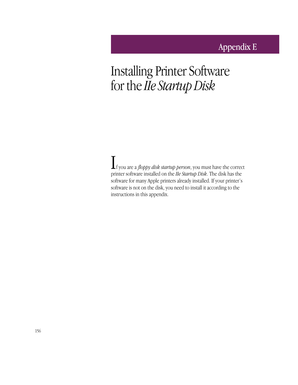## Appendix E

# Installing Printer Software for the *IIe Startup Disk*

If you are a *floppy disk startup person*, you must have the correct printer software installed on the *IIe Startup Disk*. The disk has the software for many Apple printers already installed. If your printer's software is not on the disk, you need to install it according to the instructions in this appendix.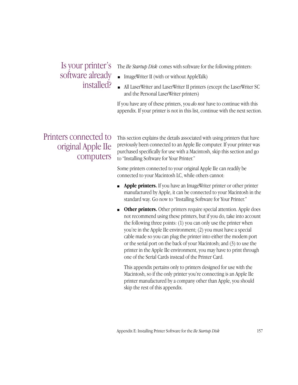### Is your printer's software already installed?

The *IIe Startup Disk* comes with software for the following printers:

- ImageWriter II (with or without AppleTalk)
- All LaserWriter and LaserWriter II printers (except the LaserWriter SC and the Personal LaserWriter printers)

If you have any of these printers, you *do not* have to continue with this appendix. If your printer is not in this list, continue with the next section.

### Printers connected to original Apple IIe computers

This section explains the details associated with using printers that have previously been connected to an Apple IIe computer. If your printer was purchased specifically for use with a Macintosh, skip this section and go to "Installing Software for Your Printer."

Some printers connected to your original Apple IIe can readily be connected to your Macintosh LC, while others cannot:

- **Apple printers.** If you have an ImageWriter printer or other printer manufactured by Apple, it can be connected to your Macintosh in the standard way. Go now to "Installing Software for Your Printer."
- **Other printers.** Other printers require special attention. Apple does not recommend using these printers, but if you do, take into account the following three points: (1) you can only use the printer when you're in the Apple IIe environment; (2) you must have a special cable made so you can plug the printer into either the modem port or the serial port on the back of your Macintosh; and (3) to use the printer in the Apple IIe environment, you may have to print through one of the Serial Cards instead of the Printer Card.

This appendix pertains only to printers designed for use with the Macintosh, so if the only printer you're connecting is an Apple IIe printer manufactured by a company other than Apple, you should skip the rest of this appendix.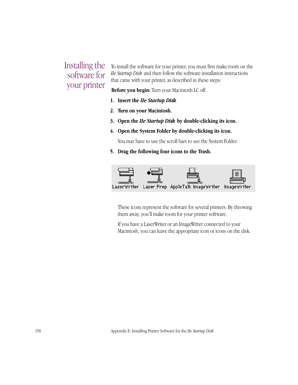### Installing the software for your printer

To install the software for your printer, you must first make room on the *IIe Startup Disk* and then follow the software installation instructions that came with your printer, as described in these steps:

**Before you begin:** Turn your Macintosh LC off.

- **1. Insert the** *IIe Startup Disk.*
- **2. Turn on your Macintosh.**
- **3. Open the** *IIe Startup Disk* **by double-clicking its icon.**
- **4. Open the System Folder by double-clicking its icon.**

You may have to use the scroll bars to see the System Folder.

**5. Drag the following four icons to the Trash.**



These icons represent the software for several printers. By throwing them away, you'll make room for your printer software.

If you have a LaserWriter or an ImageWriter connected to your Macintosh, you can leave the appropriate icon or icons on the disk.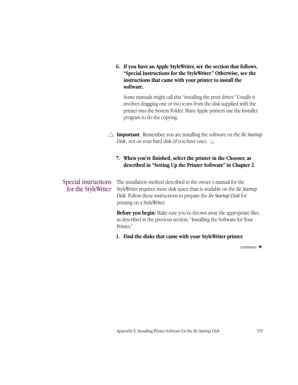**6. If you have an Apple StyleWriter, see the section that follows, "Special Instructions for the StyleWriter." Otherwise, see the instructions that came with your printer to install the software.**

Some manuals might call this "installing the print driver." Usually it involves dragging one or two icons from the disk supplied with the printer into the System Folder. Many Apple printers use the Installer program to do the copying.

 $\triangle$  **Important**: Remember, you are installing the software on the *IIe Startup Disk*, not on your hard disk (if you have one).  $\triangle$ 

### **7. When you're finished, select the printer in the Chooser, as described in "Setting Up the Printer Software" in Chapter 2.**

#### The installation method described in the owner's manual for the StyleWriter requires more disk space than is available on the *IIe Startup Disk.* Follow these instructions to prepare the *IIe Startup Disk* for printing on a StyleWriter. Special instructions for the StyleWriter

**Before you begin:** Make sure you've thrown away the appropriate files, as described in the previous section, "Installing the Software for Your Printer."

**1. Find the disks that came with your StyleWriter printer.**

*continues* >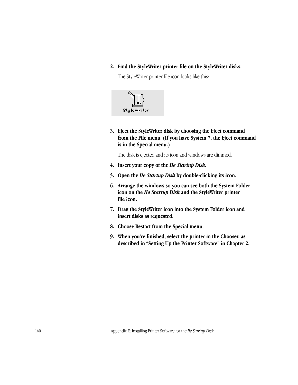**2. Find the StyleWriter printer file on the StyleWriter disks.** 

The StyleWriter printer file icon looks like this:



**3. Eject the StyleWriter disk by choosing the Eject command from the File menu. (If you have System 7, the Eject command is in the Special menu.)** 

The disk is ejected and its icon and windows are dimmed.

- **4. Insert your copy of the** *IIe Startup Disk.*
- **5. Open the** *IIe Startup Disk* **by double-clicking its icon.**
- **6. Arrange the windows so you can see both the System Folder icon on the** *IIe Startup Disk* **and the StyleWriter printer file icon.**
- **7. Drag the StyleWriter icon into the System Folder icon and insert disks as requested.**
- **8. Choose Restart from the Special menu.**
- **9. When you're finished, select the printer in the Chooser, as described in "Setting Up the Printer Software" in Chapter 2.**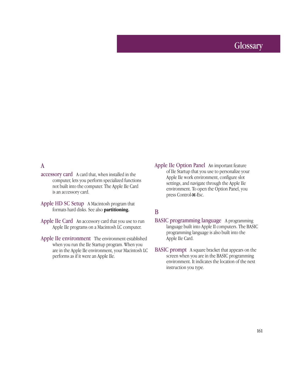### **Glossary**

### A

- accessory card A card that, when installed in the computer, lets you perform specialized functions not built into the computer. The Apple IIe Card is an accessory card.
- Apple HD SC Setup A Macintosh program that formats hard disks. See also **partitioning.**
- Apple IIe Card An accessory card that you use to run Apple IIe programs on a Macintosh LC computer.
- Apple IIe environment The environment established when you run the IIe Startup program. When you are in the Apple IIe environment, your Macintosh LC performs as if it were an Apple IIe.
- Apple IIe Option Panel An important feature of IIe Startup that you use to personalize your Apple IIe work environment, configure slot settings, and navigate through the Apple IIe environment. To open the Option Panel, you press Control-x-Esc.

### B

- BASIC programming language A programming language built into Apple II computers. The BASIC programming language is also built into the Apple IIe Card.
- BASIC prompt A square bracket that appears on the screen when you are in the BASIC programming environment. It indicates the location of the next instruction you type.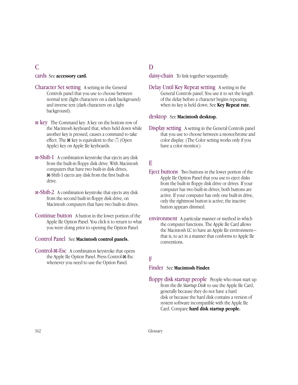### $\overline{C}$

#### cards See **accessory card.**

- Character Set setting A setting in the General Controls panel that you use to choose between normal text (light characters on a dark background) and inverse text (dark characters on a light background).
- x key The Command key. A key on the bottom row of the Macintosh keyboard that, when held down while another key is pressed, causes a command to take effect. The  $\mathcal R$  key is equivalent to the  $\circlearrowleft$  (Open Apple) key on Apple IIe keyboards.
- x-Shift-1 A combination keystroke that ejects any disk from the built-in floppy disk drive. With Macintosh computers that have two built-in disk drives, x-Shift-1 ejects any disk from the first built-in drive.
- x-Shift-2 A combination keystroke that ejects any disk from the second built-in floppy disk drive, on Macintosh computers that have two built-in drives.
- Continue button A button in the lower portion of the Apple IIe Option Panel. You click it to return to what you were doing prior to opening the Option Panel.

#### Control Panel See **Macintosh control panels.**

Control-x-Esc A combination keystroke that opens the Apple IIe Option Panel. Press Control- $\mathcal{F}\text{-}\mathrm{Esc}$ whenever you need to use the Option Panel.

### D

daisy-chain To link together sequentially.

Delay Until Key Repeat setting A setting in the General Controls panel. You use it to set the length of the delay before a character begins repeating when its key is held down. See **Key Repeat rate.**

#### desktop See **Macintosh desktop.**

Display setting A setting in the General Controls panel that you use to choose between a monochrome and color display. (The Color setting works only if you have a color monitor.)

#### E

- Eject buttons Two buttons in the lower portion of the Apple IIe Option Panel that you use to eject disks from the built-in floppy disk drive or drives. If your computer has two built-in drives, both buttons are active. If your computer has only one built-in drive, only the rightmost button is active; the inactive button appears dimmed.
- environment A particular manner or method in which the computer functions. The Apple IIe Card allows the Macintosh LC to have an Apple IIe environment that is, to act in a manner that conforms to Apple IIe conventions.

### F

#### Finder See **Macintosh Finder.**

floppy disk startup people People who must start up from the *IIe Startup Disk* to use the Apple IIe Card, generally because they do not have a hard disk or because the hard disk contains a version of system software incompatible with the Apple IIe Card. Compare **hard disk startup people.**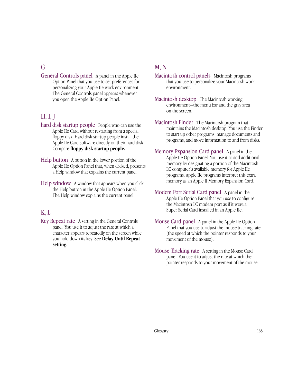### G

General Controls panel A panel in the Apple IIe Option Panel that you use to set preferences for personalizing your Apple IIe work environment. The General Controls panel appears whenever you open the Apple IIe Option Panel.

### H, I, J

- hard disk startup people People who can use the Apple IIe Card without restarting from a special floppy disk. Hard disk startup people install the Apple IIe Card software directly on their hard disk. Compare **floppy disk startup people.**
- Help button A button in the lower portion of the Apple IIe Option Panel that, when clicked, presents a Help window that explains the current panel.
- Help window A window that appears when you click the Help button in the Apple IIe Option Panel. The Help window explains the current panel.

### K, L

Key Repeat rate A setting in the General Controls panel. You use it to adjust the rate at which a character appears repeatedly on the screen while you hold down its key. See **Delay Until Repeat setting.**

### M, N

- Macintosh control panels Macintosh programs that you use to personalize your Macintosh work environment.
- Macintosh desktop The Macintosh working environment—the menu bar and the gray area on the screen.
- Macintosh Finder The Macintosh program that maintains the Macintosh desktop. You use the Finder to start up other programs, manage documents and programs, and move information to and from disks.
- Memory Expansion Card panel A panel in the Apple IIe Option Panel. You use it to add additional memory by designating a portion of the Macintosh LC computer's available memory for Apple IIe programs. Apple IIe programs interpret this extra memory as an Apple II Memory Expansion Card.
- Modem Port Serial Card panel A panel in the Apple IIe Option Panel that you use to configure the Macintosh LC modem port as if it were a Super Serial Card installed in an Apple IIe.
- Mouse Card panel A panel in the Apple IIe Option Panel that you use to adjust the mouse tracking rate (the speed at which the pointer responds to your movement of the mouse).
- Mouse Tracking rate A setting in the Mouse Card panel. You use it to adjust the rate at which the pointer responds to your movement of the mouse.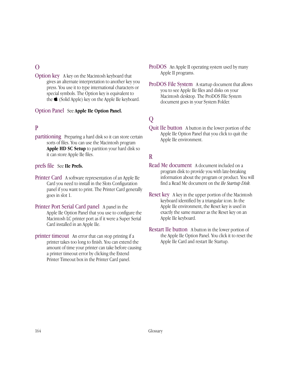### $\Omega$

Option key A key on the Macintosh keyboard that gives an alternate interpretation to another key you press. You use it to type international characters or special symbols. The Option key is equivalent to the  $\bullet$  (Solid Apple) key on the Apple IIe keyboard.

### Option Panel See **Apple IIe Option Panel.**

### P

partitioning Preparing a hard disk so it can store certain sorts of files. You can use the Macintosh program **Apple HD SC Setup** to partition your hard disk so it can store Apple IIe files.

#### prefs file See **IIe Prefs.**

- Printer Card A software representation of an Apple IIe Card you need to install in the Slots Configuration panel if you want to print. The Printer Card generally goes in slot 1.
- Printer Port Serial Card panel A panel in the Apple IIe Option Panel that you use to configure the Macintosh LC printer port as if it were a Super Serial Card installed in an Apple IIe.
- printer timeout An error that can stop printing if a printer takes too long to finish. You can extend the amount of time your printer can take before causing a printer timeout error by clicking the Extend Printer Timeout box in the Printer Card panel.
- ProDOS An Apple II operating system used by many Apple II programs.
- ProDOS File System A startup document that allows you to see Apple IIe files and disks on your Macintosh desktop. The ProDOS File System document goes in your System Folder.

### Q

Quit IIe button A button in the lower portion of the Apple IIe Option Panel that you click to quit the Apple IIe environment.

### R

- Read Me document A document included on a program disk to provide you with late-breaking information about the program or product. You will find a Read Me document on the *IIe Startup Disk.*
- Reset key A key in the upper portion of the Macintosh keyboard identified by a triangular icon. In the Apple IIe environment, the Reset key is used in exactly the same manner as the Reset key on an Apple IIe keyboard.
- Restart IIe button A button in the lower portion of the Apple IIe Option Panel. You click it to reset the Apple IIe Card and restart IIe Startup.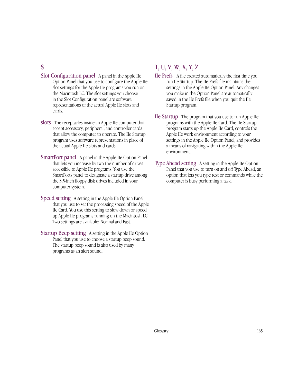#### S

- Slot Configuration panel A panel in the Apple IIe Option Panel that you use to configure the Apple IIe slot settings for the Apple IIe programs you run on the Macintosh LC. The slot settings you choose in the Slot Configuration panel are software representations of the actual Apple IIe slots and cards.
- slots The receptacles inside an Apple IIe computer that accept accessory, peripheral, and controller cards that allow the computer to operate. The IIe Startup program uses software representations in place of the actual Apple IIe slots and cards.
- SmartPort panel A panel in the Apple IIe Option Panel that lets you increase by two the number of drives accessible to Apple IIe programs. You use the SmartPorts panel to designate a startup drive among the 3.5-inch floppy disk drives included in your computer system.
- Speed setting A setting in the Apple IIe Option Panel that you use to set the processing speed of the Apple IIe Card. You use this setting to slow down or speed up Apple IIe programs running on the Macintosh LC. Two settings are available: Normal and Fast.
- Startup Beep setting A setting in the Apple IIe Option Panel that you use to choose a startup beep sound. The startup beep sound is also used by many programs as an alert sound.

## T, U, V, W, X, Y, Z

- IIe Prefs A file created automatically the first time you run IIe Startup. The IIe Prefs file maintains the settings in the Apple IIe Option Panel. Any changes you make in the Option Panel are automatically saved in the IIe Prefs file when you quit the IIe Startup program.
- IIe Startup The program that you use to run Apple IIe programs with the Apple IIe Card. The IIe Startup program starts up the Apple IIe Card, controls the Apple IIe work environment according to your settings in the Apple IIe Option Panel, and provides a means of navigating within the Apple IIe environment.
- Type Ahead setting A setting in the Apple IIe Option Panel that you use to turn on and off Type Ahead, an option that lets you type text or commands while the computer is busy performing a task.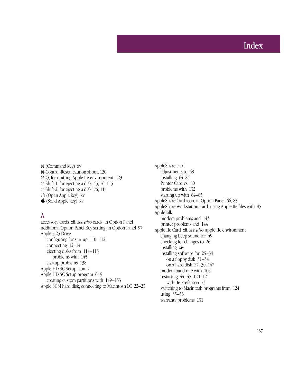## Index

x (Command key) xv x-Control-Reset, caution about, 120 x-Q, for quitting Apple IIe environment 123 x-Shift-1, for ejecting a disk 45, 76, 115 x-Shift-2, for ejecting a disk 76, 115 K (Open Apple key) xv  $\bullet$  (Solid Apple key) xv

#### A

accessory cards xii. *See also* cards, in Option Panel Additional Option Panel Key setting, in Option Panel 97 Apple 5.25 Drive configuring for startup 110–112 connecting 12–14 ejecting disks from 114–115 problems with 145 startup problems 138 Apple HD SC Setup icon 7 Apple HD SC Setup program 6–9 creating custom partitions with 149–153 Apple SCSI hard disk, connecting to Macintosh LC 22–23 AppleShare card adjustments to 68 installing 64, 84 Printer Card vs. 80 problems with 132 starting up with 84–85 AppleShare Card icon, in Option Panel 66, 85 AppleShare Workstation Card, using Apple IIe files with 85 AppleTalk modem problems and 143 printer problems and 144 Apple IIe Card xii. *See also* Apple IIe environment changing beep sound for  $49$ checking for changes to 26 installing xiv installing software for 25–34 on a floppy disk 31–34 on a hard disk 27–30, 147 modem baud rate with 106 restarting 44–45, 120–121 with IIe Prefs icon 73 switching to Macintosh programs from 124 using 35–56 warranty problems 131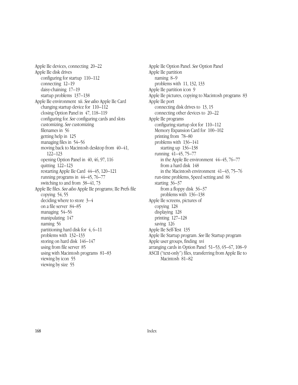Apple IIe devices, connecting 20–22 Apple IIe disk drives configuring for startup 110–112 connecting 12–19 daisy-chaining 17–19 startup problems 137–138 Apple IIe environment xii. *See also* Apple IIe Card changing startup device for 110–112 closing Option Panel in 47, 118–119 configuring for. *See* configuring cards and slots customizing. *See* customizing filenames in 56 getting help in 125 managing files in 54–56 moving back to Macintosh desktop from 40–41, 122–123 opening Option Panel in 40, 46, 97, 116 quitting 122–123 restarting Apple IIe Card 44–45, 120–121 running programs in 44–45, 76–77 switching to and from 38–41, 73 Apple IIe files. *See also* Apple IIe programs; IIe Prefs file copying 54, 55 deciding where to store 3–4 on a file server 84–85 managing 54–56 manipulating 147 naming 56 partitioning hard disk for 4, 6–11 problems with 132–133 storing on hard disk 146–147 using from file server 85 using with Macintosh programs 81–83 viewing by icon 55 viewing by size 55

Apple IIe Option Panel. *See* Option Panel Apple IIe partition naming 8–9 problems with 11, 132, 133 Apple IIe partition icon 9 Apple IIe pictures, copying to Macintosh programs 83 Apple IIe port connecting disk drives to 13, 15 connecting other devices to 20–22 Apple IIe programs configuring startup slot for 110–112 Memory Expansion Card for 100–102 printing from 78–80 problems with 136–141 starting up 136–138 running 41–45, 75–77 in the Apple IIe environment 44–45, 76–77 from a hard disk 148 in the Macintosh environment 41–43, 75–76 run-time problems, Speed setting and 86 starting 36–37 from a floppy disk 36–37 problems with 136–138 Apple IIe screens, pictures of copying 128 displaying 128 printing 127–128 saving 126 Apple IIe Self-Test 135 Apple IIe Startup program. *See* IIe Startup program Apple user groups, finding xvi arranging cards in Option Panel 51–53, 65–67, 108–9 ASCII ("text-only") files, transferring from Apple IIe to Macintosh 81–82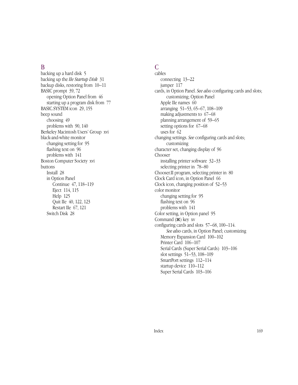#### B

backing up a hard disk 5 backing up the *IIe Startup Disk* 31 backup disks, restoring from 10–11 BASIC prompt 39, 72 opening Option Panel from 46 starting up a program disk from 77 BASIC.SYSTEM icon 29, 155 beep sound choosing 49 problems with 90, 140 Berkeley Macintosh Users' Group xvi black-and-white monitor changing setting for 95 flashing text on 96 problems with 141 Boston Computer Society xvi buttons Install 28 in Option Panel Continue 47, 118–119 Eject 114, 115 Help 125 Quit IIe 40, 122, 123 Restart IIe 67, 121 Switch Disk 28

## C

cables connecting 13–22 jumper 117 cards, in Option Panel. *See also* configuring cards and slots; customizing; Option Panel Apple IIe names 60 arranging 51–53, 65–67, 108–109 making adjustments to 67–68 planning arrangement of 59–65 setting options for 67–68 uses for 62 changing settings. *See* configuring cards and slots; customizing character set, changing display of 96 Chooser installing printer software 32–33 selecting printer in 78–80 Chooser.II program, selecting printer in 80 Clock Card icon, in Option Panel 66 Clock icon, changing position of 52–53 color monitor changing setting for 95 flashing text on 96 problems with 141 Color setting, in Option panel 95 Command (x) key xv configuring cards and slots 57–68, 100–114. *See also* cards, in Option Panel; customizing Memory Expansion Card 100–102 Printer Card 106–107 Serial Cards (Super Serial Cards) 103–106 slot settings 51–53, 108–109 SmartPort settings 112–114 startup device 110–112 Super Serial Cards 103–106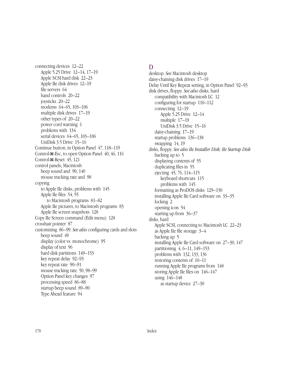connecting devices 12–22 Apple 5.25 Drive 12–14, 17–19 Apple SCSI hard disk 22–23 Apple IIe disk drives 12–19 file servers 64 hand controls 20–22 joysticks 20–22 modems 64–65, 103–106 multiple disk drives 17–19 other types of 20–22 power cord warning 1 problems with 134 serial devices 64–65, 103–106 UniDisk 3.5 Drive 15–16 Continue button, in Option Panel 47, 118–119 Control-x-Esc, to open Option Panel 40, 46, 116 Control-x-Reset 45, 121 control panels, Macintosh beep sound and 90, 140 mouse tracking rate and 98 copying to Apple IIe disks, problems with 145 Apple IIe files 54, 55 to Macintosh programs 81–82 Apple IIe pictures, to Macintosh programs 83 Apple IIe screen snapshots 128 Copy IIe Screen command (Edit menu) 128 crosshair pointer 87 customizing 86–99. *See also* configuring cards and slots beep sound 49 display (color vs. monochrome) 95 display of text 96 hard disk partitions  $149-153$ key repeat delay 92–93 key repeat rate 90–91 mouse tracking rate 50, 98–99 Option Panel key changes 97 processing speed 86–88 startup beep sound 89–90 Type Ahead feature 94

#### D

desktop. *See* Macintosh desktop daisy-chaining disk drives 17–19 Delay Until Key Repeat setting, in Option Panel 92–93 disk drives, floppy. *See also* disks, hard compatibility with Macintosh LC 12 configuring for startup 110–112 connecting 12–19 Apple 5.25 Drive 12–14 multiple 17–19 UniDisk 3.5 Drive 15–16 daisy-chaining 17–19 startup problems 136–138 swapping 14, 19 disks, floppy. *See also IIe Installer Disk; IIe Startup Disk* backing up to 5 displaying contents of 55 duplicating files in 55 ejecting 45, 76, 114–115 keyboard shortcuts 115 problems with 145 formatting as ProDOS disks 129–130 installing Apple IIe Card software on 33–35 locking 2 opening icon 54 starting up from 36–37 disks, hard Apple SCSI, connecting to Macintosh LC 22–23 as Apple IIe file storage 3–4 backing up 5 installing Apple IIe Card software on 27–30, 147 partitioning 4, 6–11, 149–153 problems with 132, 133, 136 restoring contents of 10–11 running Apple IIe programs from 148 storing Apple IIe files on 146–147 using 146–148 as startup device 27–30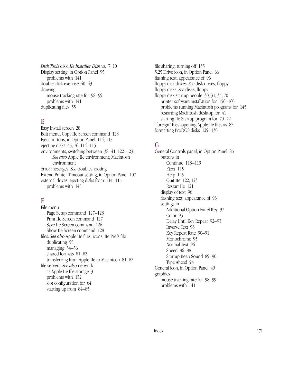*Disk Tools* disk, *IIe Installer Disk* vs. 7, 10 Display setting, in Option Panel 95 problems with 141 double-click exercise 40–43 drawing mouse tracking rate for 98–99 problems with 141 duplicating files 55

#### E

Easy Install screen 28 Edit menu, Copy IIe Screen command 128 Eject buttons, in Option Panel 114, 115 ejecting disks 45, 76, 114–115 environments, switching between 38–41, 122–123. *See also* Apple IIe environment; Macintosh environment error messages. *See* troubleshooting Extend Printer Timeout setting, in Option Panel 107 external drives, ejecting disks from 114–115 problems with 145

#### F

File menu Page Setup command 127–128 Print IIe Screen command 127 Save IIe Screen command 126 Show IIe Screen command 128 files. *See also* Apple IIe files; icons; IIe Prefs file duplicating 55 managing 54–56 shared formats 81–82 transferring from Apple IIe to Macintosh 81–82 file servers. *See also* network as Apple IIe file storage 3 problems with 132 slot configuration for 64 starting up from 84–85

file sharing, turning off 135 5.25 Drive icon, in Option Panel 66 flashing text, appearance of 96 floppy disk drives. *See* disk drives, floppy floppy disks. *See* disks, floppy floppy disk startup people 30, 31, 34, 70 printer software installation for 156–160 problems running Macintosh programs for 145 restarting Macintosh desktop for 41 starting IIe Startup program for 70–72 "foreign" files, opening Apple IIe files as 82 formatting ProDOS disks 129–130

#### G

General Controls panel, in Option Panel 86 buttons in Continue 118–119 Eject 115 Help 125 Quit IIe 122, 123 Restart IIe 121 display of text 96 flashing text, appearance of 96 settings in Additional Option Panel Key 97 Color 95 Delay Until Key Repeat 92–93 Inverse Text 96 Key Repeat Rate 90–91 Monochrome 95 Normal Text 96 Speed 86–88 Startup Beep Sound 89–90 Type Ahead 94 General icon, in Option Panel 49 graphics mouse tracking rate for 98–99 problems with 141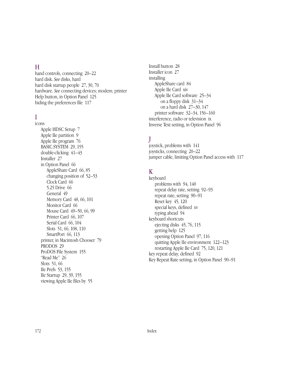#### H

hand controls, connecting 20–22 hard disk. *See* disks, hard hard disk startup people 27, 30, 70 hardware. *See* connecting devices; modem; printer Help button, in Option Panel 125 hiding the preferences file 117

### I

icons Apple HDSC Setup 7 Apple IIe partition 9 Apple IIe program 76 BASIC.SYSTEM 29, 155 double-clicking 41–43 Installer 27 in Option Panel 66 AppleShare Card 66, 85 changing position of 52–53 Clock Card 66 5.25 Drive 66 General 49 Memory Card 48, 66, 101 Monitor Card 66 Mouse Card 49–50, 66, 99 Printer Card 66, 107 Serial Card 66, 104 Slots 51, 66, 108, 110 SmartPort 66, 113 printer, in Macintosh Chooser 79 PRODOS 29 ProDOS File System 155 "Read Me" 26 Slots 51, 66 IIe Prefs 53, 155 IIe Startup 29, 39, 155 viewing Apple IIe files by 55

Install button 28 Installer icon 27 installing AppleShare card 84 Apple IIe Card xiv Apple IIe Card software 25–34 on a floppy disk 31–34 on a hard disk 27–30, 147 printer software 32–34, 156–160 interference, radio or television ix Inverse Text setting, in Option Panel 96

## J

joystick, problems with 141 joysticks, connecting 20–22 jumper cable, limiting Option Panel access with 117

### K

keyboard problems with 94, 140 repeat delay rate, setting 92–93 repeat rate, setting 90–91 Reset key 45, 120 special keys, defined xv typing ahead 94 keyboard shortcuts ejecting disks 45, 76, 115 getting help 125 opening Option Panel 97, 116 quitting Apple IIe environment 122–123 restarting Apple IIe Card 75, 120, 121 key repeat delay, defined 92 Key Repeat Rate setting, in Option Panel 90–91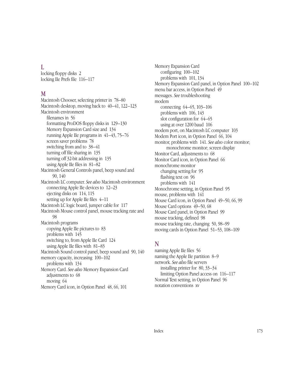#### L

locking floppy disks 2 locking IIe Prefs file 116–117

#### M

Macintosh Chooser, selecting printer in 78–80 Macintosh desktop, moving back to 40–41, 122–123 Macintosh environment filenames in 56 formatting ProDOS floppy disks in 129–130 Memory Expansion Card size and 134 running Apple IIe programs in 41–43, 75–76 screen saver problems 78 switching from and to 38–41 turning off file sharing in 135 turning off 32-bit addressing in 135 using Apple IIe files in 81–82 Macintosh General Controls panel, beep sound and 90, 140 Macintosh LC computer. *See also* Macintosh environment connecting Apple IIe devices to 12–23 ejecting disks on 114, 115 setting up for Apple IIe files 4–11 Macintosh LC logic board, jumper cable for 117 Macintosh Mouse control panel, mouse tracking rate and 98 Macintosh programs copying Apple IIe pictures to 83 problems with 145 switching to, from Apple IIe Card 124 using Apple IIe files with 81–83 Macintosh Sound control panel, beep sound and 90, 140 memory capacity, increasing 100–102 problems with 134 Memory Card. *See also* Memory Expansion Card adjustments to 68 moving 64 Memory Card icon, in Option Panel 48, 66, 101

Memory Expansion Card configuring 100–102 problems with 101, 134 Memory Expansion Card panel, in Option Panel 100–102 menu bar access, in Option Panel 49 messages. *See* troubleshooting modem connecting 64–65, 103–106 problems with 106, 143 slot configuration for 64–65 using at over 1200 baud 106 modem port, on Macintosh LC computer 103 Modem Port icon, in Option Panel 66, 104 monitor, problems with 141. *See also* color monitor; monochrome monitor; screen display Monitor Card, adjustments to 68 Monitor Card icon, in Option Panel 66 monochrome monitor changing setting for 95 flashing text on 96 problems with 141 Monochrome setting, in Option Panel 95 mouse, problems with 141 Mouse Card icon, in Option Panel 49–50, 66, 99 Mouse Card options 49–50, 68 Mouse Card panel, in Option Panel 99 mouse tracking, defined 98 mouse tracking rate, changing 50, 98–99 moving cards in Option Panel 51–53, 108–109

## N

naming Apple IIe files 56 naming the Apple IIe partition 8–9 network. *See also* file servers installing printer for 80, 33–34 limiting Option Panel access on 116–117 Normal Text setting, in Option Panel 96 notation conventions xv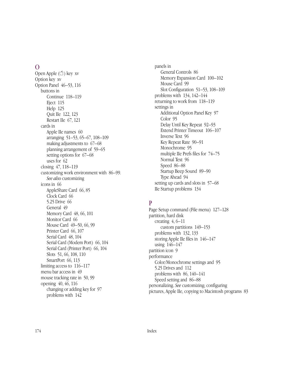#### $\Omega$

Open Apple  $(\mathcal{L})$  key xv Option key xv Option Panel 46–53, 116 buttons in Continue 118–119 Eject 115 Help 125 Quit IIe 122, 123 Restart IIe 67, 121 cards in Apple IIe names 60 arranging 51–53, 65–67, 108–109 making adjustments to 67–68 planning arrangement of 59–65 setting options for 67–68 uses for 62 closing 47, 118–119 customizing work environment with 86–99. *See also* customizing icons in 66 AppleShare Card 66, 85 Clock Card 66 5.25 Drive 66 General 49 Memory Card 48, 66, 101 Monitor Card 66 Mouse Card 49–50, 66, 99 Printer Card 66, 107 Serial Card 48, 104 Serial Card (Modem Port) 66, 104 Serial Card (Printer Port) 66, 104 Slots 51, 66, 108, 110 SmartPort 66, 113 limiting access to 116–117 menu bar access in 49 mouse tracking rate in 50, 99 opening 40, 46, 116 changing or adding key for 97 problems with 142

panels in General Controls 86 Memory Expansion Card 100–102 Mouse Card 99 Slot Configuration 51–53, 108–109 problems with 134, 142–144 returning to work from 118–119 settings in Additional Option Panel Key 97 Color 95 Delay Until Key Repeat 92–93 Extend Printer Timeout 106–107 Inverse Text 96 Key Repeat Rate 90–91 Monochrome 95 multiple IIe Prefs files for 74–75 Normal Text 96 Speed 86–88 Startup Beep Sound 89–90 Type Ahead 94 setting up cards and slots in 57–68 IIe Startup problems 134

#### P

Page Setup command (File menu) 127–128 partition, hard disk creating  $4, 6-11$ custom partitions 149–153 problems with 132, 133 storing Apple IIe files in 146–147 using 146–147 partition icon 9 performance Color/Monochrome settings and 95 5.25 Drives and 112 problems with 86, 140–141 Speed setting and 86–88 personalizing. *See* customizing; configuring pictures, Apple IIe, copying to Macintosh programs 83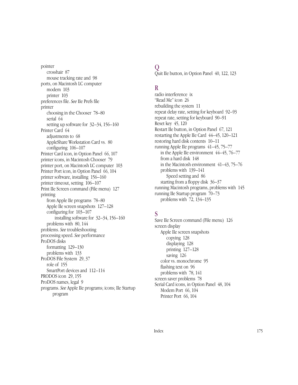pointer crosshair 87 mouse tracking rate and 98 ports, on Macintosh LC computer modem 103 printer 103 preferences file. *See* IIe Prefs file printer choosing in the Chooser 78–80 serial 64 setting up software for 32–34, 156–160 Printer Card 64 adjustments to 68 AppleShare Workstation Card vs. 80 configuring 106–107 Printer Card icon, in Option Panel 66, 107 printer icons, in Macintosh Chooser 79 printer port, on Macintosh LC computer 103 Printer Port icon, in Option Panel 66, 104 printer software, installing 156–160 printer timeout, setting 106–107 Print IIe Screen command (File menu) 127 printing from Apple IIe programs 78–80 Apple IIe screen snapshots 127–128 configuring for 103–107 installing software for 32–34, 156–160 problems with 80, 144 problems. *See* troubleshooting processing speed. *See* performance ProDOS disks formatting 129–130 problems with 133 ProDOS File System 29, 37 role of 155 SmartPort devices and 112–114 PRODOS icon 29, 155 ProDOS names, legal 9 programs. *See* Apple IIe programs; icons; IIe Startup program

## $\overline{O}$

Quit IIe button, in Option Panel 40, 122, 123

## R

radio interference ix "Read Me" icon 26 rebuilding the system 11 repeat delay rate, setting for keyboard 92–93 repeat rate, setting for keyboard 90–91 Reset key 45, 120 Restart IIe button, in Option Panel 67, 121 restarting the Apple IIe Card 44–45, 120–121 restoring hard disk contents 10–11 running Apple IIe programs 41–45, 75–77 in the Apple IIe environment 44–45, 76–77 from a hard disk 148 in the Macintosh environment 41–43, 75–76 problems with 139–141 Speed setting and 86 starting from a floppy disk 36–37 running Macintosh programs, problems with 145 running IIe Startup program 70–73 problems with 72, 134–135

## S

Save IIe Screen command (File menu) 126 screen display Apple IIe screen snapshots copying 128 displaying 128 printing 127–128 saving 126 color vs. monochrome 95 flashing text on 96 problems with 78, 141 screen saver problems 78 Serial Card icons, in Option Panel 48, 104 Modem Port 66, 104 Printer Port 66, 104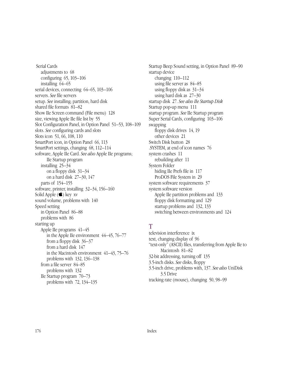Serial Cards adjustments to 68 configuring 65, 103–106 installing 64–65 serial devices, connecting 64–65, 103–106 servers. *See* file servers setup. *See* installing; partition, hard disk shared file formats 81–82 Show IIe Screen command (File menu) 128 size, viewing Apple IIe file list by 55 Slot Configuration Panel, in Option Panel 51–53, 108–109 slots. *See* configuring cards and slots Slots icon 51, 66, 108, 110 SmartPort icon, in Option Panel 66, 113 SmartPort settings, changing 68, 112–114 software, Apple IIe Card. *See also* Apple IIe programs; IIe Startup program installing 25–34 on a floppy disk 31–34 on a hard disk 27–30, 147 parts of 154–155 software, printer, installing 32–34, 156–160 Solid Apple  $(\bullet)$  key xv sound volume, problems with 140 Speed setting in Option Panel 86–88 problems with 86 starting up Apple IIe programs 41–45 in the Apple IIe environment 44–45, 76–77 from a floppy disk 36–37 from a hard disk 147 in the Macintosh environment 41–43, 75–76 problems with 132, 136–138 from a file server 84–85 problems with 132 IIe Startup program 70–73 problems with 72, 134–135

Startup Beep Sound setting, in Option Panel 89–90 startup device changing 110–112 using file server as 84–85 using floppy disk as 31–34 using hard disk as 27–30 startup disk 27. *See also IIe Startup Disk* Startup pop-up menu 111 startup program. *See* IIe Startup program Super Serial Cards, configuring 103–106 swapping floppy disk drives 14, 19 other devices 21 Switch Disk button 28 .SYSTEM, at end of icon names 76 system crashes 11 rebuilding after 11 System Folder hiding IIe Prefs file in 117 ProDOS File System in 29 system software requirements 37 system software version Apple IIe partition problems and 133 floppy disk formatting and 129 startup problems and 132, 133 switching between environments and 124

## T

television interference ix text, changing display of 96 "text-only" (ASCII) files, transferring from Apple IIe to Macintosh 81–82 32-bit addressing, turning off 135 3.5-inch disks. *See* disks, floppy 3.5-inch drive, problems with, 137. *See also* UniDisk 3.5 Drive tracking rate (mouse), changing 50, 98–99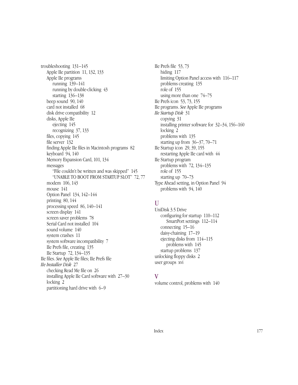troubleshooting 131–145 Apple IIe partition 11, 132, 133 Apple IIe programs running 139–141 running by double-clicking 43 starting 136–138 beep sound 90, 140 card not installed 68 disk drive compatibility 12 disks, Apple IIe ejecting 145 recognizing 37, 133 files, copying 145 file server 132 finding Apple IIe files in Macintosh programs 82 keyboard 94, 140 Memory Expansion Card, 101, 134 messages "File couldn't be written and was skipped" 145 "UNABLE TO BOOT FROM STARTUP SLOT" 72, 77 modem 106, 143 mouse 141 Option Panel 134, 142–144 printing 80, 144 processing speed 86, 140–141 screen display 141 screen saver problems 78 Serial Card not installed 104 sound volume 140 system crashes 11 system software incompatibility 7 IIe Prefs file, creating 135 IIe Startup 72, 134–135 IIe files. *See* Apple IIe files; IIe Prefs file *IIe Installer Disk* 27 checking Read Me file on 26 installing Apple IIe Card software with 27–30 locking 2 partitioning hard drive with 6–9

IIe Prefs file 53, 73 hiding 117 limiting Option Panel access with 116–117 problems creating 135 role of 155 using more than one 74–75 IIe Prefs icon 53, 73, 155 IIe programs. *See* Apple IIe programs *IIe Startup Disk* 31 copying 31 installing printer software for 32–34, 156–160 locking 2 problems with 135 starting up from 36–37, 70–71 IIe Startup icon 29, 39, 155 restarting Apple IIe card with 44 IIe Startup program problems with 72, 134–135 role of 155 starting up 70–73 Type Ahead setting, in Option Panel 94 problems with 94, 140

#### U

UniDisk 3.5 Drive configuring for startup 110–112 SmartPort settings 112–114 connecting 15–16 daisy-chaining 17–19 ejecting disks from 114–115 problems with 145 startup problems 137 unlocking floppy disks 2 user groups xvi

### V

volume control, problems with 140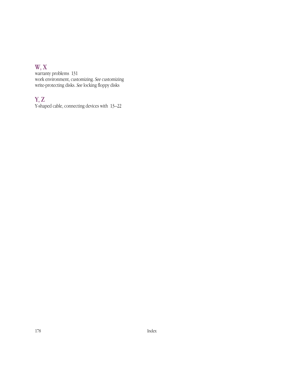## W, X

warranty problems 131 work environment, customizing. *See* customizing write-protecting disks. *See* locking floppy disks

## Y, Z

Y-shaped cable, connecting devices with 13–22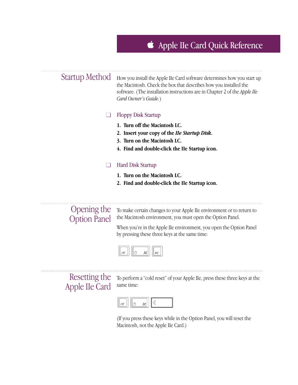# Apple IIe Card Quick Reference



## Resetting the Apple IIe Card

To perform a "cold reset" of your Apple IIe, press these three keys at the same time:



(If you press these keys while in the Option Panel, you will reset the Macintosh, not the Apple IIe Card.)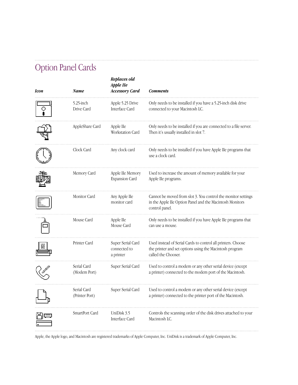# Option Panel Cards

 $\ldots$ 

| Icon | Name                          | Replaces old<br>Apple IIe<br><b>Accessory Card</b> | <b>Comments</b>                                                                                                                                |
|------|-------------------------------|----------------------------------------------------|------------------------------------------------------------------------------------------------------------------------------------------------|
|      | $5.25$ -inch<br>Drive Card    | Apple 5.25 Drive<br>Interface Card                 | Only needs to be installed if you have a 5.25-inch disk drive<br>connected to your Macintosh LC.                                               |
|      | AppleShare Card               | Apple IIe<br><b>Workstation Card</b>               | Only needs to be installed if you are connected to a file server.<br>Then it's usually installed in slot 7.                                    |
|      | Clock Card                    | Any clock card                                     | Only needs to be installed if you have Apple IIe programs that<br>use a clock card.                                                            |
|      | Memory Card                   | Apple IIe Memory<br>Expansion Card                 | Used to increase the amount of memory available for your<br>Apple IIe programs.                                                                |
|      | Monitor Card                  | Any Apple IIe<br>monitor card                      | Cannot be moved from slot 3. You control the monitor settings<br>in the Apple IIe Option Panel and the Macintosh Monitors<br>control panel.    |
|      | Mouse Card                    | Apple IIe<br>Mouse Card                            | Only needs to be installed if you have Apple IIe programs that<br>can use a mouse.                                                             |
|      | Printer Card                  | Super Serial Card<br>connected to<br>a printer     | Used instead of Serial Cards to control all printers. Choose<br>the printer and set options using the Macintosh program<br>called the Chooser. |
|      | Serial Card<br>(Modem Port)   | Super Serial Card                                  | Used to control a modem or any other serial device (except<br>a printer) connected to the modem port of the Macintosh.                         |
|      | Serial Card<br>(Printer Port) | Super Serial Card                                  | Used to control a modem or any other serial device (except<br>a printer) connected to the printer port of the Macintosh.                       |
|      | SmartPort Card                | UniDisk 3.5<br>Interface Card                      | Controls the scanning order of the disk drives attached to your<br>Macintosh LC.                                                               |

Apple, the Apple logo, and Macintosh are registered trademarks of Apple Computer, Inc. UniDisk is a trademark of Apple Computer, Inc.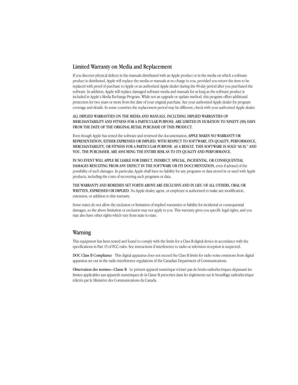#### Limited Warranty on Media and Replacement

If you discover physical defects in the manuals distributed with an Apple product or in the media on which a software product is distributed, Apple will replace the media or manuals at no charge to you, provided you return the item to be replaced with proof of purchase to Apple or an authorized Apple dealer during the 90-day period after you purchased the software. In addition, Apple will replace damaged software media and manuals for as long as the software product is included in Apple's Media Exchange Program. While not an upgrade or update method, this program offers additional protection for two years or more from the date of your original purchase. See your authorized Apple dealer for program coverage and details. In some countries the replacement period may be different; check with your authorized Apple dealer.

#### ALL IMPLIED WARRANTIES ON THE MEDIA AND MANUALS, INCLUDING IMPLIED WARRANTIES OF MERCHANTABILITY AND FITNESS FOR A PARTICULAR PURPOSE, ARE LIMITED IN DURATION TO NINETY (90) DAYS FROM THE DATE OF THE ORIGINAL RETAIL PURCHASE OF THIS PRODUCT.

Even though Apple has tested the software and reviewed the documentation, APPLE MAKES NO WARRANTY OR REPRESENTATION, EITHER EXPRESSED OR IMPLIED, WITH RESPECT TO SOFTWARE, ITS QUALITY, PERFORMANCE, MERCHANTABILITY, OR FITNESS FOR A PARTICULAR PURPOSE. AS A RESULT, THIS SOFTWARE IS SOLD "AS IS," AND YOU, THE PURCHASER, ARE ASSUMING THE ENTIRE RISK AS TO ITS QUALITY AND PERFORMANCE.

IN NO EVENT WILL APPLE BE LIABLE FOR DIRECT, INDIRECT, SPECIAL, INCIDENTAL, OR CONSEQUENTIAL DAMAGES RESULTING FROM ANY DEFECT IN THE SOFTWARE OR ITS DOCUMENTATION, even if advised of the possibility of such damages. In particular, Apple shall have no liability for any programs or data stored in or used with Apple products, including the costs of recovering such programs or data.

THE WARRANTY AND REMEDIES SET FORTH ABOVE ARE EXCLUSIVE AND IN LIEU OF ALL OTHERS, ORAL OR WRITTEN, EXPRESSED OR IMPLIED. No Apple dealer, agent, or employee is authorized to make any modification, extension, or addition to this warranty.

Some states do not allow the exclusion or limitation of implied warranties or liability for incidental or consequential damages, so the above limitation or exclusion may not apply to you. This warranty gives you specific legal rights, and you may also have other rights which vary from state to state.

#### Warning

This equipment has been tested and found to comply with the limits for a Class B digital device in accordance with the specifications in Part 15 of FCC rules. See instructions if interference to radio or television reception is suspected.

DOC Class B Compliance This digital apparatus does not exceed the Class B limits for radio noise emissions from digital apparatus set out in the radio interference regulations of the Canadian Department of Communications.

Observation des normes—Classe B Le présent appareil numérique n'émet pas de bruits radioélectriques dépassant les limites applicables aux appareils numériques de la Classe B prescrites dans les règlements sur le brouillage radioélectrique édictés par le Ministère des Communications du Canada.